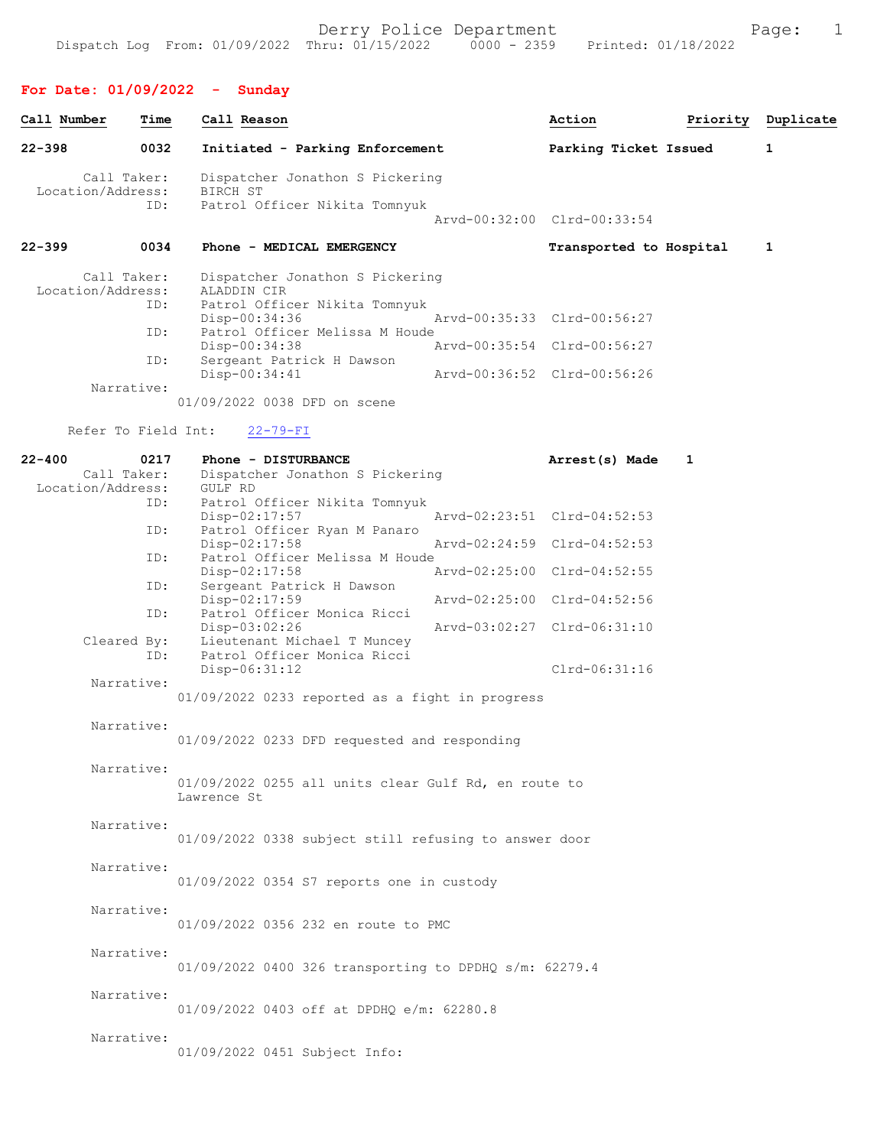### For Date: 01/09/2022 - Sunday

| Call Number       | Time               | Call Reason                                                                     | Action                      | Priority | Duplicate |
|-------------------|--------------------|---------------------------------------------------------------------------------|-----------------------------|----------|-----------|
| $22 - 398$        | 0032               | Initiated - Parking Enforcement                                                 | Parking Ticket Issued       |          | 1         |
| Location/Address: | Call Taker:<br>ID: | Dispatcher Jonathon S Pickering<br>BIRCH ST<br>Patrol Officer Nikita Tomnyuk    |                             |          |           |
|                   |                    |                                                                                 | Arvd-00:32:00 Clrd-00:33:54 |          |           |
| $22 - 399$        | 0034               | Phone - MEDICAL EMERGENCY                                                       | Transported to Hospital     |          | 1         |
| Location/Address: | Call Taker:<br>ID: | Dispatcher Jonathon S Pickering<br>ALADDIN CIR<br>Patrol Officer Nikita Tomnyuk |                             |          |           |
|                   | ID:                | $Disp-00:34:36$<br>Patrol Officer Melissa M Houde                               | Arvd-00:35:33 Clrd-00:56:27 |          |           |
|                   |                    | Disp-00:34:38                                                                   | Aryd-00:35:54 Clrd-00:56:27 |          |           |
|                   | ID:                | Sergeant Patrick H Dawson<br>Disp-00:34:41                                      | Arvd-00:36:52 Clrd-00:56:26 |          |           |
|                   | Narrative:         |                                                                                 |                             |          |           |
|                   |                    | 01/09/2022 0038 DFD on scene                                                    |                             |          |           |
|                   |                    | Refer To Field Int: 22-79-FI                                                    |                             |          |           |
| $22 - 400$        | 0217               | Phone - DISTURBANCE                                                             | Arrest(s) Made              | 1        |           |

| Call Taker:              | Dispatcher Jonathon S Pickering                                               |
|--------------------------|-------------------------------------------------------------------------------|
| Location/Address:<br>ID: | GULF RD                                                                       |
|                          | Patrol Officer Nikita Tomnyuk<br>Disp-02:17:57<br>Arvd-02:23:51 Clrd-04:52:53 |
| ID:                      | Patrol Officer Ryan M Panaro                                                  |
|                          | Arvd-02:24:59 Clrd-04:52:53<br>Disp-02:17:58                                  |
| ID:                      | Patrol Officer Melissa M Houde                                                |
|                          | Arvd-02:25:00 Clrd-04:52:55<br>Disp-02:17:58                                  |
| ID:                      | Sergeant Patrick H Dawson                                                     |
|                          | Arvd-02:25:00 Clrd-04:52:56<br>Disp-02:17:59                                  |
| ID:                      | Patrol Officer Monica Ricci<br>Arvd-03:02:27 Clrd-06:31:10<br>Disp-03:02:26   |
| Cleared By:              | Lieutenant Michael T Muncey                                                   |
| ID:                      | Patrol Officer Monica Ricci                                                   |
|                          | Disp-06:31:12<br>Clrd-06:31:16                                                |
| Narrative:               |                                                                               |
|                          | 01/09/2022 0233 reported as a fight in progress                               |
|                          |                                                                               |
| Narrative:               |                                                                               |
|                          | 01/09/2022 0233 DFD requested and responding                                  |
| Narrative:               |                                                                               |
|                          | 01/09/2022 0255 all units clear Gulf Rd, en route to                          |
|                          | Lawrence St                                                                   |
|                          |                                                                               |
| Narrative:               |                                                                               |
|                          | 01/09/2022 0338 subject still refusing to answer door                         |
| Narrative:               |                                                                               |
|                          | 01/09/2022 0354 S7 reports one in custody                                     |
|                          |                                                                               |
| Narrative:               |                                                                               |
|                          | 01/09/2022 0356 232 en route to PMC                                           |
| Narrative:               |                                                                               |
|                          | 01/09/2022 0400 326 transporting to DPDHQ s/m: 62279.4                        |
|                          |                                                                               |
| Narrative:               |                                                                               |
|                          | 01/09/2022 0403 off at DPDHQ e/m: 62280.8                                     |
|                          |                                                                               |
| Narrative:               |                                                                               |
|                          | 01/09/2022 0451 Subject Info:                                                 |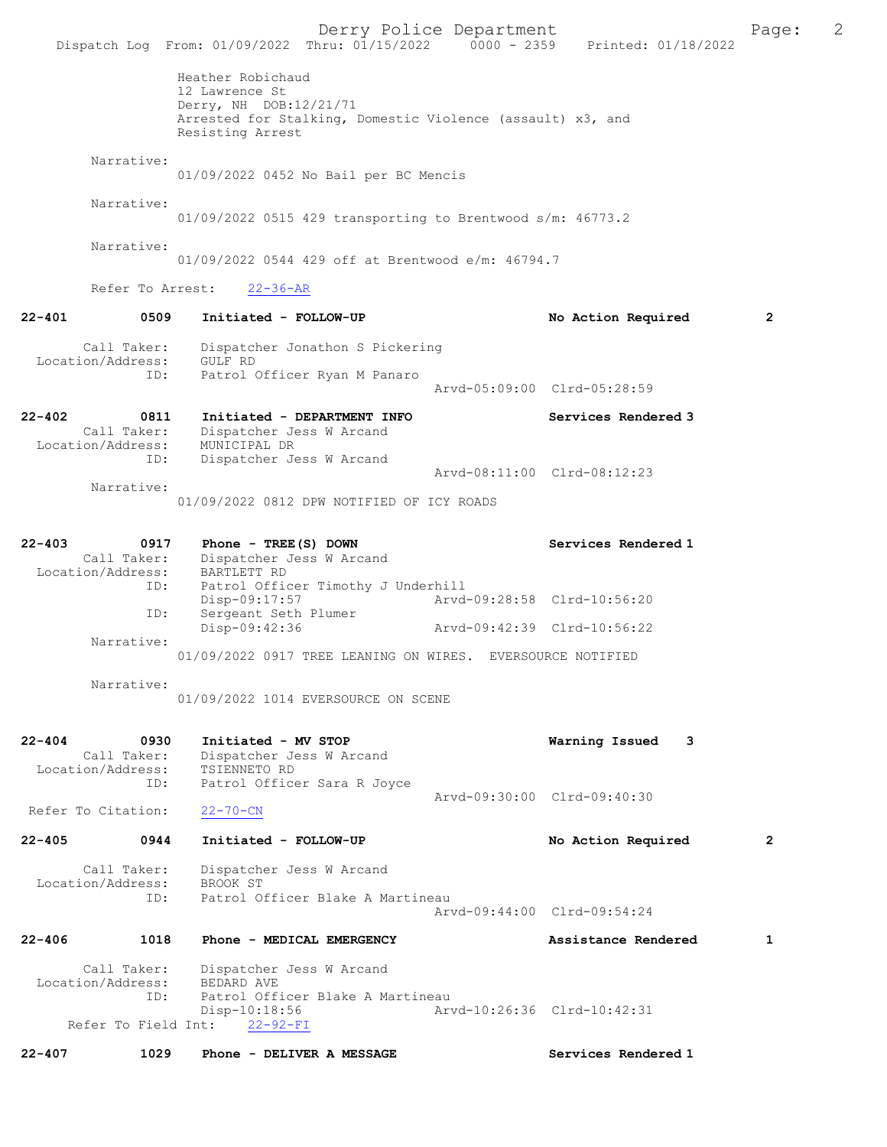Derry Police Department The Page: 2 Dispatch Log From: 01/09/2022 Thru: 01/15/2022 0000 - 2359 Printed: 01/18/2022 Heather Robichaud 12 Lawrence St Derry, NH DOB:12/21/71 Arrested for Stalking, Domestic Violence (assault) x3, and Resisting Arrest Narrative: 01/09/2022 0452 No Bail per BC Mencis Narrative: 01/09/2022 0515 429 transporting to Brentwood s/m: 46773.2 Narrative: 01/09/2022 0544 429 off at Brentwood e/m: 46794.7 Refer To Arrest: 22-36-AR 22-401 0509 Initiated - FOLLOW-UP No Action Required 2 Call Taker: Dispatcher Jonathon S Pickering Location/Address: GULF RD<br>TD: Patrol C Patrol Officer Ryan M Panaro Arvd-05:09:00 Clrd-05:28:59 22-402 0811 Initiated - DEPARTMENT INFO Services Rendered 3 Call Taker: Dispatcher Jess W Arcand Location/Address: MUNICIPAL DR<br>
ID: Dispatcher Je Dispatcher Jess W Arcand Arvd-08:11:00 Clrd-08:12:23 Narrative: 01/09/2022 0812 DPW NOTIFIED OF ICY ROADS 22-403 0917 Phone - TREE(S) DOWN Services Rendered 1 Call Taker: Dispatcher Jess W Arcand Location/Address: BARTLETT RD ID: Patrol Officer Timothy J Underhill<br>Disp-09:17:57 Arvd- Disp-09:17:57 Arvd-09:28:58 Clrd-10:56:20 ID: Sergeant Seth Plumer<br>Disp-09:42:36 Disp-09:42:36 Arvd-09:42:39 Clrd-10:56:22 Narrative: 01/09/2022 0917 TREE LEANING ON WIRES. EVERSOURCE NOTIFIED Narrative: 01/09/2022 1014 EVERSOURCE ON SCENE 22-404 0930 Initiated - MV STOP 1988 22-404 0930 Initiated - MV STOP 1988 22-404 22-404 22-404 23 Dispatcher Jess W Arcand<br>TSIENNETO RD Location/Address: ID: Patrol Officer Sara R Joyce Arvd-09:30:00 Clrd-09:40:30<br>22-70-CN Refer To Citation: 22-405 0944 Initiated - FOLLOW-UP No Action Required 2 Call Taker: Dispatcher Jess W Arcand<br>ion/Address: BROOK ST Location/Address:<br>ID: Patrol Officer Blake A Martineau Arvd-09:44:00 Clrd-09:54:24 22-406 1018 Phone - MEDICAL EMERGENCY 1 Assistance Rendered 1 Call Taker: Dispatcher Jess W Arcand<br>ion/Address: BEDARD AVE Location/Address: ID: Patrol Officer Blake A Martineau Disp-10:18:56 Arvd-10:26:36 Clrd-10:42:31 Refer To Field Int: 22-407 1029 Phone - DELIVER A MESSAGE Services Rendered 1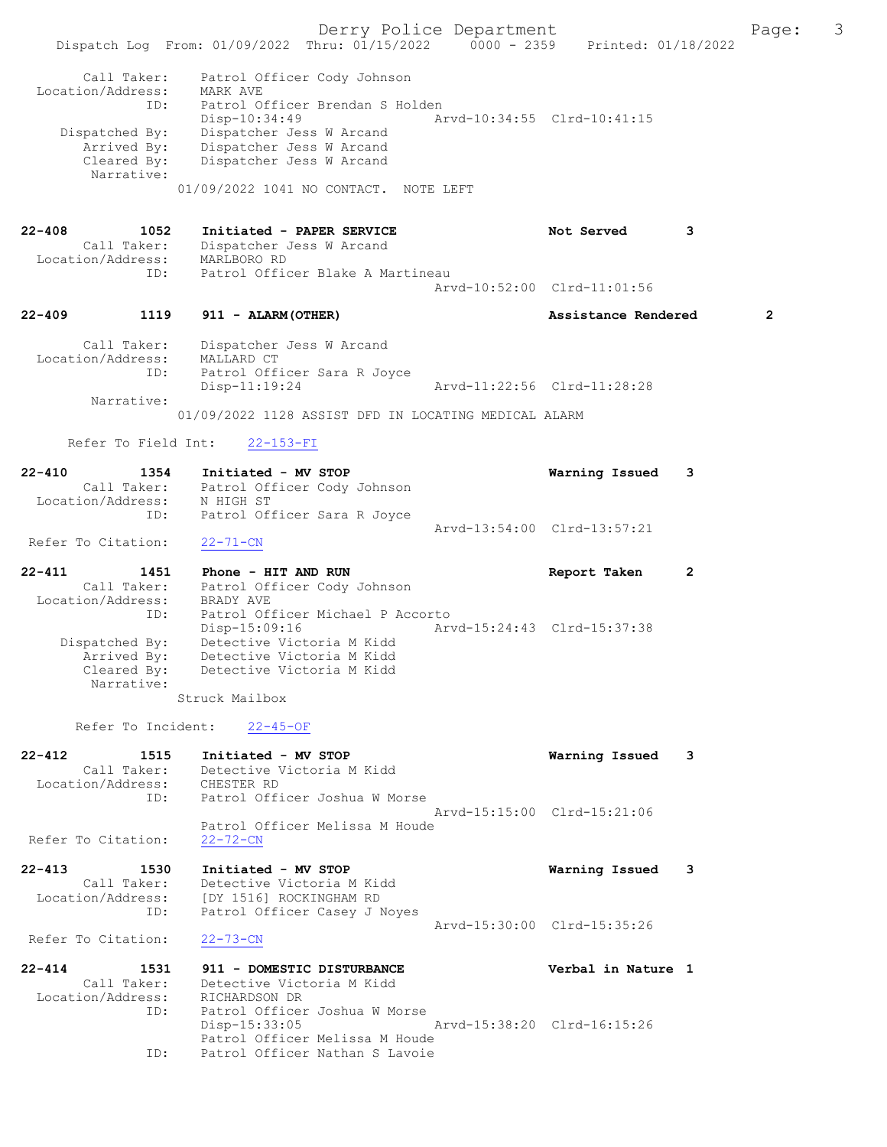Derry Police Department Fage: 3 Dispatch Log From: 01/09/2022 Thru: 01/15/2022 0000 - 2359 Printed: 01/18/2022 Call Taker: Patrol Officer Cody Johnson Location/Address: MARK AVE ID: Patrol Officer Brendan S Holden Disp-10:34:49 Arvd-10:34:55 Clrd-10:41:15 Dispatched By: Dispatcher Jess W Arcand Arrived By: Dispatcher Jess W Arcand Cleared By: Dispatcher Jess W Arcand Narrative: 01/09/2022 1041 NO CONTACT. NOTE LEFT 22-408 1052 Initiated - PAPER SERVICE Not Served 3 Call Taker: Dispatcher Jess W Arcand Location/Address: MARLBORO RD ID: Patrol Officer Blake A Martineau Arvd-10:52:00 Clrd-11:01:56 22-409 1119 911 - ALARM(OTHER) Assistance Rendered 2 Call Taker: Dispatcher Jess W Arcand Location/Address: MALLARD CT ID: Patrol Officer Sara R Joyce Disp-11:19:24 Arvd-11:22:56 Clrd-11:28:28 Narrative: 01/09/2022 1128 ASSIST DFD IN LOCATING MEDICAL ALARM Refer To Field Int: 22-153-FI 22-410 1354 Initiated - MV STOP Warning Issued 3 Call Taker: Patrol Officer Cody Johnson Location/Address: N HIGH ST ID: Patrol Officer Sara R Joyce Arvd-13:54:00 Clrd-13:57:21 Refer To Citation: 22-71-CN 22-411 1451 Phone - HIT AND RUN Report Taken 2 Call Taker: Patrol Officer Cody Johnson Location/Address: BRADY AVE ID: Patrol Officer Michael P Accorto Disp-15:09:16 Arvd-15:24:43 Clrd-15:37:38 Dispatched By: Detective Victoria M Kidd Arrived By: Detective Victoria M Kidd Cleared By: Detective Victoria M Kidd Narrative: Struck Mailbox Refer To Incident: 22-45-OF 22-412 1515 Initiated - MV STOP Warning Issued 3 Call Taker: Detective Victoria M Kidd Location/Address: CHESTER RD ID: Patrol Officer Joshua W Morse Arvd-15:15:00 Clrd-15:21:06 Patrol Officer Melissa M Houde<br>22-72-CN Refer To Citation: 22-413 1530 Initiated - MV STOP Warning Issued 3 Call Taker: Detective Victoria M Kidd Location/Address: [DY 1516] ROCKINGHAM RD ID: Patrol Officer Casey J Noyes Arvd-15:30:00 Clrd-15:35:26 Refer To Citation: 22-73-CN 22-414 1531 911 - DOMESTIC DISTURBANCE Verbal in Nature 1 Call Taker: Detective Victoria M Kidd Location/Address: RICHARDSON DR ID: Patrol Officer Joshua W Morse Disp-15:33:05 Arvd-15:38:20 Clrd-16:15:26 Patrol Officer Melissa M Houde ID: Patrol Officer Nathan S Lavoie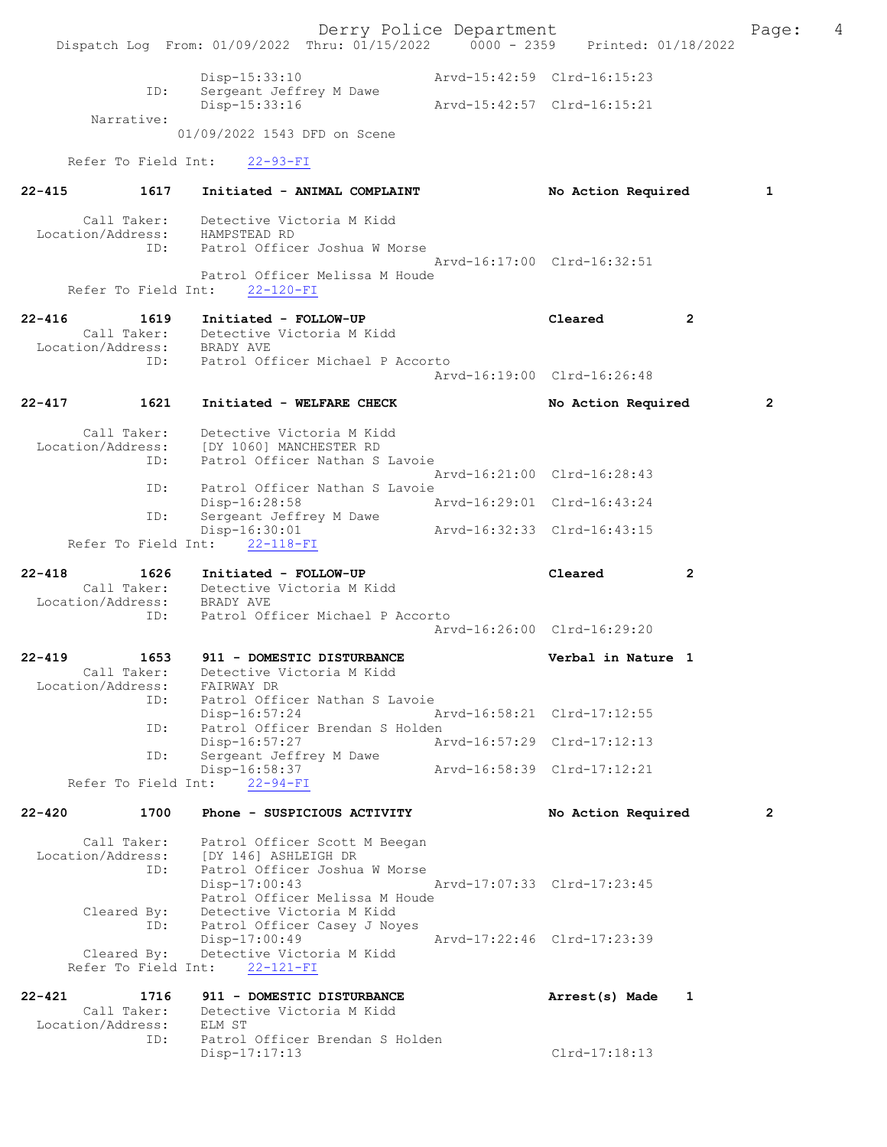Derry Police Department Fage: 4 Dispatch Log From: 01/09/2022 Thru: 01/15/2022 0000 - 2359 Printed: 01/18/2022 Disp-15:33:10 Arvd-15:42:59 Clrd-16:15:23 Disp-15:33:10<br>ID: Sergeant Jeffrey M Dawe<br>Disp-15:33:16 Disp-15:33:16 Arvd-15:42:57 Clrd-16:15:21 Narrative: 01/09/2022 1543 DFD on Scene Refer To Field Int: 22-93-FI 22-415 1617 Initiated - ANIMAL COMPLAINT No Action Required 1 Call Taker: Detective Victoria M Kidd Location/Address: HAMPSTEAD RD ID: Patrol Officer Joshua W Morse Arvd-16:17:00 Clrd-16:32:51 Patrol Officer Melissa M Houde Refer To Field Int: 22-120-FI 22-416 1619 Initiated - FOLLOW-UP Cleared 2 Call Taker: Detective Victoria M Kidd Location/Address: BRADY AVE ID: Patrol Officer Michael P Accorto Arvd-16:19:00 Clrd-16:26:48 22-417 1621 Initiated - WELFARE CHECK No Action Required 2 Call Taker: Detective Victoria M Kidd Location/Address: [DY 1060] MANCHESTER RD ID: Patrol Officer Nathan S Lavoie Arvd-16:21:00 Clrd-16:28:43 ID: Patrol Officer Nathan S Lavoie<br>Disp-16:28:58 Arvd-16:29:01 Clrd-16:43:24 Disp-16:28:58 ID: Sergeant Jeffrey M Dawe Disp-16:30:01 Arvd-16:32:33 Clrd-16:43:15 Refer To Field Int: 22-118-FI 22-418 1626 Initiated - FOLLOW-UP Cleared 2 Call Taker: Detective Victoria M Kidd Location/Address: BRADY AVE ID: Patrol Officer Michael P Accorto Arvd-16:26:00 Clrd-16:29:20 22-419 1653 911 - DOMESTIC DISTURBANCE 1990 Verbal in Nature 1 Call Taker: Detective Victoria M Kidd Location/Address: FAIRWAY DR ID: Patrol Officer Nathan S Lavoie Disp-16:57:24 ID: Patrol Officer Brendan S Holden Disp-16:57:27 Arvd-16:57:29 Clrd-17:12:13 ID: Sergeant Jeffrey M Dawe Disp-16:58:37 Arvd-16:58:39 Clrd-17:12:21 Refer To Field Int: 22-94-FI 22-420 1700 Phone - SUSPICIOUS ACTIVITY No Action Required 2 Call Taker: Patrol Officer Scott M Beegan Location/Address: [DY 146] ASHLEIGH DR ID: Patrol Officer Joshua W Morse Disp-17:00:43 Arvd-17:07:33 Clrd-17:23:45 Patrol Officer Melissa M Houde Cleared By: Detective Victoria M Kidd ID: Patrol Officer Casey J Noyes Disp-17:00:49 Arvd-17:22:46 Clrd-17:23:39 Cleared By: Detective Victoria M Kidd Refer To Field Int: 22-121-FI 22-421 1716 911 - DOMESTIC DISTURBANCE 1 Arrest(s) Made 1 Call Taker: Detective Victoria M Kidd<br>tion/Address: ELM ST Location/Address: ID: Patrol Officer Brendan S Holden Disp-17:17:13 Clrd-17:18:13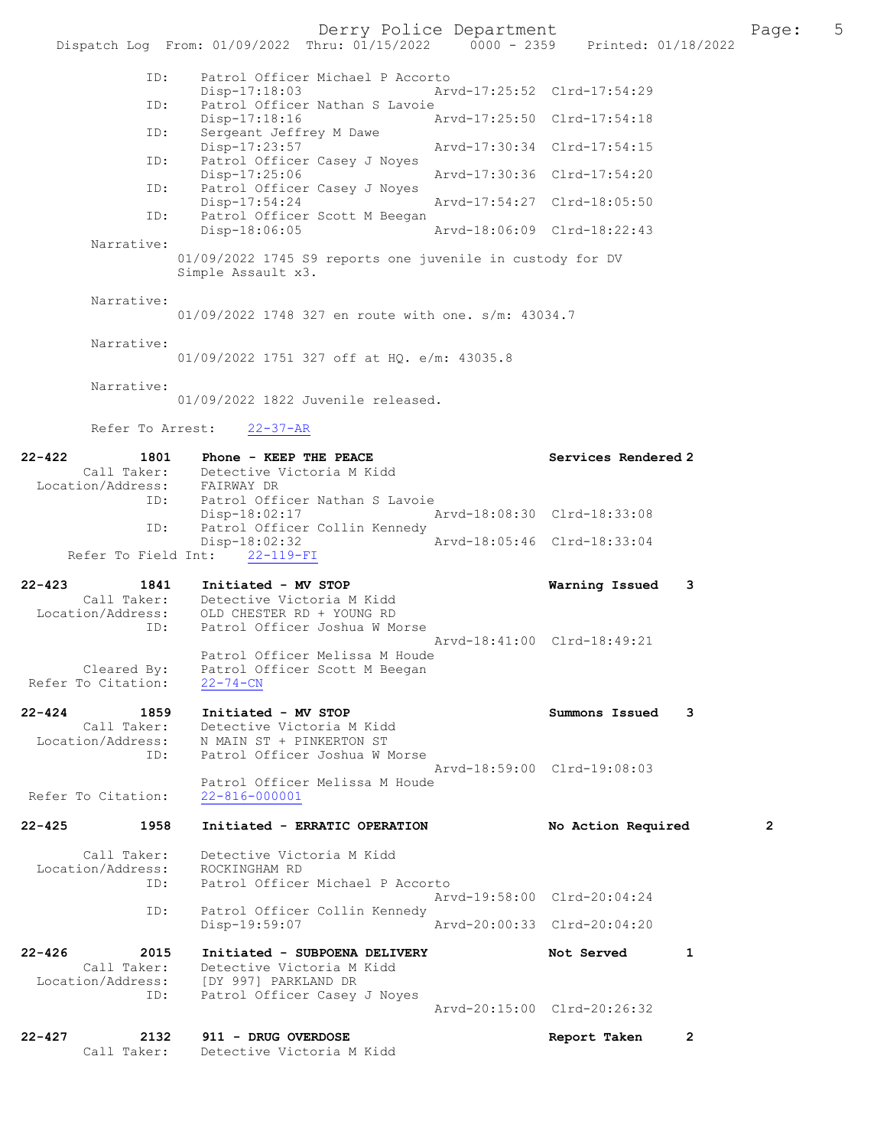Derry Police Department Fage: 5

|                                  | Dispatch Log From: 01/09/2022 Thru: 01/15/2022 0000 - 2359 Printed: 01/18/2022  |                             |                             |              |
|----------------------------------|---------------------------------------------------------------------------------|-----------------------------|-----------------------------|--------------|
| ID:                              | Patrol Officer Michael P Accorto                                                |                             |                             |              |
| ID:                              | Disp-17:18:03<br>Patrol Officer Nathan S Lavoie                                 |                             | Arvd-17:25:52 Clrd-17:54:29 |              |
|                                  | Disp-17:18:16                                                                   | Arvd-17:25:50 Clrd-17:54:18 |                             |              |
| ID:                              | Sergeant Jeffrey M Dawe<br>Disp-17:23:57                                        | Arvd-17:30:34 Clrd-17:54:15 |                             |              |
| ID:                              | Patrol Officer Casey J Noyes<br>Disp-17:25:06                                   | Arvd-17:30:36 Clrd-17:54:20 |                             |              |
| ID:                              | Patrol Officer Casey J Noyes<br>Disp-17:54:24                                   | Arvd-17:54:27 Clrd-18:05:50 |                             |              |
| ID:                              | Patrol Officer Scott M Beegan                                                   |                             |                             |              |
| Narrative:                       | Disp-18:06:05                                                                   | Arvd-18:06:09 Clrd-18:22:43 |                             |              |
|                                  | 01/09/2022 1745 S9 reports one juvenile in custody for DV<br>Simple Assault x3. |                             |                             |              |
| Narrative:                       |                                                                                 |                             |                             |              |
|                                  | 01/09/2022 1748 327 en route with one. s/m: 43034.7                             |                             |                             |              |
| Narrative:                       | 01/09/2022 1751 327 off at HO. e/m: 43035.8                                     |                             |                             |              |
| Narrative:                       |                                                                                 |                             |                             |              |
|                                  | 01/09/2022 1822 Juvenile released.                                              |                             |                             |              |
| Refer To Arrest:                 | $22 - 37 - AR$                                                                  |                             |                             |              |
| $22 - 422$<br>1801               | Phone - KEEP THE PEACE                                                          |                             | Services Rendered 2         |              |
| Location/Address: FAIRWAY DR     | Call Taker: Detective Victoria M Kidd                                           |                             |                             |              |
| ID:                              | Patrol Officer Nathan S Lavoie<br>Disp-18:02:17                                 | Arvd-18:08:30 Clrd-18:33:08 |                             |              |
| ID:                              | Patrol Officer Collin Kennedy<br>Disp-18:02:32                                  | Arvd-18:05:46 Clrd-18:33:04 |                             |              |
| Refer To Field Int:              | $22 - 119 - FI$                                                                 |                             |                             |              |
| $22 - 423$<br>1841               | Initiated - MV STOP                                                             |                             | Warning Issued              | 3            |
| Location/Address:                | Call Taker: Detective Victoria M Kidd<br>OLD CHESTER RD + YOUNG RD              |                             |                             |              |
| ID:                              | Patrol Officer Joshua W Morse                                                   | Arvd-18:41:00 Clrd-18:49:21 |                             |              |
| Cleared By:                      | Patrol Officer Melissa M Houde<br>Patrol Officer Scott M Beegan                 |                             |                             |              |
| Refer To Citation:               | $22 - 74 - CN$                                                                  |                             |                             |              |
| 22-424<br>1859                   | Initiated - MV STOP                                                             |                             | Summons Issued              | 3            |
| Call Taker:<br>Location/Address: | Detective Victoria M Kidd<br>N MAIN ST + PINKERTON ST                           |                             |                             |              |
| ID:                              | Patrol Officer Joshua W Morse                                                   | Arvd-18:59:00 Clrd-19:08:03 |                             |              |
|                                  | Patrol Officer Melissa M Houde                                                  |                             |                             |              |
| Refer To Citation:               | $22 - 816 - 000001$                                                             |                             |                             |              |
| $22 - 425$<br>1958               | Initiated - ERRATIC OPERATION                                                   |                             | No Action Required          | $\mathbf{2}$ |
| Call Taker:                      | Detective Victoria M Kidd                                                       |                             |                             |              |
| Location/Address:<br>ID:         | ROCKINGHAM RD<br>Patrol Officer Michael P Accorto                               |                             |                             |              |
| ID:                              | Patrol Officer Collin Kennedy                                                   |                             | Arvd-19:58:00 Clrd-20:04:24 |              |
|                                  | Disp-19:59:07                                                                   | Arvd-20:00:33 Clrd-20:04:20 |                             |              |
| $22 - 426$<br>2015               | Initiated - SUBPOENA DELIVERY                                                   |                             | Not Served                  | 1            |
| Call Taker:<br>Location/Address: | Detective Victoria M Kidd<br>[DY 997] PARKLAND DR                               |                             |                             |              |
| ID:                              | Patrol Officer Casey J Noyes                                                    |                             | Arvd-20:15:00 Clrd-20:26:32 |              |
| $22 - 427$<br>2132               | 911 - DRUG OVERDOSE                                                             |                             | Report Taken                | $\mathbf{2}$ |
| Call Taker:                      | Detective Victoria M Kidd                                                       |                             |                             |              |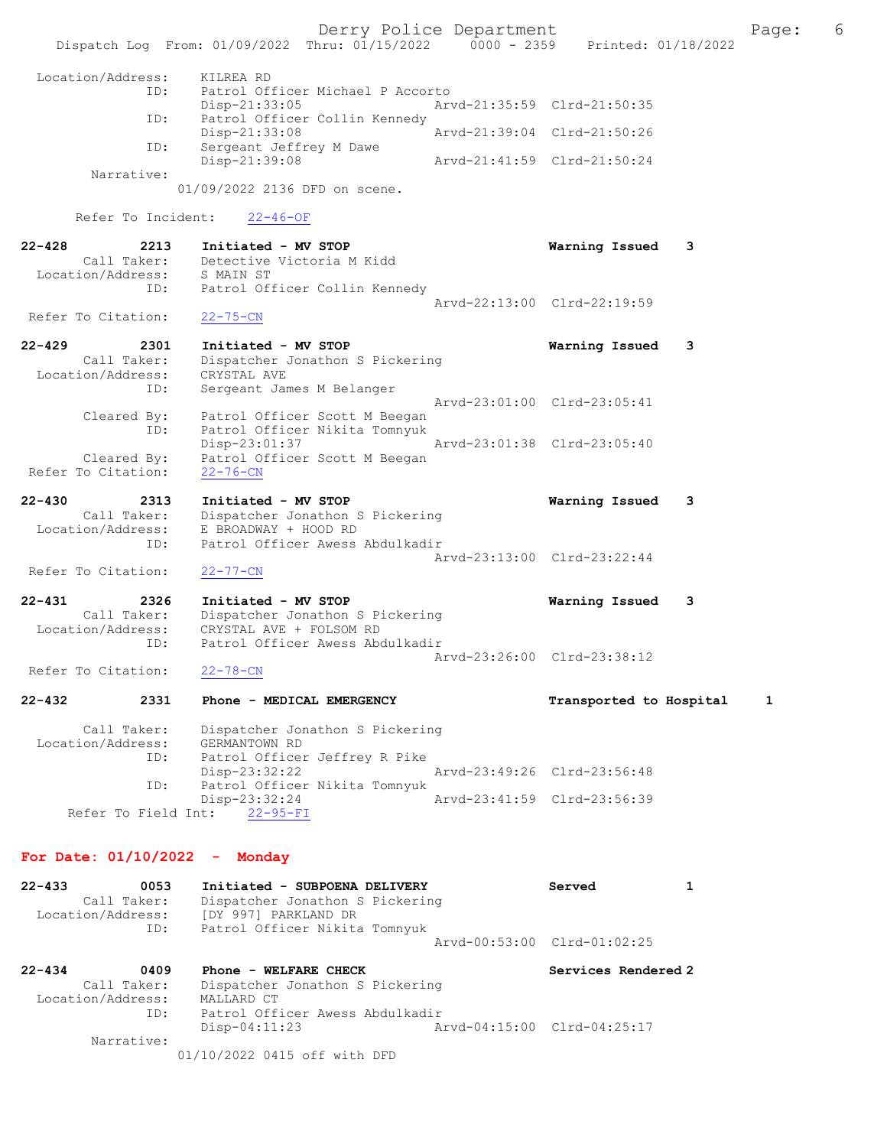Derry Police Department The Page: 6 Dispatch Log From: 01/09/2022 Thru: 01/15/2022 0000 - 2359 Printed: 01/18/2022 Location/Address: KILREA RD ID: Patrol Officer Michael P Accorto<br>Disp-21:33:05 Arv Disp-21:33:05 Arvd-21:35:59 Clrd-21:50:35 ID: Patrol Officer Collin Kennedy<br>Disp-21:33:08 Disp-21:33:08 Arvd-21:39:04 Clrd-21:50:26<br>ID: Sergeant Jeffrey M Dawe Sergeant Jeffrey M Dawe<br>Disp-21:39:08 Arvd-21:41:59 Clrd-21:50:24 Narrative: 01/09/2022 2136 DFD on scene. Refer To Incident: 22-46-OF 22-428 2213 Initiated - MV STOP Warning Issued 3 Call Taker: Detective Victoria M Kidd Location/Address: S MAIN ST ID: Patrol Officer Collin Kennedy Arvd-22:13:00 Clrd-22:19:59 Refer To Citation: 22-75-CN 22-429 2301 Initiated - MV STOP Warning Issued 3 Call Taker: Dispatcher Jonathon S Pickering Location/Address: CRYSTAL AVE ID: Sergeant James M Belanger Arvd-23:01:00 Clrd-23:05:41 Cleared By: Patrol Officer Scott M Beegan ID: Patrol Officer Nikita Tomnyuk Disp-23:01:37 Arvd-23:01:38 Clrd-23:05:40 Cleared By: Patrol Officer Scott M Beegan Refer To Citation: 22-76-CN 22-430 2313 Initiated - MV STOP Warning Issued 3 Call Taker: Dispatcher Jonathon S Pickering Location/Address: E BROADWAY + HOOD RD ID: Patrol Officer Awess Abdulkadir Arvd-23:13:00 Clrd-23:22:44 Refer To Citation: 22-77-CN 22-431 2326 Initiated - MV STOP Warning Issued 3 Call Taker: Dispatcher Jonathon S Pickering Location/Address: CRYSTAL AVE + FOLSOM RD Patrol Officer Awess Abdulkadir Arvd-23:26:00 Clrd-23:38:12<br>22-78-CN Refer To Citation: 22-432 2331 Phone - MEDICAL EMERGENCY Transported to Hospital 1 Call Taker: Dispatcher Jonathon S Pickering Location/Address: GERMANTOWN RD<br>TD: Patrol Officer Patrol Officer Jeffrey R Pike<br>Disp-23:32:22 Disp-23:32:22 Arvd-23:49:26 Clrd-23:56:48<br>ID: Patrol Officer Nikita Tomnyuk Patrol Officer Nikita Tomnyuk Disp-23:32:24 Arvd-23:41:59 Clrd-23:56:39 Refer To Field Int: 22-95-FI For Date: 01/10/2022 - Monday 22-433 0053 Initiated - SUBPOENA DELIVERY Served 1 Call Taker: Dispatcher Jonathon S Pickering Location/Address: [DY 997] PARKLAND DR ID: Patrol Officer Nikita Tomnyuk Arvd-00:53:00 Clrd-01:02:25

22-434 0409 Phone - WELFARE CHECK Services Rendered 2 Call Taker: Dispatcher Jonathon S Pickering Location/Address: MALLARD CT ID: Patrol Officer Awess Abdulkadir<br>Disp-04:11:23 A Arvd-04:15:00 Clrd-04:25:17 Narrative:

01/10/2022 0415 off with DFD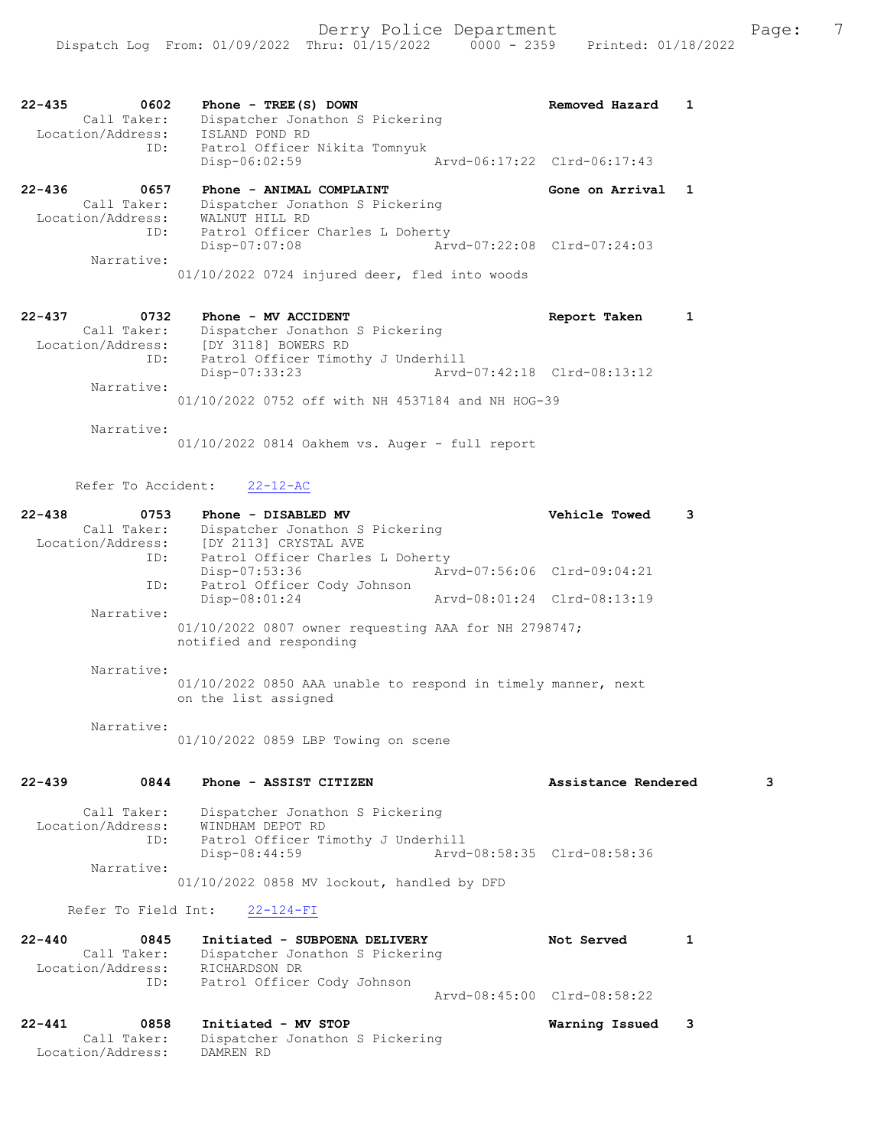| $22 - 435$<br>0602<br>Call Taker:<br>Location/Address:<br>ID: | Phone - $TREE(S)$ DOWN<br>Dispatcher Jonathon S Pickering<br>ISLAND POND RD<br>Patrol Officer Nikita Tomnyuk | Removed Hazard              |  |
|---------------------------------------------------------------|--------------------------------------------------------------------------------------------------------------|-----------------------------|--|
|                                                               | Disp-06:02:59                                                                                                | Arvd-06:17:22 Clrd-06:17:43 |  |
| $22 - 436$<br>0657<br>Call Taker:<br>Location/Address:        | Phone - ANIMAL COMPLAINT<br>Dispatcher Jonathon S Pickering                                                  | Gone on Arrival             |  |
| ID:                                                           | WALNUT HILL RD<br>Patrol Officer Charles L Doherty<br>Disp-07:07:08                                          | Aryd-07:22:08 Clrd-07:24:03 |  |

01/10/2022 0724 injured deer, fled into woods

## 22-437 0732 Phone - MV ACCIDENT Report Taken 1 Call Taker: Dispatcher Jonathon S Pickering<br>Location/Address: [DY 3118] BOWERS RD Location/Address: [DY 3118] BOWERS RD ID: Patrol Officer Timothy J Underhill Disp-07:33:23 Arvd-07:42:18 Clrd-08:13:12 Narrative: 01/10/2022 0752 off with NH 4537184 and NH HOG-39 Narrative:

01/10/2022 0814 Oakhem vs. Auger - full report

### Refer To Accident: 22-12-AC

| $22 - 438$<br>0753 | Phone - DISABLED MV                                                               | Vehicle Towed               | з |
|--------------------|-----------------------------------------------------------------------------------|-----------------------------|---|
| Call Taker:        | Dispatcher Jonathon S Pickering                                                   |                             |   |
| Location/Address:  | [DY 2113] CRYSTAL AVE                                                             |                             |   |
| ID:                | Patrol Officer Charles L Doherty                                                  |                             |   |
|                    | $Disp-07:53:36$                                                                   | Arvd-07:56:06 Clrd-09:04:21 |   |
| ID:                | Patrol Officer Cody Johnson                                                       |                             |   |
|                    | $Disp-08:01:24$                                                                   | Arvd-08:01:24 Clrd-08:13:19 |   |
| Narrative:         |                                                                                   |                             |   |
|                    | $01/10/2022$ 0807 owner requesting AAA for NH 2798747;<br>notified and responding |                             |   |
| Narrative:         |                                                                                   |                             |   |

01/10/2022 0850 AAA unable to respond in timely manner, next on the list assigned

#### Narrative:

01/10/2022 0859 LBP Towing on scene

| $22 - 439$<br>0844               | Phone - ASSIST CITIZEN                   |                                                                       | Assistance Rendered         | 3 |
|----------------------------------|------------------------------------------|-----------------------------------------------------------------------|-----------------------------|---|
| Call Taker:<br>Location/Address: | WINDHAM DEPOT RD<br>ID:<br>Disp-08:44:59 | Dispatcher Jonathon S Pickering<br>Patrol Officer Timothy J Underhill | Arvd-08:58:35 Clrd-08:58:36 |   |
| Narrative:                       |                                          | 01/10/2022 0858 MV lockout, handled by DFD                            |                             |   |
|                                  |                                          |                                                                       |                             |   |

#### Refer To Field Int: 22-124-FI

| $22 - 440$        | 0845        | Initiated - SUBPOENA DELIVERY   | Not Served                  | $\mathbf{1}$ |
|-------------------|-------------|---------------------------------|-----------------------------|--------------|
|                   | Call Taker: | Dispatcher Jonathon S Pickering |                             |              |
| Location/Address: |             | RICHARDSON DR                   |                             |              |
|                   | ID:         | Patrol Officer Cody Johnson     |                             |              |
|                   |             |                                 | Aryd-08:45:00 Clrd-08:58:22 |              |

#### 22-441 0858 Initiated - MV STOP Warning Issued 3 Call Taker: Dispatcher Jonathon S Pickering Location/Address: DAMREN RD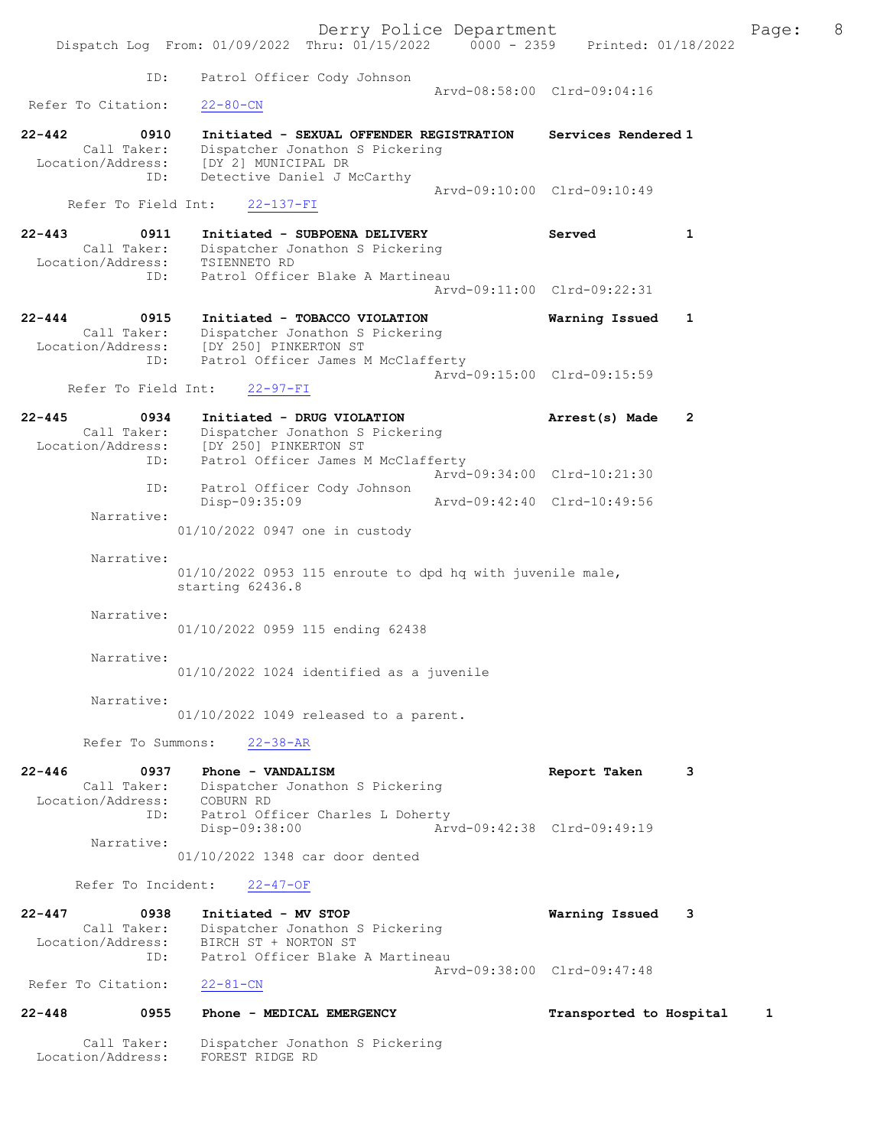|                                                               |                                                                                                                                                               | Derry Police Department     |                             |              | Page: | 8 |
|---------------------------------------------------------------|---------------------------------------------------------------------------------------------------------------------------------------------------------------|-----------------------------|-----------------------------|--------------|-------|---|
|                                                               | Dispatch Log From: 01/09/2022 Thru: 01/15/2022 0000 - 2359 Printed: 01/18/2022                                                                                |                             |                             |              |       |   |
| ID:                                                           | Patrol Officer Cody Johnson                                                                                                                                   | Arvd-08:58:00 Clrd-09:04:16 |                             |              |       |   |
| Refer To Citation:                                            | $22 - 80 - CN$                                                                                                                                                |                             |                             |              |       |   |
| $22 - 442$<br>0910<br>Call Taker:<br>ID:                      | Initiated - SEXUAL OFFENDER REGISTRATION<br>Dispatcher Jonathon S Pickering<br>Location/Address: [DY 2] MUNICIPAL DR<br>Detective Daniel J McCarthy           | Arvd-09:10:00 Clrd-09:10:49 | Services Rendered 1         |              |       |   |
| Refer To Field Int:                                           | $22 - 137 - FI$                                                                                                                                               |                             |                             |              |       |   |
| $22 - 443$<br>0911<br>Call Taker:<br>Location/Address:<br>ID: | Initiated - SUBPOENA DELIVERY<br>Dispatcher Jonathon S Pickering<br>TSIENNETO RD<br>Patrol Officer Blake A Martineau                                          |                             | Served                      | $\mathbf{1}$ |       |   |
|                                                               |                                                                                                                                                               | Arvd-09:11:00 Clrd-09:22:31 |                             |              |       |   |
| $22 - 444$<br>0915<br>ID:                                     | Initiated - TOBACCO VIOLATION<br>Call Taker: Dispatcher Jonathon S Pickering<br>Location/Address: [DY 250] PINKERTON ST<br>Patrol Officer James M McClafferty |                             | Warning Issued              | $\mathbf{1}$ |       |   |
| Refer To Field Int:                                           | $22 - 97 - FI$                                                                                                                                                |                             | Arvd-09:15:00 Clrd-09:15:59 |              |       |   |
| $22 - 445$<br>0934                                            | Initiated - DRUG VIOLATION<br>Call Taker: Dispatcher Jonathon S Pickering<br>Location/Address: [DY 250] PINKERTON ST                                          |                             | Arrest(s) Made              | 2            |       |   |
| ID:<br>ID:                                                    | Patrol Officer James M McClafferty<br>Patrol Officer Cody Johnson                                                                                             | Arvd-09:34:00 Clrd-10:21:30 |                             |              |       |   |
| Narrative:                                                    | Disp-09:35:09                                                                                                                                                 | Arvd-09:42:40 Clrd-10:49:56 |                             |              |       |   |
|                                                               | 01/10/2022 0947 one in custody                                                                                                                                |                             |                             |              |       |   |
| Narrative:                                                    | $01/10/2022$ 0953 115 enroute to dpd hq with juvenile male,<br>starting 62436.8                                                                               |                             |                             |              |       |   |
| Narrative:                                                    | 01/10/2022 0959 115 ending 62438                                                                                                                              |                             |                             |              |       |   |
| Narrative:                                                    | 01/10/2022 1024 identified as a juvenile                                                                                                                      |                             |                             |              |       |   |
| Narrative:                                                    | 01/10/2022 1049 released to a parent.                                                                                                                         |                             |                             |              |       |   |
| Refer To Summons:                                             | $22 - 38 - AR$                                                                                                                                                |                             |                             |              |       |   |
| $22 - 446$<br>0937<br>Location/Address: COBURN RD<br>ID:      | Phone - VANDALISM<br>Call Taker: Dispatcher Jonathon S Pickering<br>Patrol Officer Charles L Doherty                                                          |                             | Report Taken                | 3            |       |   |
| Narrative:                                                    | Disp-09:38:00                                                                                                                                                 | Arvd-09:42:38 Clrd-09:49:19 |                             |              |       |   |
|                                                               | 01/10/2022 1348 car door dented                                                                                                                               |                             |                             |              |       |   |
| Refer To Incident:                                            | $22 - 47 - OF$                                                                                                                                                |                             |                             |              |       |   |
| $22 - 447$<br>0938<br>Call Taker:<br>Location/Address:<br>ID: | Initiated - MV STOP<br>Dispatcher Jonathon S Pickering<br>BIRCH ST + NORTON ST<br>Patrol Officer Blake A Martineau                                            |                             | Warning Issued              | 3            |       |   |
| Refer To Citation:                                            | $22 - 81 - CN$                                                                                                                                                | Arvd-09:38:00 Clrd-09:47:48 |                             |              |       |   |
| $22 - 448$<br>0955                                            | Phone - MEDICAL EMERGENCY                                                                                                                                     |                             | Transported to Hospital     |              | 1     |   |
| Call Taker:                                                   | Dispatcher Jonathon S Pickering                                                                                                                               |                             |                             |              |       |   |

Location/Address: FOREST RIDGE RD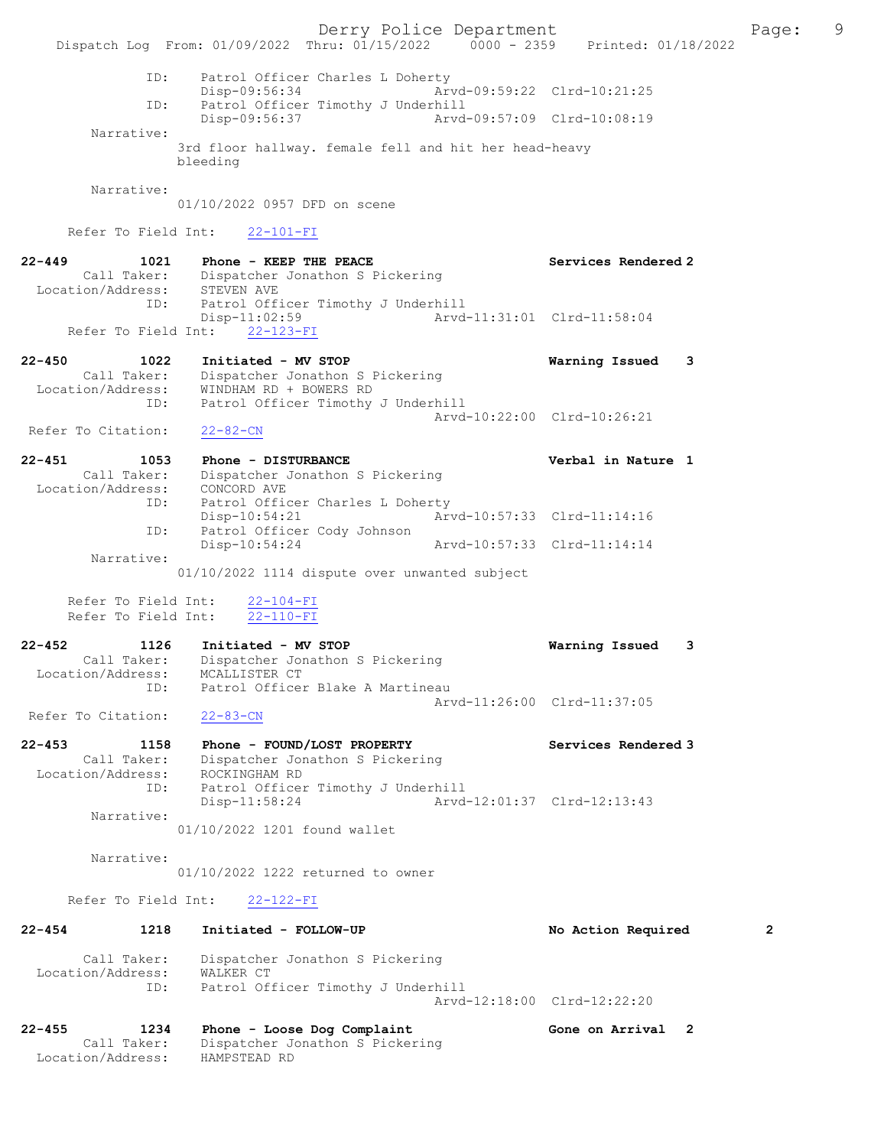Derry Police Department Fage: 9 Dispatch Log From: 01/09/2022 Thru: 01/15/2022 0000 - 2359 Printed: 01/18/2022 ID: Patrol Officer Charles L Doherty Disp-09:56:34 Arvd-09:59:22 Clrd-10:21:25<br>TD: Patrol Officer Timothy J Underbill Patrol Officer Timothy J Underhill Disp-09:56:37 Arvd-09:57:09 Clrd-10:08:19 Narrative: 3rd floor hallway. female fell and hit her head-heavy bleeding Narrative: 01/10/2022 0957 DFD on scene Refer To Field Int: 22-101-FI 22-449 1021 Phone - KEEP THE PEACE Services Rendered 2 Call Taker: Dispatcher Jonathon S Pickering Location/Address: STEVEN AVE ID: Patrol Officer Timothy J Underhill Disp-11:02:59 Arvd-11:31:01 Clrd-11:58:04 Refer To Field Int: 22-123-FI 22-450 1022 Initiated - MV STOP Warning Issued 3 Call Taker: Dispatcher Jonathon S Pickering Location/Address: WINDHAM RD + BOWERS RD ID: Patrol Officer Timothy J Underhill Arvd-10:22:00 Clrd-10:26:21 Refer To Citation: 22-82-CN 22-451 1053 Phone - DISTURBANCE 1 22-451 in Nature 1 Call Taker: Dispatcher Jonathon S Pickering Location/Address: CONCORD AVE ID: Patrol Officer Charles L Doherty Disp-10:54:21 Arvd-10:57:33 Clrd-11:14:16 ID: Patrol Officer Cody Johnson<br>Disp-10:54:24 Disp-10:54:24 Arvd-10:57:33 Clrd-11:14:14 Narrative: 01/10/2022 1114 dispute over unwanted subject Refer To Field Int: 22-104-FI Refer To Field Int: 22-110-FI 22-452 1126 Initiated - MV STOP Warning Issued 3 Call Taker: Dispatcher Jonathon S Pickering Location/Address: MCALLISTER CT ID: Patrol Officer Blake A Martineau Arvd-11:26:00 Clrd-11:37:05<br>22-83-CN Refer To Citation: 22-453 1158 Phone - FOUND/LOST PROPERTY Services Rendered 3 Call Taker: Dispatcher Jonathon S Pickering Location/Address: ROCKINGHAM RD ID: Patrol Officer Timothy J Underhill Disp-11:58:24 Arvd-12:01:37 Clrd-12:13:43 Narrative: 01/10/2022 1201 found wallet Narrative: 01/10/2022 1222 returned to owner Refer To Field Int: 22-122-FI 22-454 1218 Initiated - FOLLOW-UP No Action Required 2 Call Taker: Dispatcher Jonathon S Pickering Location/Address: WALKER CT ID: Patrol Officer Timothy J Underhill Arvd-12:18:00 Clrd-12:22:20 22-455 1234 Phone - Loose Dog Complaint Gone on Arrival 2 Call Taker: Dispatcher Jonathon S Pickering Location/Address: HAMPSTEAD RD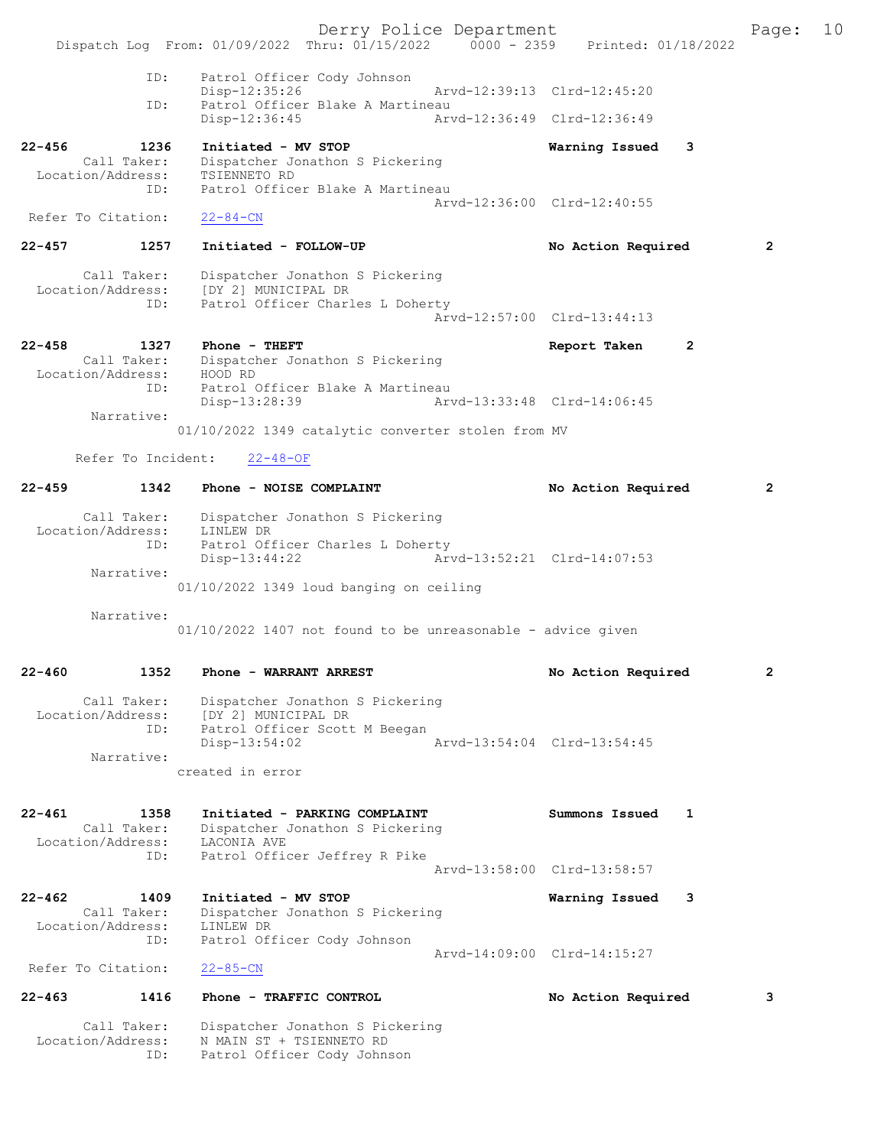Derry Police Department Fage: 10 Dispatch Log From: 01/09/2022 Thru: 01/15/2022 0000 - 2359 Printed: 01/18/2022 ID: Patrol Officer Cody Johnson Disp-12:35:26 Arvd-12:39:13 Clrd-12:45:20<br>TD: Patrol Officer Blake A Martineau Patrol Officer Blake A Martineau Disp-12:36:45 Arvd-12:36:49 Clrd-12:36:49 22-456 1236 Initiated - MV STOP Warning Issued 3 Call Taker: Dispatcher Jonathon S Pickering Location/Address: TSIENNETO RD ID: Patrol Officer Blake A Martineau Patrol Officer Blake A Martineau<br>Arvd-12:36:00 Clrd-12:40:55 Refer To Citation: 22-84-CN 22-457 1257 Initiated - FOLLOW-UP No Action Required 2 Call Taker: Dispatcher Jonathon S Pickering Location/Address: [DY 2] MUNICIPAL DR ID: Patrol Officer Charles L Doherty Arvd-12:57:00 Clrd-13:44:13 22-458 1327 Phone - THEFT Report Taken 2 Call Taker: Dispatcher Jonathon S Pickering Location/Address: HOOD RD ID: Patrol Officer Blake A Martineau Disp-13:28:39 Arvd-13:33:48 Clrd-14:06:45 Narrative: 01/10/2022 1349 catalytic converter stolen from MV Refer To Incident: 22-48-OF 22-459 1342 Phone - NOISE COMPLAINT No Action Required 2 Call Taker: Dispatcher Jonathon S Pickering Location/Address: LINLEW DR ID: Patrol Officer Charles L Doherty Disp-13:44:22 Arvd-13:52:21 Clrd-14:07:53 Narrative: 01/10/2022 1349 loud banging on ceiling Narrative: 01/10/2022 1407 not found to be unreasonable - advice given 22-460 1352 Phone - WARRANT ARREST No Action Required 2 Call Taker: Dispatcher Jonathon S Pickering Location/Address: [DY 2] MUNICIPAL DR ID: Patrol Officer Scott M Beegan Disp-13:54:02 Arvd-13:54:04 Clrd-13:54:45 Narrative: created in error 22-461 1358 Initiated - PARKING COMPLAINT Summons Issued 1 Call Taker: Dispatcher Jonathon S Pickering Location/Address: LACONIA AVE ID: Patrol Officer Jeffrey R Pike Arvd-13:58:00 Clrd-13:58:57 22-462 1409 Initiated - MV STOP Warning Issued 3 Call Taker: Dispatcher Jonathon S Pickering<br>ion/Address: LINLEW DR Location/Address:<br>ID. Patrol Officer Cody Johnson Arvd-14:09:00 Clrd-14:15:27<br>22-85-CN Refer To Citation: 22-463 1416 Phone - TRAFFIC CONTROL No Action Required 3 Call Taker: Dispatcher Jonathon S Pickering Location/Address: N MAIN ST + TSIENNETO RD ID: Patrol Officer Cody Johnson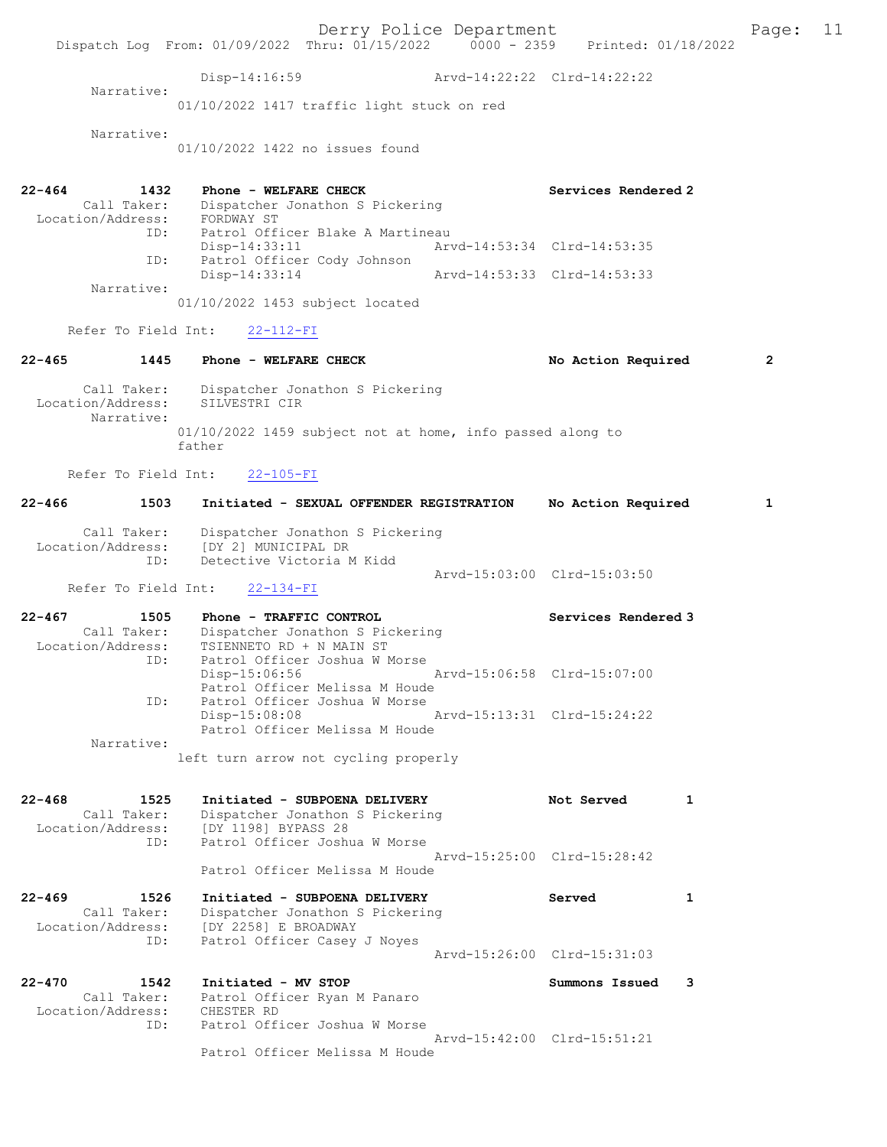Derry Police Department Fage: 11 Dispatch Log From: 01/09/2022 Thru: 01/15/2022 0000 - 2359 Printed: 01/18/2022 Disp-14:16:59 Arvd-14:22:22 Clrd-14:22:22 Narrative: 01/10/2022 1417 traffic light stuck on red Narrative: 01/10/2022 1422 no issues found 22-464 1432 Phone - WELFARE CHECK Services Rendered 2 Call Taker: Dispatcher Jonathon S Pickering Location/Address: FORDWAY ST ID: Patrol Officer Blake A Martineau<br>Disp-14:33:11 Art Disp-14:33:11 Arvd-14:53:34 Clrd-14:53:35<br>ID: Patrol Officer Cody Johnson<br>Disp-14:33:14 Arvd-14:53:33 Clrd-14:53:33 Patrol Officer Cody Johnson Disp-14:33:14 Arvd-14:53:33 Clrd-14:53:33 Narrative: 01/10/2022 1453 subject located Refer To Field Int: 22-112-FI 22-465 1445 Phone - WELFARE CHECK No Action Required 2 Call Taker: Dispatcher Jonathon S Pickering Location/Address: SILVESTRI CIR Narrative: 01/10/2022 1459 subject not at home, info passed along to father Refer To Field Int: 22-105-FI 22-466 1503 Initiated - SEXUAL OFFENDER REGISTRATION No Action Required 1 Call Taker: Dispatcher Jonathon S Pickering Location/Address: [DY 2] MUNICIPAL DR ID: Detective Victoria M Kidd Arvd-15:03:00 Clrd-15:03:50 Refer To Field Int: 22-134-FI 22-467 1505 Phone - TRAFFIC CONTROL Services Rendered 3 Call Taker: Dispatcher Jonathon S Pickering Location/Address: TSIENNETO RD + N MAIN ST ID: Patrol Officer Joshua W Morse Disp-15:06:56 Arvd-15:06:58 Clrd-15:07:00 Patrol Officer Melissa M Houde ID: Patrol Officer Joshua W Morse Disp-15:08:08 Arvd-15:13:31 Clrd-15:24:22 Patrol Officer Melissa M Houde Narrative: left turn arrow not cycling properly 22-468 1525 Initiated - SUBPOENA DELIVERY Not Served 1 Call Taker: Dispatcher Jonathon S Pickering Location/Address: [DY 1198] BYPASS 28<br>ID: Patrol Officer Joshu Patrol Officer Joshua W Morse Arvd-15:25:00 Clrd-15:28:42 Patrol Officer Melissa M Houde 22-469 1526 Initiated - SUBPOENA DELIVERY Served 1 Call Taker: Dispatcher Jonathon S Pickering<br>Location/Address: [DY 2258] E BROADWAY [DY 2258] E BROADWAY ID: Patrol Officer Casey J Noyes Arvd-15:26:00 Clrd-15:31:03 22-470 1542 Initiated - MV STOP Summons Issued 3 Call Taker: Patrol Officer Ryan M Panaro<br>cion/Address: CHESTER RD Location/Address:<br>TD: Patrol Officer Joshua W Morse Arvd-15:42:00 Clrd-15:51:21 Patrol Officer Melissa M Houde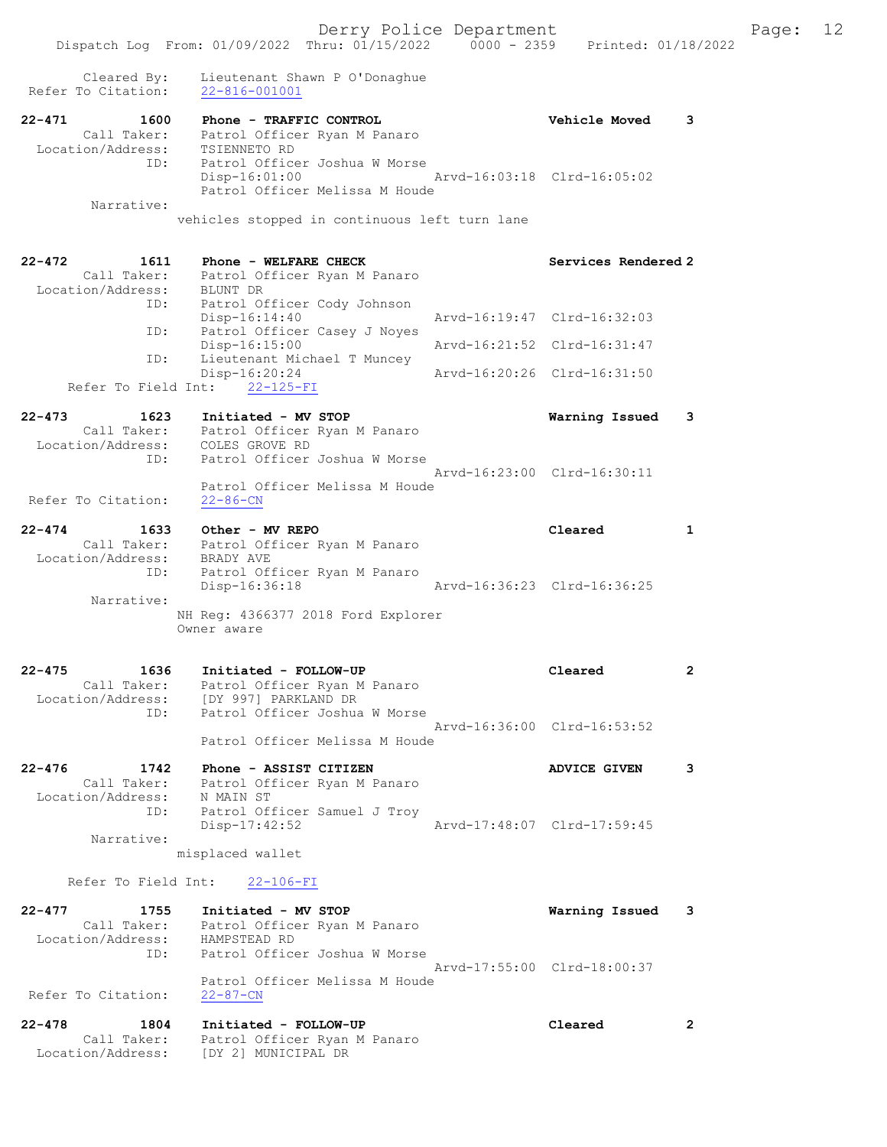|                                                               | Dispatch Log From: 01/09/2022 Thru: 01/15/2022                                                                              | 0000 - 2359 Printed: 01/18/2022                          |
|---------------------------------------------------------------|-----------------------------------------------------------------------------------------------------------------------------|----------------------------------------------------------|
| Cleared By:<br>Refer To Citation:                             | Lieutenant Shawn P O'Donaghue<br>$22 - 816 - 001001$                                                                        |                                                          |
| $22 - 471$<br>1600<br>Call Taker:<br>Location/Address:<br>ID: | Phone - TRAFFIC CONTROL<br>Patrol Officer Ryan M Panaro<br>TSIENNETO RD<br>Patrol Officer Joshua W Morse<br>$Disp-16:01:00$ | <b>Vehicle Moved</b><br>3<br>Arvd-16:03:18 Clrd-16:05:02 |
| Narrative:                                                    | Patrol Officer Melissa M Houde<br>vehicles stopped in continuous left turn lane                                             |                                                          |
| $22 - 472$<br>1611<br>Call Taker:<br>Location/Address:        | Phone - WELFARE CHECK<br>Patrol Officer Ryan M Panaro<br>BLUNT DR                                                           | Services Rendered 2                                      |
| ID:<br>ID:                                                    | Patrol Officer Cody Johnson<br>$Disp-16:14:40$<br>Patrol Officer Casey J Noyes                                              | Arvd-16:19:47 Clrd-16:32:03                              |
| ID:                                                           | $Disp-16:15:00$<br>Lieutenant Michael T Muncey                                                                              | Arvd-16:21:52 Clrd-16:31:47                              |
| Refer To Field Int:                                           | $Disp-16:20:24$<br>$22 - 125 - FI$                                                                                          | Arvd-16:20:26 Clrd-16:31:50                              |
| $22 - 473$<br>1623<br>Location/Address:<br>ID:                | Initiated - MV STOP<br>Call Taker: Patrol Officer Ryan M Panaro<br>COLES GROVE RD<br>Patrol Officer Joshua W Morse          | Warning Issued<br>3                                      |
| Refer To Citation:                                            | Patrol Officer Melissa M Houde<br>$22 - 86 - CN$                                                                            | Arvd-16:23:00 Clrd-16:30:11                              |
| $22 - 474$<br>1633<br>Call Taker:<br>Location/Address:<br>ID: | Other - MV REPO<br>Patrol Officer Ryan M Panaro<br>BRADY AVE<br>Patrol Officer Ryan M Panaro                                | Cleared<br>1                                             |
| Narrative:                                                    | Disp-16:36:18                                                                                                               | Arvd-16:36:23 Clrd-16:36:25                              |
|                                                               | NH Reg: 4366377 2018 Ford Explorer<br>Owner aware                                                                           |                                                          |
| $22 - 475$<br>1636<br>Call Taker:<br>Location/Address:<br>ID: | Initiated - FOLLOW-UP<br>Patrol Officer Ryan M Panaro<br>[DY 997] PARKLAND DR<br>Patrol Officer Joshua W Morse              | Cleared<br>2                                             |
|                                                               | Patrol Officer Melissa M Houde                                                                                              | Arvd-16:36:00 Clrd-16:53:52                              |
| $22 - 476$<br>1742<br>Call Taker:<br>Location/Address:<br>ID: | Phone - ASSIST CITIZEN<br>Patrol Officer Ryan M Panaro<br>N MAIN ST<br>Patrol Officer Samuel J Troy                         | 3<br><b>ADVICE GIVEN</b>                                 |
| Narrative:                                                    | $Disp-17:42:52$<br>misplaced wallet                                                                                         | Arvd-17:48:07 Clrd-17:59:45                              |
| Refer To Field Int:                                           | $22 - 106 - FI$                                                                                                             |                                                          |
| $22 - 477$<br>1755<br>Call Taker:<br>Location/Address:<br>ID: | Initiated - MV STOP<br>Patrol Officer Ryan M Panaro<br>HAMPSTEAD RD<br>Patrol Officer Joshua W Morse                        | Warning Issued<br>3                                      |
| Refer To Citation:                                            | Patrol Officer Melissa M Houde<br>$22 - 87 - CN$                                                                            | Arvd-17:55:00 Clrd-18:00:37                              |
| $22 - 478$<br>1804<br>Call Taker:<br>Location/Address:        | Initiated - FOLLOW-UP<br>Patrol Officer Ryan M Panaro<br>[DY 2] MUNICIPAL DR                                                | Cleared<br>2                                             |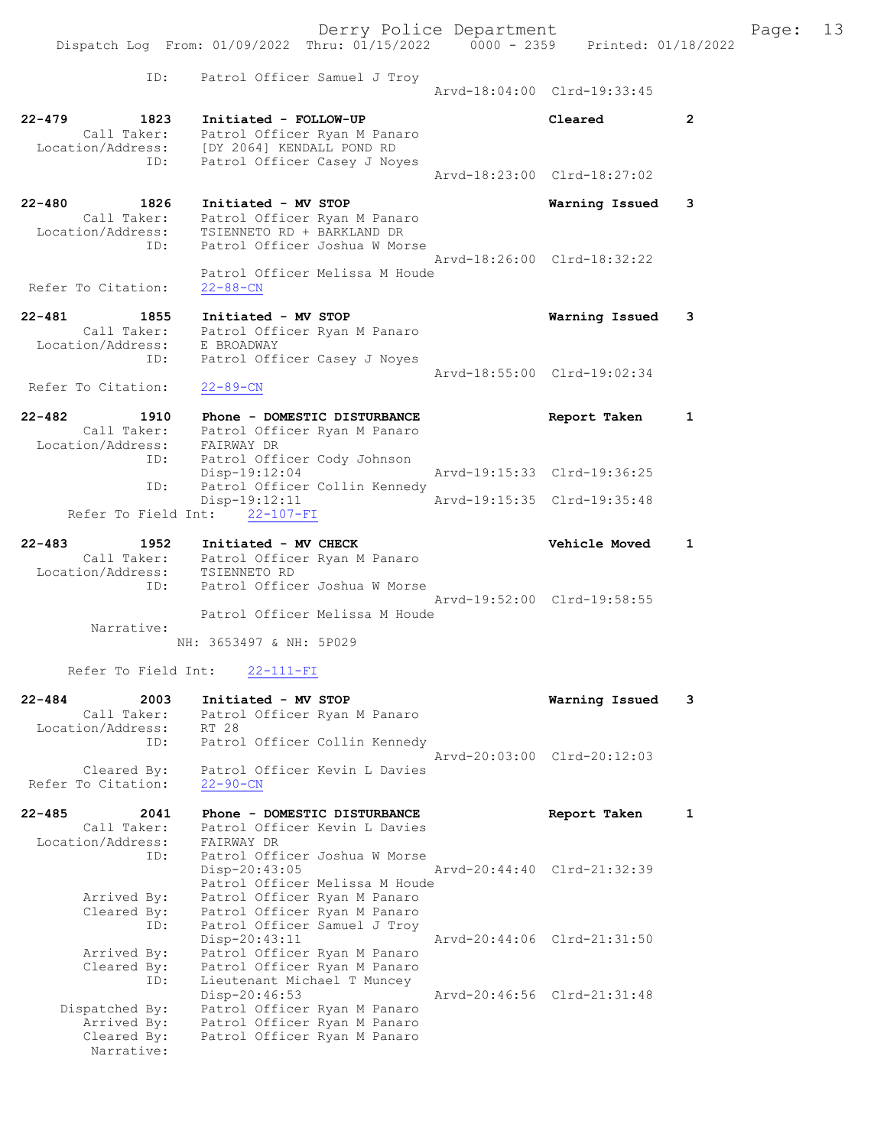|                                                             | Dispatch Log From: 01/09/2022 Thru: 01/15/2022 0000 - 2359 Printed: 01/18/2022                                                                   | Derry Police Department |                                                     |                | Page: 13 |  |
|-------------------------------------------------------------|--------------------------------------------------------------------------------------------------------------------------------------------------|-------------------------|-----------------------------------------------------|----------------|----------|--|
| ID:                                                         | Patrol Officer Samuel J Troy                                                                                                                     |                         | Arvd-18:04:00 Clrd-19:33:45                         |                |          |  |
| $22 - 479$<br>1823<br>ID:                                   | Initiated - FOLLOW-UP<br>Call Taker: Patrol Officer Ryan M Panaro<br>Location/Address: [DY 2064] KENDALL POND RD<br>Patrol Officer Casey J Noyes |                         | Cleared                                             | $\overline{2}$ |          |  |
|                                                             |                                                                                                                                                  |                         | Arvd-18:23:00 Clrd-18:27:02                         |                |          |  |
| $22 - 480$<br>1826<br>Location/Address:                     | Initiated - MV STOP<br>Call Taker: Patrol Officer Ryan M Panaro<br>TSIENNETO RD + BARKLAND DR                                                    |                         | Warning Issued                                      | 3              |          |  |
| ID:                                                         | Patrol Officer Joshua W Morse<br>Patrol Officer Melissa M Houde                                                                                  |                         | Arvd-18:26:00 Clrd-18:32:22                         |                |          |  |
| Refer To Citation:                                          | $22 - 88 - CN$                                                                                                                                   |                         |                                                     |                |          |  |
| $22 - 481$<br>1855                                          | Initiated - MV STOP<br>Call Taker: Patrol Officer Ryan M Panaro                                                                                  |                         | Warning Issued                                      | 3              |          |  |
| Location/Address:<br>ID:                                    | E BROADWAY<br>Patrol Officer Casey J Noyes                                                                                                       |                         | Arvd-18:55:00 Clrd-19:02:34                         |                |          |  |
| Refer To Citation:                                          | $22 - 89 - CN$                                                                                                                                   |                         |                                                     |                |          |  |
| $22 - 482$<br>1910                                          | Phone - DOMESTIC DISTURBANCE<br>Call Taker: Patrol Officer Ryan M Panaro<br>Location/Address: FAIRWAY DR                                         |                         | Report Taken                                        | 1              |          |  |
| ID:                                                         | Patrol Officer Cody Johnson<br>$Disp-19:12:04$                                                                                                   |                         | Arvd-19:15:33 Clrd-19:36:25                         |                |          |  |
| ID:                                                         | Patrol Officer Collin Kennedy                                                                                                                    |                         |                                                     |                |          |  |
| Refer To Field Int:                                         | $Disp-19:12:11$<br>$22 - 107 - FI$                                                                                                               |                         | Arvd-19:15:35 Clrd-19:35:48                         |                |          |  |
|                                                             |                                                                                                                                                  |                         |                                                     |                |          |  |
| $22 - 483$<br>1952<br>Location/Address: TSIENNETO RD<br>ID: | Initiated - MV CHECK<br>Call Taker: Patrol Officer Ryan M Panaro<br>Patrol Officer Joshua W Morse                                                |                         | <b>Vehicle Moved</b><br>Arvd-19:52:00 Clrd-19:58:55 | 1              |          |  |
|                                                             | Patrol Officer Melissa M Houde                                                                                                                   |                         |                                                     |                |          |  |
| Narrative:                                                  | NH: 3653497 & NH: 5P029                                                                                                                          |                         |                                                     |                |          |  |
|                                                             |                                                                                                                                                  |                         |                                                     |                |          |  |
| Refer To Field Int:                                         | $22 - 111 - FI$                                                                                                                                  |                         |                                                     |                |          |  |
| 2003<br>$22 - 484$<br>- - - -                               | Initiated - MV STOP                                                                                                                              |                         | Warning Issued                                      | 3              |          |  |

| Call Taker:        | Patrol Officer Ryan M Panaro                                 |
|--------------------|--------------------------------------------------------------|
| Location/Address:  | RT 28                                                        |
| ID:                | Patrol Officer Collin Kennedy<br>Aryd-20:03:00 Clrd-20:12:03 |
| Cleared By:        | Patrol Officer Kevin L Davies                                |
| Refer To Citation: | $22 - 90 - CN$                                               |

| 22-485<br>2041               | Phone - DOMESTIC DISTURBANCE             |                             | Report Taken                |  |
|------------------------------|------------------------------------------|-----------------------------|-----------------------------|--|
| Call Taker:                  | Patrol Officer Kevin L Davies            |                             |                             |  |
| Location/Address: FAIRWAY DR |                                          |                             |                             |  |
| ID:                          | Patrol Officer Joshua W Morse            |                             |                             |  |
|                              | Disp-20:43:05                            | Arvd-20:44:40 Clrd-21:32:39 |                             |  |
|                              | Patrol Officer Melissa M Houde           |                             |                             |  |
| Arrived By:                  | Patrol Officer Ryan M Panaro             |                             |                             |  |
|                              | Cleared By: Patrol Officer Ryan M Panaro |                             |                             |  |
|                              | ID: Patrol Officer Samuel J Troy         |                             |                             |  |
|                              | Disp-20:43:11                            | Arvd-20:44:06 Clrd-21:31:50 |                             |  |
| Arrived By:                  | Patrol Officer Ryan M Panaro             |                             |                             |  |
| Cleared By:                  | Patrol Officer Ryan M Panaro             |                             |                             |  |
|                              | ID: Lieutenant Michael T Muncey          |                             |                             |  |
|                              | $Disp-20:46:53$                          |                             | Arvd-20:46:56 Clrd-21:31:48 |  |
| Dispatched By:               | Patrol Officer Ryan M Panaro             |                             |                             |  |
| Arrived By:                  | Patrol Officer Ryan M Panaro             |                             |                             |  |
|                              | Cleared By: Patrol Officer Ryan M Panaro |                             |                             |  |
| Narrative:                   |                                          |                             |                             |  |
|                              |                                          |                             |                             |  |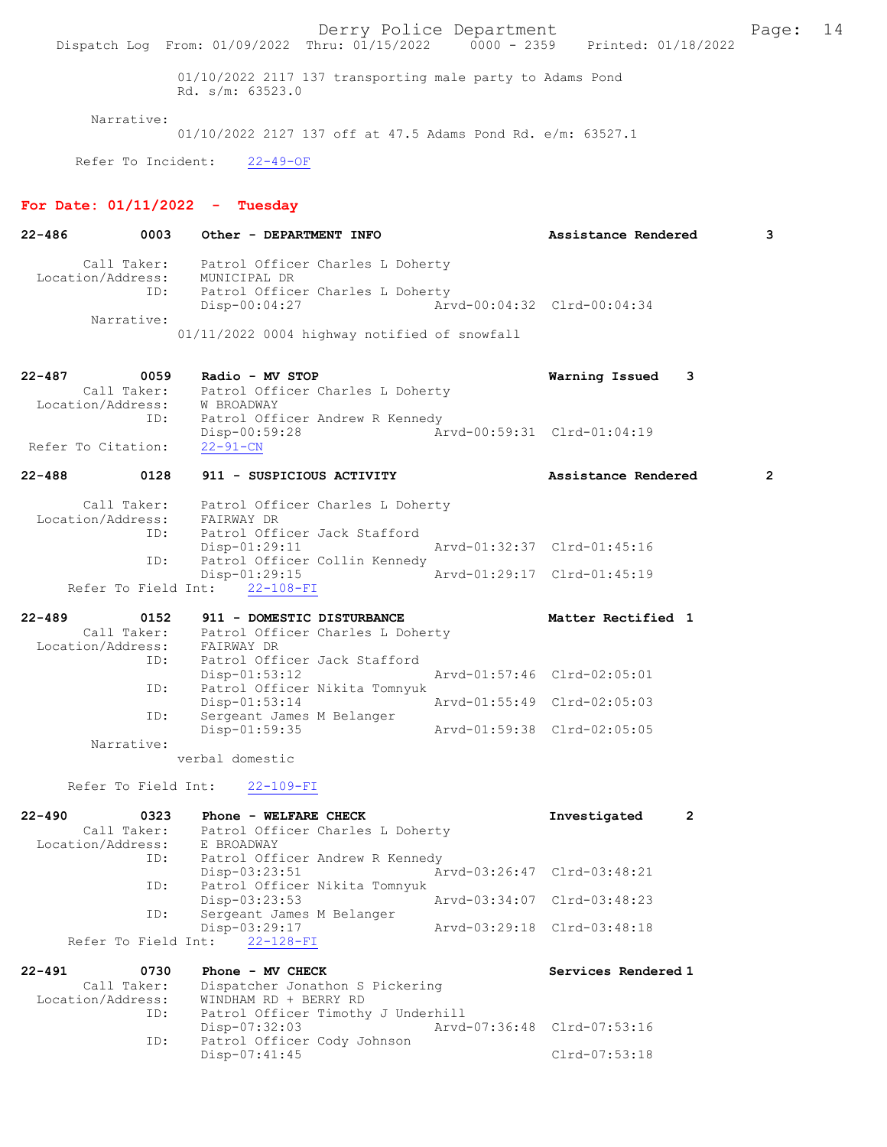Derry Police Department Fage: 14 Dispatch Log From: 01/09/2022 Thru: 01/15/2022 0000 - 2359 Printed: 01/18/2022 01/10/2022 2117 137 transporting male party to Adams Pond Rd. s/m: 63523.0 Narrative: 01/10/2022 2127 137 off at 47.5 Adams Pond Rd. e/m: 63527.1 Refer To Incident: 22-49-OF For Date:  $01/11/2022 -$  Tuesday 22-486 0003 Other - DEPARTMENT INFO Assistance Rendered 3 Call Taker: Patrol Officer Charles L Doherty Location/Address: MUNICIPAL DR ID: Patrol Officer Charles L Doherty Disp-00:04:27 Arvd-00:04:32 Clrd-00:04:34 Narrative: 01/11/2022 0004 highway notified of snowfall 22-487 0059 Radio - MV STOP Warning Issued 3 Call Taker: Patrol Officer Charles L Doherty Location/Address: W BROADWAY ID: Patrol Officer Andrew R Kennedy Disp-00:59:28 Arvd-00:59:31 Clrd-01:04:19 Refer To Citation: 22-488 0128 911 - SUSPICIOUS ACTIVITY Assistance Rendered 2 Call Taker: Patrol Officer Charles L Doherty Location/Address: FAIRWAY DR ID: Patrol Officer Jack Stafford Disp-01:29:11 Arvd-01:32:37 Clrd-01:45:16 ID: Patrol Officer Collin Kennedy<br>Disp-01:29:15 Arvd-01:29:17 Clrd-01:45:19 Refer To Field Int: 22-108-FI 22-489 0152 911 - DOMESTIC DISTURBANCE Matter Rectified 1 Call Taker: Patrol Officer Charles L Doherty Location/Address: FAIRWAY DR ID: Patrol Officer Jack Stafford<br>Disp-01:53:12 Disp-01:53:12 Arvd-01:57:46 Clrd-02:05:01<br>ID: Patrol Officer Nikita Tomnyuk ID: Patrol Officer Nikita Tomnyuk Disp-01:53:14 Arvd-01:55:49 Clrd-02:05:03 ID: Sergeant James M Belanger Disp-01:59:35 Arvd-01:59:38 Clrd-02:05:05 Narrative: verbal domestic Refer To Field Int: 22-109-FI 22-490 0323 Phone - WELFARE CHECK Investigated 2<br>Call Taker: Patrol Officer Charles L Doherty Patrol Officer Charles L Doherty<br>E BROADWAY Location/Address: ID: Patrol Officer Andrew R Kennedy Disp-03:23:51 Arvd-03:26:47 Clrd-03:48:21 ID: Patrol Officer Nikita Tomnyuk Disp-03:23:53 Arvd-03:34:07 Clrd-03:48:23 ID: Sergeant James M Belanger Disp-03:29:17 Arvd-03:29:18 Clrd-03:48:18 Refer To Field Int: 22-128-FI 22-491 0730 Phone - MV CHECK Services Rendered 1 Call Taker: Dispatcher Jonathon S Pickering Call Taker: Dispatcher Jonathon S Pickering Location/Address: WINDHAM RD + BERRY RD ID: Patrol Officer Timothy J Underhill<br>Disp-07:32:03 Arvd-Disp-07:32:03 Arvd-07:36:48 Clrd-07:53:16<br>ID: Patrol Officer Cody Johnson Patrol Officer Cody Johnson Disp-07:41:45 Clrd-07:53:18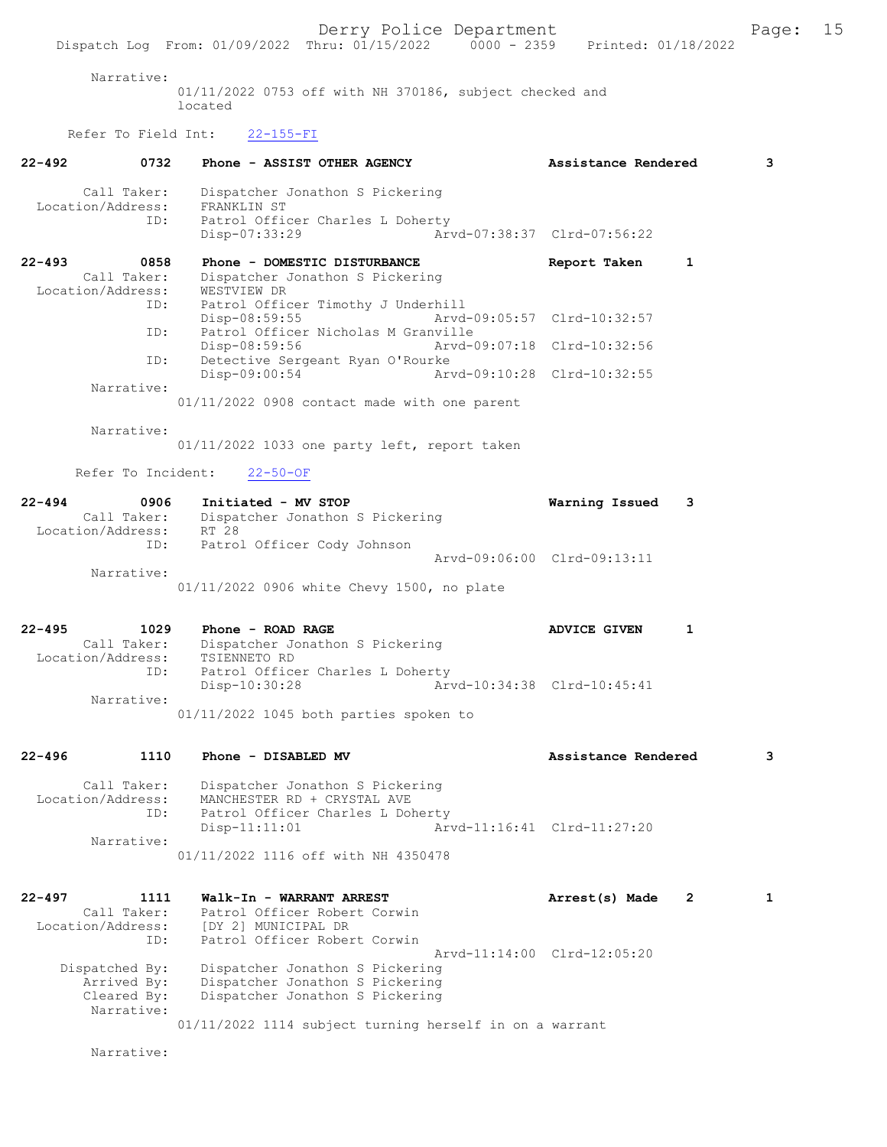Narrative:

01/11/2022 0753 off with NH 370186, subject checked and located

### Refer To Field Int: 22-155-FI

| $22 - 492$<br>0732                      | Phone - ASSIST OTHER AGENCY                                                                         | Assistance Rendered              | 3            |
|-----------------------------------------|-----------------------------------------------------------------------------------------------------|----------------------------------|--------------|
| Call Taker:<br>Location/Address:<br>ID: | Dispatcher Jonathon S Pickering<br>FRANKLIN ST<br>Patrol Officer Charles L Doherty<br>Disp-07:33:29 | Arvd-07:38:37 Clrd-07:56:22      |              |
| $22 - 493$<br>0858                      | Phone - DOMESTIC DISTURBANCE                                                                        | 1<br>Report Taken                |              |
| Call Taker:                             | Dispatcher Jonathon S Pickering                                                                     |                                  |              |
| Location/Address:<br>ID:                | WESTVIEW DR<br>Patrol Officer Timothy J Underhill                                                   |                                  |              |
|                                         | Disp-08:59:55                                                                                       | Arvd-09:05:57 Clrd-10:32:57      |              |
| ID:                                     | Patrol Officer Nicholas M Granville                                                                 |                                  |              |
| ID:                                     | Disp-08:59:56<br>Detective Sergeant Ryan O'Rourke                                                   | Arvd-09:07:18 Clrd-10:32:56      |              |
|                                         | Disp-09:00:54                                                                                       | Arvd-09:10:28 Clrd-10:32:55      |              |
| Narrative:                              |                                                                                                     |                                  |              |
|                                         | 01/11/2022 0908 contact made with one parent                                                        |                                  |              |
| Narrative:                              |                                                                                                     |                                  |              |
|                                         | 01/11/2022 1033 one party left, report taken                                                        |                                  |              |
| Refer To Incident:                      | $22 - 50 - OF$                                                                                      |                                  |              |
|                                         |                                                                                                     |                                  |              |
| $22 - 494$<br>0906                      | Initiated - MV STOP                                                                                 | Warning Issued<br>3              |              |
| Call Taker:<br>Location/Address:        | Dispatcher Jonathon S Pickering<br>RT 28                                                            |                                  |              |
| ID:                                     | Patrol Officer Cody Johnson                                                                         |                                  |              |
| Narrative:                              |                                                                                                     | Arvd-09:06:00 Clrd-09:13:11      |              |
|                                         | 01/11/2022 0906 white Chevy 1500, no plate                                                          |                                  |              |
|                                         |                                                                                                     |                                  |              |
| $22 - 495$<br>1029                      | Phone - ROAD RAGE                                                                                   | ADVICE GIVEN<br>1                |              |
| Call Taker:                             | Dispatcher Jonathon S Pickering                                                                     |                                  |              |
| Location/Address:                       | TSIENNETO RD                                                                                        |                                  |              |
| ID:                                     | Patrol Officer Charles L Doherty<br>$Disp-10:30:28$                                                 | Arvd-10:34:38 Clrd-10:45:41      |              |
| Narrative:                              |                                                                                                     |                                  |              |
|                                         | 01/11/2022 1045 both parties spoken to                                                              |                                  |              |
|                                         |                                                                                                     |                                  |              |
| $22 - 496$<br>1110                      | Phone - DISABLED MV                                                                                 | Assistance Rendered              | 3            |
| Call Taker:                             | Dispatcher Jonathon S Pickering                                                                     |                                  |              |
| Location/Address:                       | MANCHESTER RD + CRYSTAL AVE                                                                         |                                  |              |
| ID:                                     | Patrol Officer Charles L Doherty                                                                    |                                  |              |
| Narrative:                              | Disp-11:11:01                                                                                       | Arvd-11:16:41 Clrd-11:27:20      |              |
|                                         | 01/11/2022 1116 off with NH 4350478                                                                 |                                  |              |
|                                         |                                                                                                     |                                  |              |
| $22 - 497$<br>1111                      | Walk-In - WARRANT ARREST                                                                            | Arrest(s) Made<br>$\overline{2}$ | $\mathbf{1}$ |
| Call Taker:                             | Patrol Officer Robert Corwin                                                                        |                                  |              |
| Location/Address:                       | [DY 2] MUNICIPAL DR                                                                                 |                                  |              |
| ID:                                     | Patrol Officer Robert Corwin                                                                        | Arvd-11:14:00 Clrd-12:05:20      |              |
| Dispatched By:                          | Dispatcher Jonathon S Pickering                                                                     |                                  |              |
| Arrived By:                             | Dispatcher Jonathon S Pickering                                                                     |                                  |              |
| Cleared By:<br>Narrative:               | Dispatcher Jonathon S Pickering                                                                     |                                  |              |
|                                         | 01/11/2022 1114 subject turning herself in on a warrant                                             |                                  |              |

Narrative: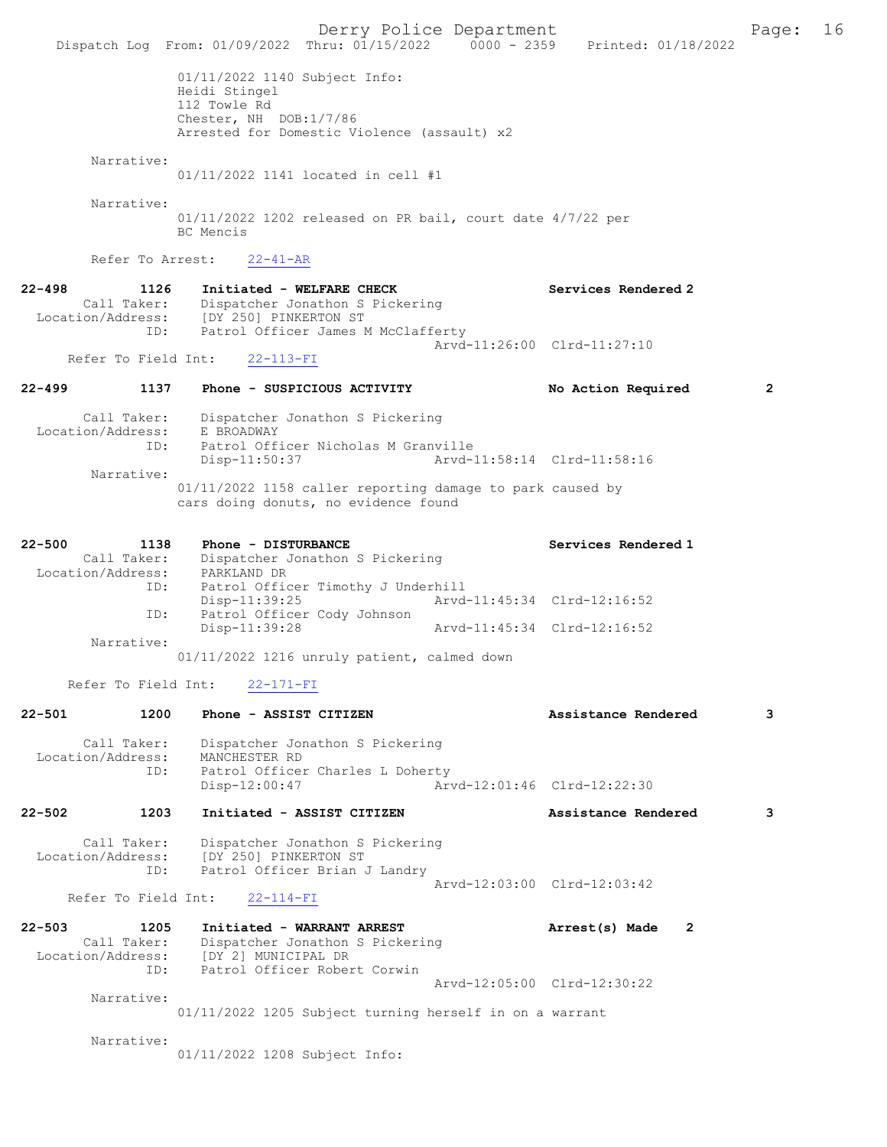Derry Police Department Fage: 16 Dispatch Log From: 01/09/2022 Thru: 01/15/2022 0000 - 2359 Printed: 01/18/2022 01/11/2022 1140 Subject Info: Heidi Stingel 112 Towle Rd Chester, NH DOB:1/7/86 Arrested for Domestic Violence (assault) x2 Narrative: 01/11/2022 1141 located in cell #1 Narrative: 01/11/2022 1202 released on PR bail, court date 4/7/22 per BC Mencis Refer To Arrest: 22-41-AR 22-498 1126 Initiated - WELFARE CHECK Services Rendered 2 Call Taker: Dispatcher Jonathon S Pickering Location/Address: [DY 250] PINKERTON ST ID: Patrol Officer James M McClafferty Arvd-11:26:00 Clrd-11:27:10 Refer To Field Int: 22-113-FI 22-499 1137 Phone - SUSPICIOUS ACTIVITY No Action Required 2 Call Taker: Dispatcher Jonathon S Pickering Location/Address: E BROADWAY ID: Patrol Officer Nicholas M Granville Disp-11:50:37 Narrative: 01/11/2022 1158 caller reporting damage to park caused by cars doing donuts, no evidence found 22-500 1138 Phone - DISTURBANCE Services Rendered 1 Call Taker: Dispatcher Jonathon S Pickering Location/Address: PARKLAND DR esso: Internal Officer Timothy J Underhill<br>Disp-11:39:25 Arvd-Arvd-11:45:34 Clrd-12:16:52 ID: Patrol Officer Cody Johnson<br>Disp-11:39:28 Arvd-11:45:34 Clrd-12:16:52 Narrative: 01/11/2022 1216 unruly patient, calmed down Refer To Field Int: 22-171-FI 22-501 1200 Phone - ASSIST CITIZEN Assistance Rendered 3 Call Taker: Dispatcher Jonathon S Pickering<br>Location/Address: MANCHESTER RD Location/Address: MANCHESTER RD ID: Patrol Officer Charles L Doherty Disp-12:00:47 Arvd-12:01:46 Clrd-12:22:30 22-502 1203 Initiated - ASSIST CITIZEN Assistance Rendered 3 Call Taker: Dispatcher Jonathon S Pickering Location/Address: [DY 250] PINKERTON ST ID: Patrol Officer Brian J Landry Arvd-12:03:00 Clrd-12:03:42 Refer To Field Int: 22-114-FI 22-503 1205 Initiated - WARRANT ARREST Arrest(s) Made 2 Call Taker: Dispatcher Jonathon S Pickering Location/Address: [DY 2] MUNICIPAL DR ID: Patrol Officer Robert Corwin Arvd-12:05:00 Clrd-12:30:22 Narrative: 01/11/2022 1205 Subject turning herself in on a warrant Narrative: 01/11/2022 1208 Subject Info: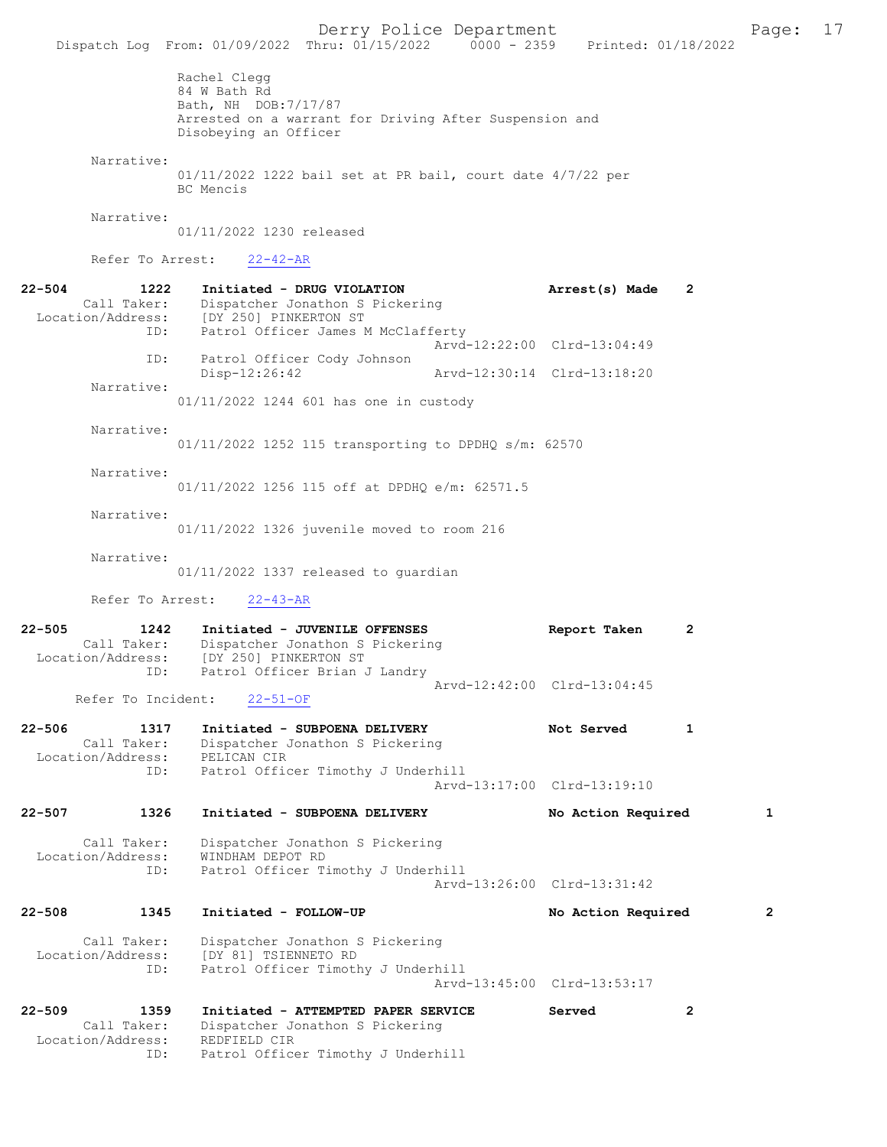Derry Police Department Fage: 17 Dispatch Log From: 01/09/2022 Thru: 01/15/2022 0000 - 2359 Printed: 01/18/2022 Rachel Clegg 84 W Bath Rd Bath, NH DOB:7/17/87 Arrested on a warrant for Driving After Suspension and Disobeying an Officer Narrative: 01/11/2022 1222 bail set at PR bail, court date 4/7/22 per BC Mencis Narrative: 01/11/2022 1230 released Refer To Arrest: 22-42-AR 22-504 1222 Initiated - DRUG VIOLATION Arrest(s) Made 2 Call Taker: Dispatcher Jonathon S Pickering Location/Address: [DY 250] PINKERTON ST ID: Patrol Officer James M McClafferty Arvd-12:22:00 Clrd-13:04:49 ID: Patrol Officer Cody Johnson Disp-12:26:42 Arvd-12:30:14 Clrd-13:18:20 Narrative: 01/11/2022 1244 601 has one in custody Narrative: 01/11/2022 1252 115 transporting to DPDHQ s/m: 62570 Narrative: 01/11/2022 1256 115 off at DPDHQ e/m: 62571.5 Narrative: 01/11/2022 1326 juvenile moved to room 216 Narrative: 01/11/2022 1337 released to guardian Refer To Arrest: 22-43-AR 22-505 1242 Initiated - JUVENILE OFFENSES Report Taken 2 Call Taker: Dispatcher Jonathon S Pickering Location/Address: [DY 250] PINKERTON ST ess: [DI 200] Francesco I<br>ID: Patrol Officer Brian J Landry Arvd-12:42:00 Clrd-13:04:45<br>22-51-OF Refer To Incident: 22-506 1317 Initiated - SUBPOENA DELIVERY Not Served 1 Call Taker: Dispatcher Jonathon S Pickering Location/Address:<br>
ID: PELICAN CIR<br>Patrol Officer Timothy J Underhill Arvd-13:17:00 Clrd-13:19:10 22-507 1326 Initiated - SUBPOENA DELIVERY No Action Required 1 Call Taker: Dispatcher Jonathon S Pickering Location/Address: WINDHAM DEPOT RD ID: Patrol Officer Timothy J Underhill Arvd-13:26:00 Clrd-13:31:42 22-508 1345 Initiated - FOLLOW-UP No Action Required 2 Call Taker: Dispatcher Jonathon S Pickering<br>Location/Address: [DY 81] TSIENNETO RD ess: [DY 81] TSIENNETO RD<br>ID: Patrol Officer Timotl Patrol Officer Timothy J Underhill Arvd-13:45:00 Clrd-13:53:17 22-509 1359 Initiated - ATTEMPTED PAPER SERVICE Served 2 Call Taker: Dispatcher Jonathon S Pickering<br>ion/Address: REDFIELD CIR Location/Address:<br>Reprimed and red ID: Patrol Officer Timothy J Underhill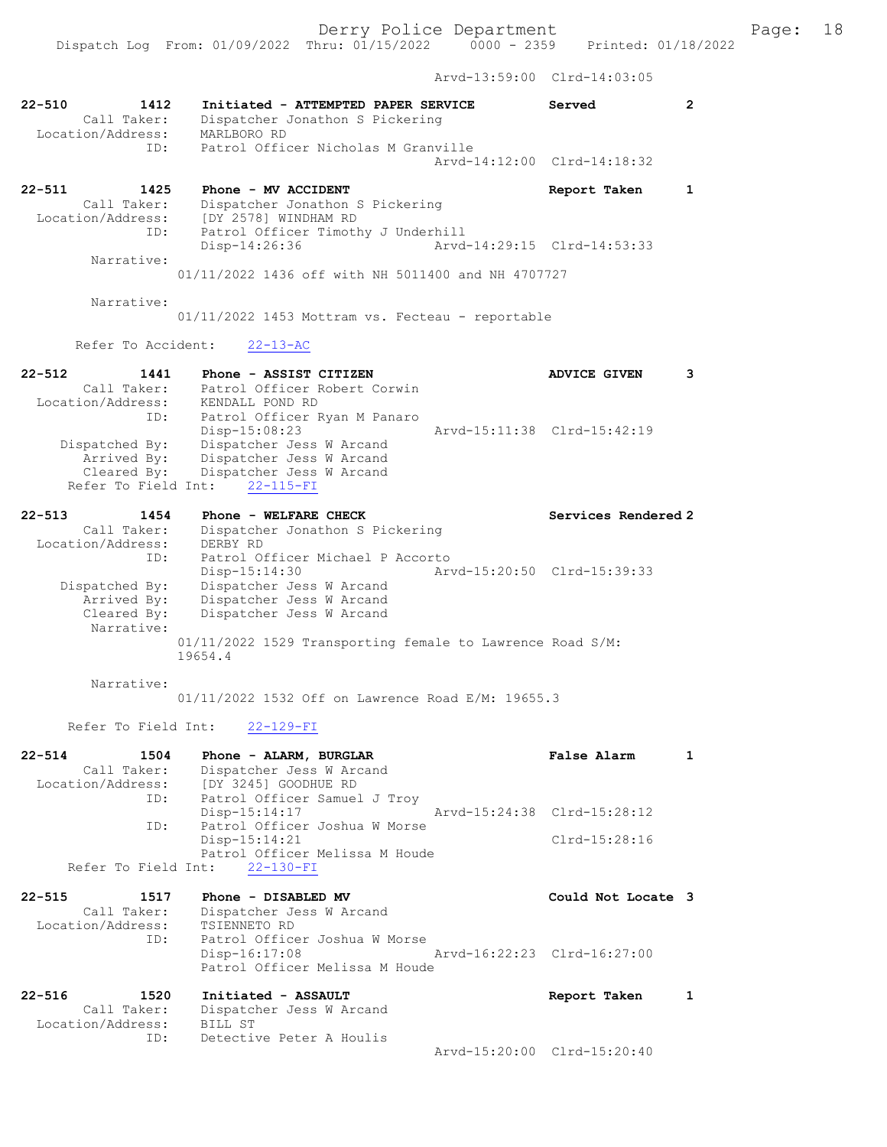Dispatch Log From: 01/09/2022 Thru: 01/15/2022 0000 - 2359 Printed: 01/18/2022

Arvd-13:59:00 Clrd-14:03:05

| $22 - 510$<br>1412<br>Call Taker:<br>Location/Address:        | Initiated - ATTEMPTED PAPER SERVICE<br>Dispatcher Jonathon S Pickering<br>MARLBORO RD                                | Served                      | $\mathbf{2}$ |
|---------------------------------------------------------------|----------------------------------------------------------------------------------------------------------------------|-----------------------------|--------------|
| ID:                                                           | Patrol Officer Nicholas M Granville                                                                                  | Arvd-14:12:00 Clrd-14:18:32 |              |
| $22 - 511$<br>1425<br>Call Taker:<br>Location/Address:<br>ID: | Phone - MV ACCIDENT<br>Dispatcher Jonathon S Pickering<br>[DY 2578] WINDHAM RD<br>Patrol Officer Timothy J Underhill | Report Taken                | $\mathbf{1}$ |
| Narrative:                                                    | Disp-14:26:36                                                                                                        | Arvd-14:29:15 Clrd-14:53:33 |              |
| Narrative:                                                    | 01/11/2022 1436 off with NH 5011400 and NH 4707727                                                                   |                             |              |
|                                                               | 01/11/2022 1453 Mottram vs. Fecteau - reportable                                                                     |                             |              |
| Refer To Accident:                                            | $22 - 13 - AC$                                                                                                       |                             |              |
| $22 - 512$<br>1441<br>Call Taker:<br>Location/Address:<br>ID: | Phone - ASSIST CITIZEN<br>Patrol Officer Robert Corwin<br>KENDALL POND RD<br>Patrol Officer Ryan M Panaro            | <b>ADVICE GIVEN</b>         | 3            |
| Dispatched By:<br>Arrived By:<br>Cleared By:                  | $Disp-15:08:23$<br>Dispatcher Jess W Arcand<br>Dispatcher Jess W Arcand<br>Dispatcher Jess W Arcand                  | Arvd-15:11:38 Clrd-15:42:19 |              |
| Refer To Field Int:                                           | $22 - 115 - FI$                                                                                                      |                             |              |
| $22 - 513$<br>1454<br>Call Taker:<br>Location/Address:<br>ID: | Phone - WELFARE CHECK<br>Dispatcher Jonathon S Pickering<br>DERBY RD<br>Patrol Officer Michael P Accorto             | Services Rendered 2         |              |
| Dispatched By:<br>Arrived By:<br>Cleared By:                  | Disp-15:14:30<br>Dispatcher Jess W Arcand<br>Dispatcher Jess W Arcand<br>Dispatcher Jess W Arcand                    | Arvd-15:20:50 Clrd-15:39:33 |              |
| Narrative:                                                    | 01/11/2022 1529 Transporting female to Lawrence Road S/M:<br>19654.4                                                 |                             |              |
| Narrative:                                                    | 01/11/2022 1532 Off on Lawrence Road E/M: 19655.3                                                                    |                             |              |
| Refer To Field Int:                                           | $22 - 129 - FI$                                                                                                      |                             |              |
| $22 - 514$<br>1504<br>Call Taker:<br>Location/Address:        | Phone - ALARM, BURGLAR<br>Dispatcher Jess W Arcand<br>IDY 32451 GOODHUE RD                                           | <b>False Alarm</b>          | $\mathbf{1}$ |
| ID:                                                           | Patrol Officer Samuel J Troy<br>Disp-15:14:17                                                                        | Arvd-15:24:38 Clrd-15:28:12 |              |
| ID:                                                           | Patrol Officer Joshua W Morse<br>Disp-15:14:21<br>Patrol Officer Melissa M Houde                                     | $Clrd-15:28:16$             |              |
| Refer To Field Int:                                           | $22 - 130 - FI$                                                                                                      |                             |              |
| $22 - 515$<br>1517<br>Call Taker:<br>Location/Address:<br>ID: | Phone - DISABLED MV<br>Dispatcher Jess W Arcand<br>TSIENNETO RD<br>Patrol Officer Joshua W Morse                     | Could Not Locate 3          |              |
|                                                               | Arvd-16:22:23 Clrd-16:27:00<br>$Disp-16:17:08$<br>Patrol Officer Melissa M Houde                                     |                             |              |
| $22 - 516$<br>1520<br>Call Taker:<br>Location/Address:        | Initiated - ASSAULT<br>Dispatcher Jess W Arcand<br>BILL ST                                                           | Report Taken                | 1            |
| ID:                                                           | Detective Peter A Houlis                                                                                             | Arvd-15:20:00 Clrd-15:20:40 |              |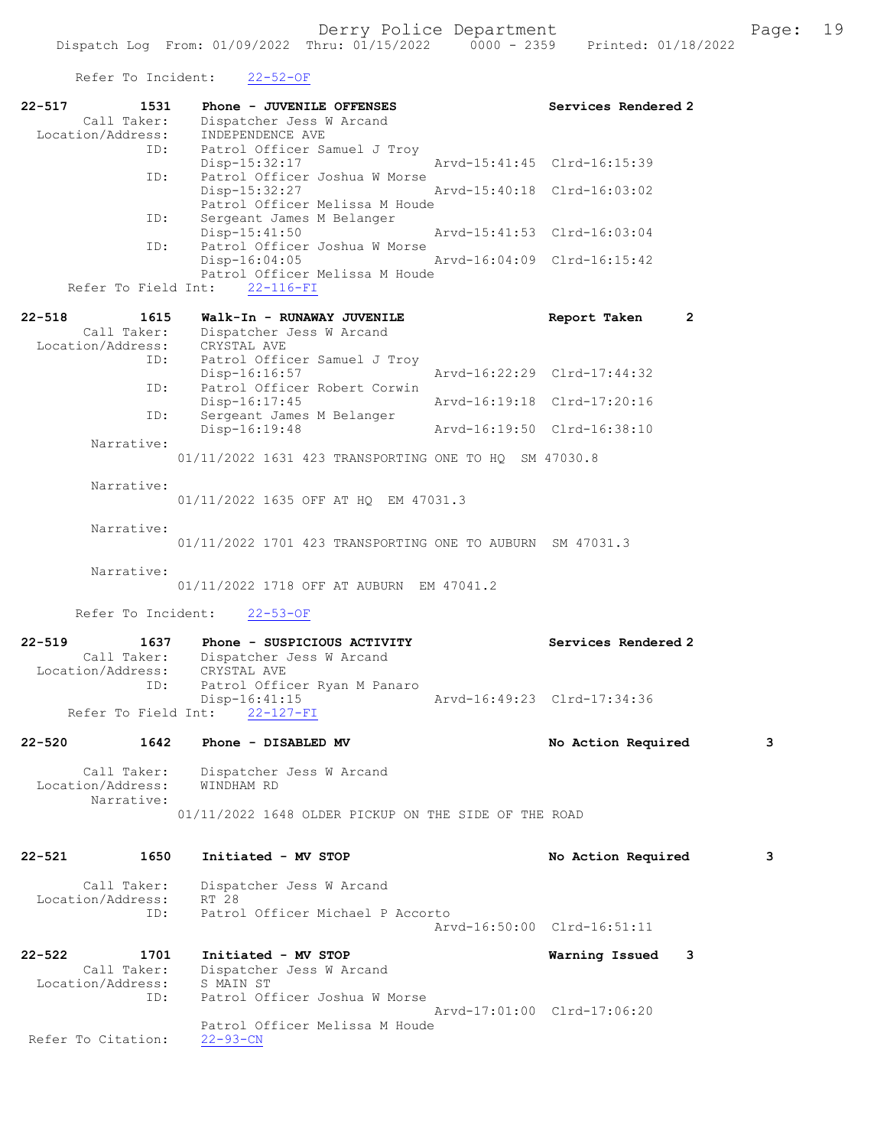Refer To Incident: 22-52-OF

| Location/Address:<br>ID:                       | 1531<br>Phone - JUVENILE OFFENSES<br>Call Taker:<br>Dispatcher Jess W Arcand<br>INDEPENDENCE AVE<br>Patrol Officer Samuel J Troy | Services Rendered 2            |   |
|------------------------------------------------|----------------------------------------------------------------------------------------------------------------------------------|--------------------------------|---|
|                                                | Disp-15:32:17                                                                                                                    | Arvd-15:41:45 Clrd-16:15:39    |   |
| ID:                                            | Patrol Officer Joshua W Morse<br>Disp-15:32:27<br>Patrol Officer Melissa M Houde                                                 | Arvd-15:40:18 Clrd-16:03:02    |   |
| ID:<br>ID:                                     | Sergeant James M Belanger<br>$Disp-15:41:50$<br>Patrol Officer Joshua W Morse                                                    | Aryd-15:41:53 Clrd-16:03:04    |   |
|                                                | $Disp-16:04:05$<br>Patrol Officer Melissa M Houde<br>Refer To Field Int: 22-116-FI                                               | Arvd-16:04:09 Clrd-16:15:42    |   |
| $22 - 518$<br>1615                             | Walk-In - RUNAWAY JUVENILE                                                                                                       | Report Taken<br>$\overline{2}$ |   |
|                                                | Call Taker: Dispatcher Jess W Arcand<br>Location/Address: CRYSTAL AVE                                                            |                                |   |
| ID:                                            | Patrol Officer Samuel J Troy<br>Disp-16:16:57                                                                                    | Arvd-16:22:29 Clrd-17:44:32    |   |
| ID:                                            | Patrol Officer Robert Corwin                                                                                                     |                                |   |
| ID:                                            | Disp-16:17:45<br>Sergeant James M Belanger                                                                                       | Arvd-16:19:18 Clrd-17:20:16    |   |
| Narrative:                                     | Disp-16:19:48                                                                                                                    | Arvd-16:19:50 Clrd-16:38:10    |   |
|                                                | 01/11/2022 1631 423 TRANSPORTING ONE TO HQ SM 47030.8                                                                            |                                |   |
| Narrative:                                     | 01/11/2022 1635 OFF AT HQ EM 47031.3                                                                                             |                                |   |
| Narrative:                                     | 01/11/2022 1701 423 TRANSPORTING ONE TO AUBURN SM 47031.3                                                                        |                                |   |
| Narrative:                                     | 01/11/2022 1718 OFF AT AUBURN EM 47041.2                                                                                         |                                |   |
|                                                |                                                                                                                                  |                                |   |
| Refer To Incident:                             | $22 - 53 - OF$                                                                                                                   |                                |   |
| $22 - 519$<br>1637<br>Location/Address:<br>ID: | Phone - SUSPICIOUS ACTIVITY<br>Call Taker: Dispatcher Jess W Arcand<br>CRYSTAL AVE<br>Patrol Officer Ryan M Panaro               | Services Rendered 2            |   |
| Refer To Field Int:                            | Disp-16:41:15<br>$22 - 127 - FI$                                                                                                 | Arvd-16:49:23 Clrd-17:34:36    |   |
| 1642<br>22-520                                 | Phone - DISABLED MV                                                                                                              | No Action Required             | з |
| Call Taker:<br>Location/Address:<br>Narrative: | Dispatcher Jess W Arcand<br>WINDHAM RD                                                                                           |                                |   |
|                                                | 01/11/2022 1648 OLDER PICKUP ON THE SIDE OF THE ROAD                                                                             |                                |   |
| $22 - 521$<br>1650                             | Initiated - MV STOP                                                                                                              | No Action Required             | з |
| Call Taker:                                    | Dispatcher Jess W Arcand                                                                                                         |                                |   |
| Location/Address:<br>ID:                       | RT 28<br>Patrol Officer Michael P Accorto                                                                                        | Arvd-16:50:00 Clrd-16:51:11    |   |
| $22 - 522$<br>1701<br>Call Taker:              | Initiated - MV STOP<br>Dispatcher Jess W Arcand                                                                                  | Warning Issued<br>3            |   |
| Location/Address:<br>ID:                       | S MAIN ST<br>Patrol Officer Joshua W Morse                                                                                       | Arvd-17:01:00 Clrd-17:06:20    |   |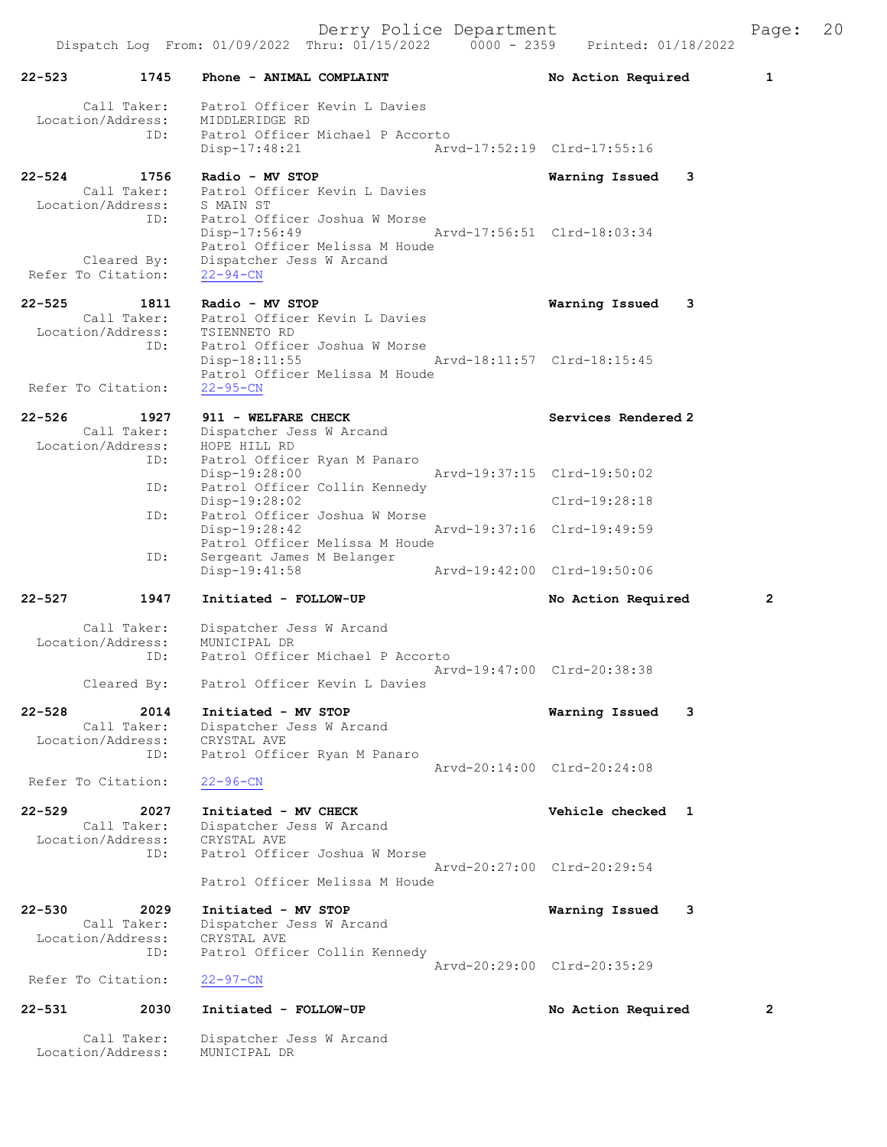Derry Police Department The Rage: 20

22-523 1745 Phone - ANIMAL COMPLAINT 1 No Action Required 1

 Call Taker: Patrol Officer Kevin L Davies Location/Address: MIDDLERIDGE RD ID: Patrol Officer Michael P Accorto Disp-17:48:21 Arvd-17:52:19 Clrd-17:55:16 22-524 1756 Radio - MV STOP Warning Issued 3 Call Taker: Patrol Officer Kevin L Davies Location/Address: S MAIN ST ID: Patrol Officer Joshua W Morse Disp-17:56:49 Arvd-17:56:51 Clrd-18:03:34 Patrol Officer Melissa M Houde Cleared By: Dispatcher Jess W Arcand Refer To Citation: 22-94-CN 22-525 1811 Radio - MV STOP Warning Issued 3 Call Taker: Patrol Officer Kevin L Davies Location/Address: TSIENNETO RD ID: Patrol Officer Joshua W Morse Disp-18:11:55 Arvd-18:11:57 Clrd-18:15:45 Patrol Officer Melissa M Houde Refer To Citation: 22-95-CN 22-526 1927 911 - WELFARE CHECK Services Rendered 2 Call Taker: Dispatcher Jess W Arcand Location/Address: HOPE HILL RD ID: Patrol Officer Ryan M Panaro Disp-19:28:00 Arvd-19:37:15 Clrd-19:50:02 ID: Patrol Officer Collin Kennedy Disp-19:28:02 Clrd-19:28:18 ID: Patrol Officer Joshua W Morse Disp-19:28:42 Arvd-19:37:16 Clrd-19:49:59 Patrol Officer Melissa M Houde ID: Sergeant James M Belanger<br>Disp-19:41:58 Disp-19:41:58 Arvd-19:42:00 Clrd-19:50:06 22-527 1947 Initiated - FOLLOW-UP No Action Required 2 Call Taker: Dispatcher Jess W Arcand Location/Address: MUNICIPAL DR ID: Patrol Officer Michael P Accorto Arvd-19:47:00 Clrd-20:38:38 Cleared By: Patrol Officer Kevin L Davies 22-528 2014 Initiated - MV STOP Warning Issued 3 Call Taker: Dispatcher Jess W Arcand Location/Address: CRYSTAL AVE ID: Patrol Officer Ryan M Panaro Arvd-20:14:00 Clrd-20:24:08 Refer To Citation: 22-96-CN 22-529 2027 Initiated - MV CHECK 2001 2012 Vehicle checked 1 Call Taker: Dispatcher Jess W Arcand Location/Address: CRYSTAL AVE ID: Patrol Officer Joshua W Morse Arvd-20:27:00 Clrd-20:29:54 Patrol Officer Melissa M Houde 22-530 2029 Initiated - MV STOP Warning Issued 3 Call Taker: Dispatcher Jess W Arcand Location/Address: CRYSTAL AVE ID: Patrol Officer Collin Kennedy Arvd-20:29:00 Clrd-20:35:29<br>22-97-CN Refer To Citation: 22-531 2030 Initiated - FOLLOW-UP No Action Required 2 Call Taker: Dispatcher Jess W Arcand

Location/Address: MUNICIPAL DR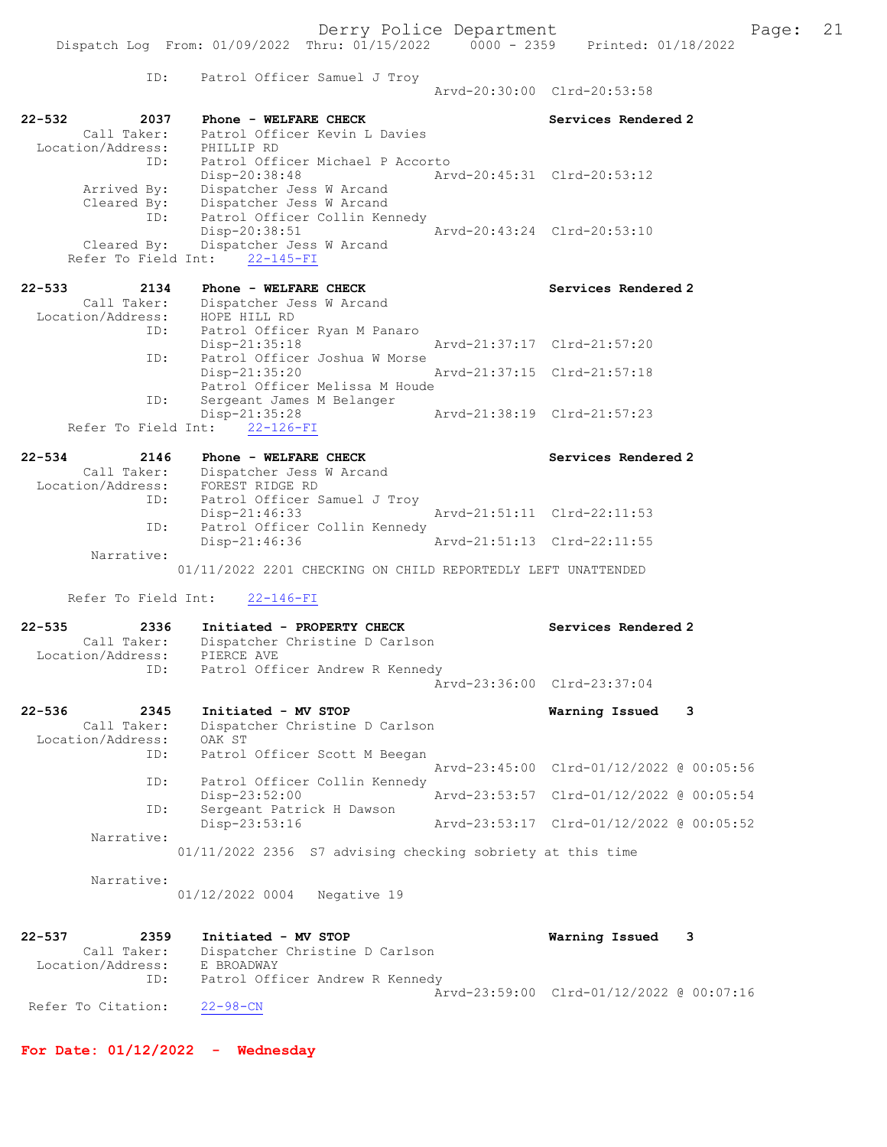|                                                                                                                                                                                                                                                                                               |                                                              | Dispatch Log From: 01/09/2022 Thru: 01/15/2022 | $0000 - 2359$<br>Printed: 01/18/2022     |
|-----------------------------------------------------------------------------------------------------------------------------------------------------------------------------------------------------------------------------------------------------------------------------------------------|--------------------------------------------------------------|------------------------------------------------|------------------------------------------|
| ID:                                                                                                                                                                                                                                                                                           | Patrol Officer Samuel J Troy                                 |                                                | Arvd-20:30:00 Clrd-20:53:58              |
| $22 - 532$<br>2037                                                                                                                                                                                                                                                                            | Phone - WELFARE CHECK                                        |                                                | Services Rendered 2                      |
| Call Taker:                                                                                                                                                                                                                                                                                   | Patrol Officer Kevin L Davies                                |                                                |                                          |
| Location/Address:<br>ID:                                                                                                                                                                                                                                                                      | PHILLIP RD                                                   |                                                |                                          |
|                                                                                                                                                                                                                                                                                               | Patrol Officer Michael P Accorto<br>$Disp-20:38:48$          |                                                | Arvd-20:45:31 Clrd-20:53:12              |
| Arrived By:                                                                                                                                                                                                                                                                                   | Dispatcher Jess W Arcand                                     |                                                |                                          |
| $\frac{1}{2}$ and $\frac{1}{2}$ and $\frac{1}{2}$ are $\frac{1}{2}$ and $\frac{1}{2}$ are $\frac{1}{2}$ are $\frac{1}{2}$ are $\frac{1}{2}$ are $\frac{1}{2}$ are $\frac{1}{2}$ are $\frac{1}{2}$ are $\frac{1}{2}$ are $\frac{1}{2}$ are $\frac{1}{2}$ are $\frac{1}{2}$ are $\frac{1}{2}$ a | Dispatcher Jess W Arcand                                     |                                                |                                          |
| ID:                                                                                                                                                                                                                                                                                           | Patrol Officer Collin Kennedy                                |                                                |                                          |
| Cleared By:                                                                                                                                                                                                                                                                                   | Disp-20:38:51<br>Dispatcher Jess W Arcand                    |                                                | Arvd-20:43:24 Clrd-20:53:10              |
| Refer To Field Int:                                                                                                                                                                                                                                                                           | $22 - 145 - FI$                                              |                                                |                                          |
|                                                                                                                                                                                                                                                                                               |                                                              |                                                |                                          |
| $22 - 533$<br>2134                                                                                                                                                                                                                                                                            | Phone - WELFARE CHECK                                        |                                                | Services Rendered 2                      |
| Call Taker:<br>Location/Address:                                                                                                                                                                                                                                                              | Dispatcher Jess W Arcand<br>HOPE HILL RD                     |                                                |                                          |
| ID:                                                                                                                                                                                                                                                                                           | Patrol Officer Ryan M Panaro                                 |                                                |                                          |
|                                                                                                                                                                                                                                                                                               | Disp-21:35:18                                                |                                                | Arvd-21:37:17 Clrd-21:57:20              |
| ID:                                                                                                                                                                                                                                                                                           | Patrol Officer Joshua W Morse                                |                                                |                                          |
|                                                                                                                                                                                                                                                                                               | Disp-21:35:20<br>Patrol Officer Melissa M Houde              |                                                | Arvd-21:37:15 Clrd-21:57:18              |
| ID:                                                                                                                                                                                                                                                                                           | Sergeant James M Belanger                                    |                                                |                                          |
|                                                                                                                                                                                                                                                                                               | Disp-21:35:28                                                |                                                | Arvd-21:38:19 Clrd-21:57:23              |
| Refer To Field Int:                                                                                                                                                                                                                                                                           | $22 - 126 - FI$                                              |                                                |                                          |
| $22 - 534$<br>2146                                                                                                                                                                                                                                                                            | Phone - WELFARE CHECK                                        |                                                | Services Rendered 2                      |
| Call Taker:                                                                                                                                                                                                                                                                                   | Dispatcher Jess W Arcand                                     |                                                |                                          |
| Location/Address:                                                                                                                                                                                                                                                                             | FOREST RIDGE RD                                              |                                                |                                          |
| ID:                                                                                                                                                                                                                                                                                           | Patrol Officer Samuel J Troy                                 |                                                |                                          |
| ID:                                                                                                                                                                                                                                                                                           | Disp-21:46:33<br>Patrol Officer Collin Kennedy               |                                                | Arvd-21:51:11 Clrd-22:11:53              |
|                                                                                                                                                                                                                                                                                               | $Disp-21:46:36$                                              |                                                | Arvd-21:51:13 Clrd-22:11:55              |
| Narrative:                                                                                                                                                                                                                                                                                    |                                                              |                                                |                                          |
|                                                                                                                                                                                                                                                                                               |                                                              |                                                |                                          |
|                                                                                                                                                                                                                                                                                               | 01/11/2022 2201 CHECKING ON CHILD REPORTEDLY LEFT UNATTENDED |                                                |                                          |
| Refer To Field Int:                                                                                                                                                                                                                                                                           | $22 - 146 - FI$                                              |                                                |                                          |
| $22 - 535$<br>2336                                                                                                                                                                                                                                                                            | Initiated - PROPERTY CHECK                                   |                                                | Services Rendered 2                      |
| Call Taker:                                                                                                                                                                                                                                                                                   | Dispatcher Christine D Carlson                               |                                                |                                          |
| Location/Address:<br>ID:                                                                                                                                                                                                                                                                      | PIERCE AVE<br>Patrol Officer Andrew R Kennedy                |                                                |                                          |
|                                                                                                                                                                                                                                                                                               |                                                              |                                                | Arvd-23:36:00 Clrd-23:37:04              |
|                                                                                                                                                                                                                                                                                               |                                                              |                                                |                                          |
| $22 - 536$<br>2345                                                                                                                                                                                                                                                                            | Initiated - MV STOP                                          |                                                | Warning Issued<br>3                      |
| Call Taker:<br>Location/Address:                                                                                                                                                                                                                                                              | Dispatcher Christine D Carlson<br>OAK ST                     |                                                |                                          |
| ID:                                                                                                                                                                                                                                                                                           | Patrol Officer Scott M Beegan                                |                                                |                                          |
|                                                                                                                                                                                                                                                                                               |                                                              | Arvd-23:45:00                                  | Clrd-01/12/2022 @ 00:05:56               |
| ID:                                                                                                                                                                                                                                                                                           | Patrol Officer Collin Kennedy<br>Disp-23:52:00               |                                                | Arvd-23:53:57 Clrd-01/12/2022 @ 00:05:54 |
| ID:                                                                                                                                                                                                                                                                                           | Sergeant Patrick H Dawson                                    |                                                |                                          |
| Narrative:                                                                                                                                                                                                                                                                                    | Disp-23:53:16                                                |                                                | Arvd-23:53:17 Clrd-01/12/2022 @ 00:05:52 |
|                                                                                                                                                                                                                                                                                               | 01/11/2022 2356 S7 advising checking sobriety at this time   |                                                |                                          |
| Narrative:                                                                                                                                                                                                                                                                                    |                                                              |                                                |                                          |
|                                                                                                                                                                                                                                                                                               | 01/12/2022 0004<br>Negative 19                               |                                                |                                          |
|                                                                                                                                                                                                                                                                                               |                                                              |                                                |                                          |
| 2359<br>$22 - 537$                                                                                                                                                                                                                                                                            | Initiated - MV STOP                                          |                                                | Warning Issued<br>3                      |
| Call Taker:                                                                                                                                                                                                                                                                                   | Dispatcher Christine D Carlson                               |                                                |                                          |
| Location/Address:                                                                                                                                                                                                                                                                             | E BROADWAY                                                   |                                                |                                          |
| ID:                                                                                                                                                                                                                                                                                           | Patrol Officer Andrew R Kennedy                              |                                                | Arvd-23:59:00 Clrd-01/12/2022 @ 00:07:16 |
| Refer To Citation:                                                                                                                                                                                                                                                                            | $22 - 98 - CN$                                               |                                                |                                          |

For Date: 01/12/2022 - Wednesday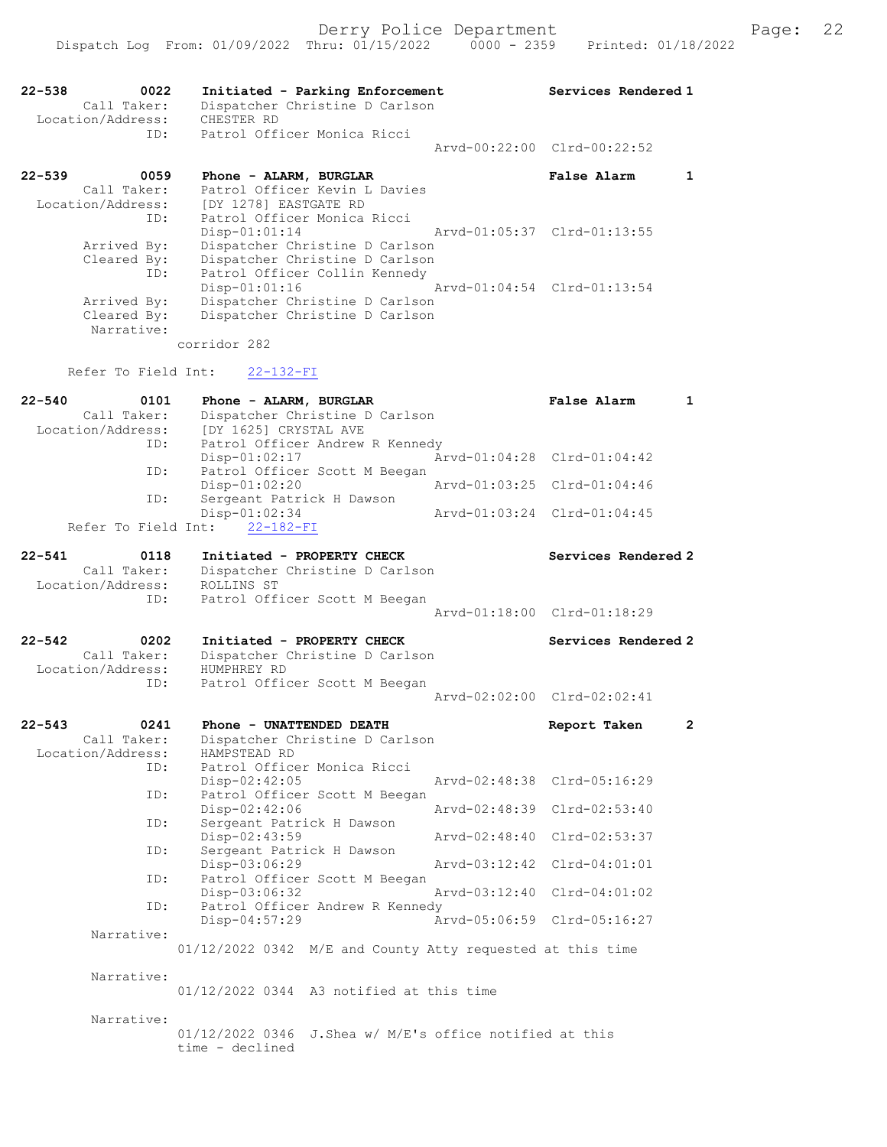| 22-538<br>0022<br>Call Taker:    | Initiated - Parking Enforcement<br>Dispatcher Christine D Carlson<br>CHESTER RD |               | Services Rendered 1         |              |
|----------------------------------|---------------------------------------------------------------------------------|---------------|-----------------------------|--------------|
| Location/Address:<br>ID:         | Patrol Officer Monica Ricci                                                     |               |                             |              |
|                                  |                                                                                 |               | Arvd-00:22:00 Clrd-00:22:52 |              |
| $22 - 539$<br>0059               | Phone - ALARM, BURGLAR                                                          |               | False Alarm                 | $\mathbf{1}$ |
| Call Taker:                      | Patrol Officer Kevin L Davies                                                   |               |                             |              |
| Location/Address:<br>ID:         | [DY 1278] EASTGATE RD<br>Patrol Officer Monica Ricci                            |               |                             |              |
|                                  | $Disp-01:01:14$                                                                 |               | Arvd-01:05:37 Clrd-01:13:55 |              |
| Arrived By:                      | Dispatcher Christine D Carlson                                                  |               |                             |              |
| Cleared By:                      | Dispatcher Christine D Carlson                                                  |               |                             |              |
| ID:                              | Patrol Officer Collin Kennedy                                                   |               |                             |              |
|                                  | $Disp-01:01:16$                                                                 |               | Arvd-01:04:54 Clrd-01:13:54 |              |
| Arrived By:                      | Dispatcher Christine D Carlson                                                  |               |                             |              |
| Cleared By:                      | Dispatcher Christine D Carlson                                                  |               |                             |              |
| Narrative:                       |                                                                                 |               |                             |              |
|                                  | corridor 282                                                                    |               |                             |              |
| Refer To Field Int:              | $22 - 132 - FI$                                                                 |               |                             |              |
| $22 - 540$<br>0101               | Phone - ALARM, BURGLAR                                                          |               | <b>False Alarm</b>          | $\mathbf{1}$ |
| Call Taker:                      | Dispatcher Christine D Carlson                                                  |               |                             |              |
| Location/Address:                | [DY 1625] CRYSTAL AVE                                                           |               |                             |              |
| ID:                              | Patrol Officer Andrew R Kennedy                                                 |               |                             |              |
|                                  | $Disp-01:02:17$                                                                 |               | Arvd-01:04:28 Clrd-01:04:42 |              |
| ID:                              | Patrol Officer Scott M Beegan                                                   |               |                             |              |
| ID:                              | Disp-01:02:20                                                                   |               | Arvd-01:03:25 Clrd-01:04:46 |              |
|                                  | Sergeant Patrick H Dawson<br>Disp-01:02:34                                      |               | Arvd-01:03:24 Clrd-01:04:45 |              |
| Refer To Field Int:              | $22 - 182 - FI$                                                                 |               |                             |              |
|                                  |                                                                                 |               |                             |              |
| $22 - 541$<br>0118               |                                                                                 |               | Services Rendered 2         |              |
| Call Taker:                      | Initiated - PROPERTY CHECK                                                      |               |                             |              |
| Location/Address:                | Dispatcher Christine D Carlson<br>ROLLINS ST                                    |               |                             |              |
| ID:                              | Patrol Officer Scott M Beegan                                                   |               |                             |              |
|                                  |                                                                                 |               | Arvd-01:18:00 Clrd-01:18:29 |              |
|                                  |                                                                                 |               |                             |              |
| $22 - 542$<br>0202               | Initiated - PROPERTY CHECK                                                      |               | Services Rendered 2         |              |
| Call Taker:<br>Location/Address: | Dispatcher Christine D Carlson<br>HUMPHREY RD                                   |               |                             |              |
| ID:                              | Patrol Officer Scott M Beegan                                                   |               |                             |              |
|                                  |                                                                                 |               | Arvd-02:02:00 Clrd-02:02:41 |              |
|                                  |                                                                                 |               |                             |              |
| $22 - 543$<br>0241               | Phone - UNATTENDED DEATH                                                        |               | Report Taken                | $\mathbf{2}$ |
| Call Taker:                      | Dispatcher Christine D Carlson                                                  |               |                             |              |
| Location/Address:                | HAMPSTEAD RD                                                                    |               |                             |              |
| ID:                              | Patrol Officer Monica Ricci                                                     |               | Arvd-02:48:38 Clrd-05:16:29 |              |
| ID:                              | Disp-02:42:05<br>Patrol Officer Scott M Beegan                                  |               |                             |              |
|                                  | Disp-02:42:06                                                                   |               | Arvd-02:48:39 Clrd-02:53:40 |              |
| ID:                              | Sergeant Patrick H Dawson                                                       |               |                             |              |
|                                  | Disp-02:43:59                                                                   |               | Arvd-02:48:40 Clrd-02:53:37 |              |
| ID:                              | Sergeant Patrick H Dawson                                                       |               |                             |              |
|                                  | Disp-03:06:29                                                                   |               | Arvd-03:12:42 Clrd-04:01:01 |              |
| ID:                              | Patrol Officer Scott M Beegan                                                   |               |                             |              |
|                                  | Disp-03:06:32                                                                   | Arvd-03:12:40 | $Clrd-04:01:02$             |              |
| ID:                              | Patrol Officer Andrew R Kennedy                                                 |               |                             |              |
|                                  | Disp-04:57:29                                                                   |               | Arvd-05:06:59 Clrd-05:16:27 |              |
| Narrative:                       |                                                                                 |               |                             |              |
|                                  | 01/12/2022 0342 M/E and County Atty requested at this time                      |               |                             |              |
| Narrative:                       |                                                                                 |               |                             |              |

Narrative:

01/12/2022 0346 J.Shea w/ M/E's office notified at this time - declined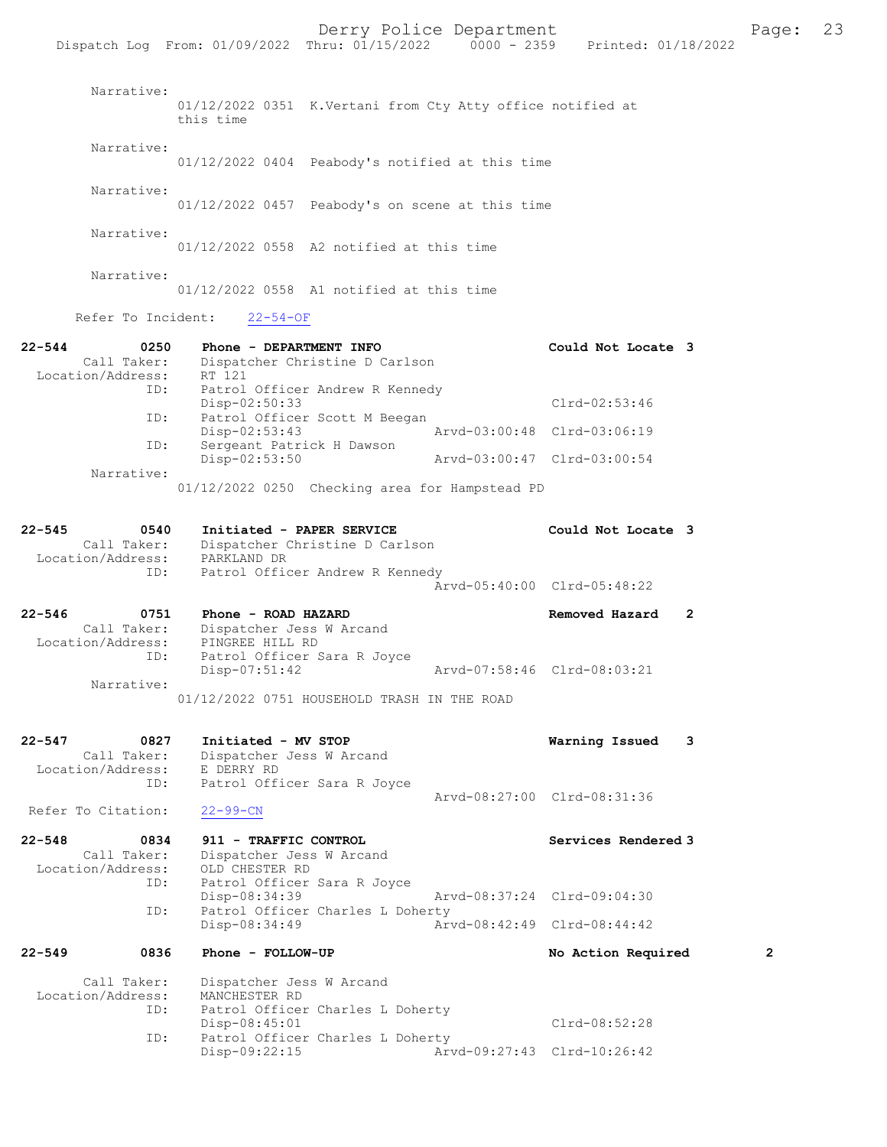|                                                               | Dispatch Log From: 01/09/2022 Thru: 01/15/2022 0000 - 2359                                                           | Printed: 01/18/2022                                             |   |
|---------------------------------------------------------------|----------------------------------------------------------------------------------------------------------------------|-----------------------------------------------------------------|---|
| Narrative:                                                    | 01/12/2022 0351 K.Vertani from Cty Atty office notified at<br>this time                                              |                                                                 |   |
| Narrative:                                                    | 01/12/2022 0404 Peabody's notified at this time                                                                      |                                                                 |   |
| Narrative:                                                    | $01/12/2022$ 0457 Peabody's on scene at this time                                                                    |                                                                 |   |
| Narrative:                                                    | $01/12/2022$ 0558 A2 notified at this time                                                                           |                                                                 |   |
| Narrative:                                                    | $01/12/2022$ 0558 A1 notified at this time                                                                           |                                                                 |   |
| Refer To Incident:                                            | $22 - 54 - OF$                                                                                                       |                                                                 |   |
| $22 - 544$<br>0250<br>Call Taker:<br>Location/Address: RT 121 | Phone - DEPARTMENT INFO<br>Dispatcher Christine D Carlson                                                            | Could Not Locate 3                                              |   |
| ID:                                                           | ID:<br>Patrol Officer Andrew R Kennedy<br>$Disp-02:50:33$<br>Patrol Officer Scott M Beegan                           | Clrd-02:53:46                                                   |   |
| ID:                                                           | Disp-02:53:43<br>Sergeant Patrick H Dawson                                                                           | Arvd-03:00:48 Clrd-03:06:19                                     |   |
| Narrative:                                                    | Disp-02:53:50                                                                                                        | Arvd-03:00:47 Clrd-03:00:54                                     |   |
|                                                               | 01/12/2022 0250 Checking area for Hampstead PD                                                                       |                                                                 |   |
| 22-545<br>0540<br>Call Taker:<br>Location/Address:<br>ID:     | Initiated - PAPER SERVICE<br>Dispatcher Christine D Carlson<br>PARKLAND DR<br>Patrol Officer Andrew R Kennedy        | Could Not Locate 3                                              |   |
|                                                               |                                                                                                                      | Arvd-05:40:00 Clrd-05:48:22                                     |   |
| 22-546<br>0751<br>Call Taker:<br>Location/Address:<br>ID:     | Phone - ROAD HAZARD<br>Dispatcher Jess W Arcand<br>PINGREE HILL RD<br>Patrol Officer Sara R Joyce<br>$Disp-07:51:42$ | $\overline{2}$<br>Removed Hazard<br>Arvd-07:58:46 Clrd-08:03:21 |   |
| Narrative:                                                    | 01/12/2022 0751 HOUSEHOLD TRASH IN THE ROAD                                                                          |                                                                 |   |
| 22-547<br>0827<br>Call Taker:<br>Location/Address:<br>ID:     | Initiated - MV STOP<br>Dispatcher Jess W Arcand<br>E DERRY RD<br>Patrol Officer Sara R Joyce                         | Warning Issued<br>3<br>Arvd-08:27:00 Clrd-08:31:36              |   |
| Refer To Citation:                                            | $22 - 99 - CN$                                                                                                       |                                                                 |   |
| 22-548<br>0834<br>Call Taker:<br>Location/Address:<br>ID:     | 911 - TRAFFIC CONTROL<br>Dispatcher Jess W Arcand<br>OLD CHESTER RD<br>Patrol Officer Sara R Joyce                   | Services Rendered 3                                             |   |
| ID:                                                           | Disp-08:34:39<br>Patrol Officer Charles L Doherty                                                                    | Arvd-08:37:24 Clrd-09:04:30                                     |   |
|                                                               | Disp-08:34:49                                                                                                        | Arvd-08:42:49 Clrd-08:44:42                                     |   |
| 22-549<br>0836                                                | Phone - FOLLOW-UP                                                                                                    | No Action Required                                              | 2 |
| Call Taker:<br>Location/Address:<br>ID:                       | Dispatcher Jess W Arcand<br>MANCHESTER RD<br>Patrol Officer Charles L Doherty<br>Disp-08:45:01                       | Clrd-08:52:28                                                   |   |

Disp-09:22:15 Arvd-09:27:43 Clrd-10:26:42

ID: Patrol Officer Charles L Doherty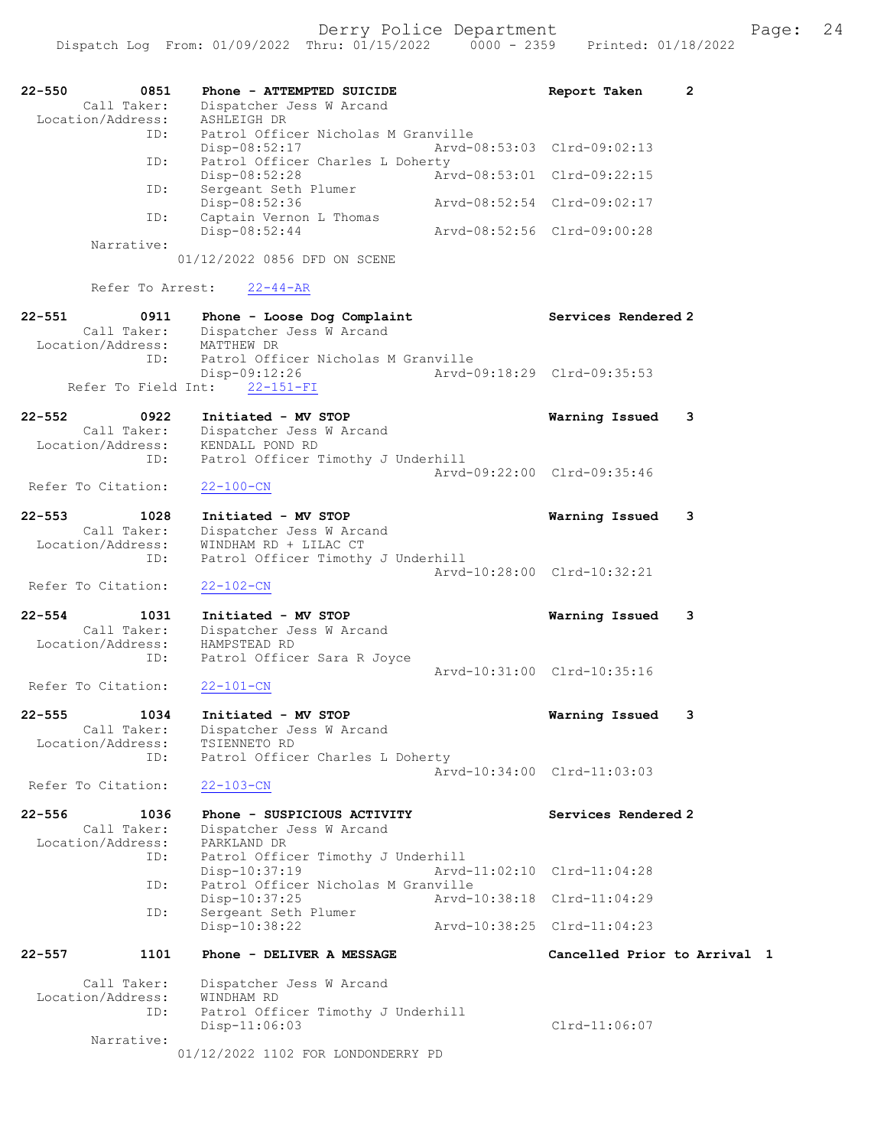| $22 - 550$<br>0851<br>Call Taker: | Phone - ATTEMPTED SUICIDE<br>Dispatcher Jess W Arcand       | $\overline{2}$<br>Report Taken |
|-----------------------------------|-------------------------------------------------------------|--------------------------------|
| Location/Address:<br>ID:          | ASHLEIGH DR<br>Patrol Officer Nicholas M Granville          |                                |
|                                   | Disp-08:52:17                                               | Arvd-08:53:03 Clrd-09:02:13    |
| ID:                               | Patrol Officer Charles L Doherty<br>Disp-08:52:28           | Arvd-08:53:01 Clrd-09:22:15    |
| ID:                               | Sergeant Seth Plumer<br>Disp-08:52:36                       | Arvd-08:52:54 Clrd-09:02:17    |
| ID:                               | Captain Vernon L Thomas<br>Disp-08:52:44                    | Arvd-08:52:56 Clrd-09:00:28    |
| Narrative:                        | 01/12/2022 0856 DFD ON SCENE                                |                                |
| Refer To Arrest:                  | $22 - 44 - AR$                                              |                                |
| $22 - 551$<br>0911                | Phone - Loose Dog Complaint                                 | Services Rendered 2            |
| Call Taker:                       | Dispatcher Jess W Arcand                                    |                                |
| Location/Address:<br>ID:          | MATTHEW DR<br>Patrol Officer Nicholas M Granville           |                                |
|                                   | Disp-09:12:26                                               | Arvd-09:18:29 Clrd-09:35:53    |
| Refer To Field Int:               | $22 - 151 - FI$                                             |                                |
| 22-552<br>0922                    | Initiated - MV STOP                                         | Warning Issued<br>3            |
| Call Taker:                       | Dispatcher Jess W Arcand                                    |                                |
| Location/Address:<br>ID:          | KENDALL POND RD<br>Patrol Officer Timothy J Underhill       |                                |
|                                   |                                                             | Aryd-09:22:00 Clrd-09:35:46    |
| Refer To Citation:                | $22 - 100 - CN$                                             |                                |
| $22 - 553$<br>1028                | Initiated - MV STOP                                         | Warning Issued<br>3            |
| Call Taker:                       | Dispatcher Jess W Arcand                                    |                                |
| Location/Address:<br>ID:          | WINDHAM RD + LILAC CT<br>Patrol Officer Timothy J Underhill |                                |
|                                   |                                                             | Arvd-10:28:00 Clrd-10:32:21    |
| Refer To Citation:                | $22 - 102 - CN$                                             |                                |
| $22 - 554$<br>1031                | Initiated - MV STOP                                         | Warning Issued<br>3            |
| Call Taker:                       | Dispatcher Jess W Arcand                                    |                                |
| Location/Address:<br>ID:          | HAMPSTEAD RD<br>Patrol Officer Sara R Joyce                 |                                |
|                                   |                                                             | Aryd-10:31:00 Clrd-10:35:16    |
| Refer To Citation:                | $22 - 101 - CN$                                             |                                |
| $22 - 555$<br>1034                | Initiated - MV STOP                                         | Warning Issued<br>3            |
| Call Taker:                       | Dispatcher Jess W Arcand                                    |                                |
| Location/Address:<br>ID:          | TSIENNETO RD<br>Patrol Officer Charles L Doherty            |                                |
|                                   |                                                             | Arvd-10:34:00 Clrd-11:03:03    |
| Refer To Citation:                | $22 - 103 - CN$                                             |                                |
| $22 - 556$<br>1036                | Phone - SUSPICIOUS ACTIVITY                                 | Services Rendered 2            |
| Call Taker:                       | Dispatcher Jess W Arcand                                    |                                |
| Location/Address:<br>ID:          | PARKLAND DR<br>Patrol Officer Timothy J Underhill           |                                |
|                                   | Disp-10:37:19                                               | Arvd-11:02:10 Clrd-11:04:28    |
| ID:                               | Patrol Officer Nicholas M Granville<br>Disp-10:37:25        | Arvd-10:38:18 Clrd-11:04:29    |
| ID:                               | Sergeant Seth Plumer<br>Disp-10:38:22                       | Arvd-10:38:25 Clrd-11:04:23    |
|                                   |                                                             |                                |
| $22 - 557$<br>1101                | Phone - DELIVER A MESSAGE                                   | Cancelled Prior to Arrival 1   |
| Call Taker:                       | Dispatcher Jess W Arcand                                    |                                |
| Location/Address:<br>ID:          | WINDHAM RD<br>Patrol Officer Timothy J Underhill            |                                |
|                                   | Disp-11:06:03                                               | $Clrd-11:06:07$                |
| Narrative:                        |                                                             |                                |

01/12/2022 1102 FOR LONDONDERRY PD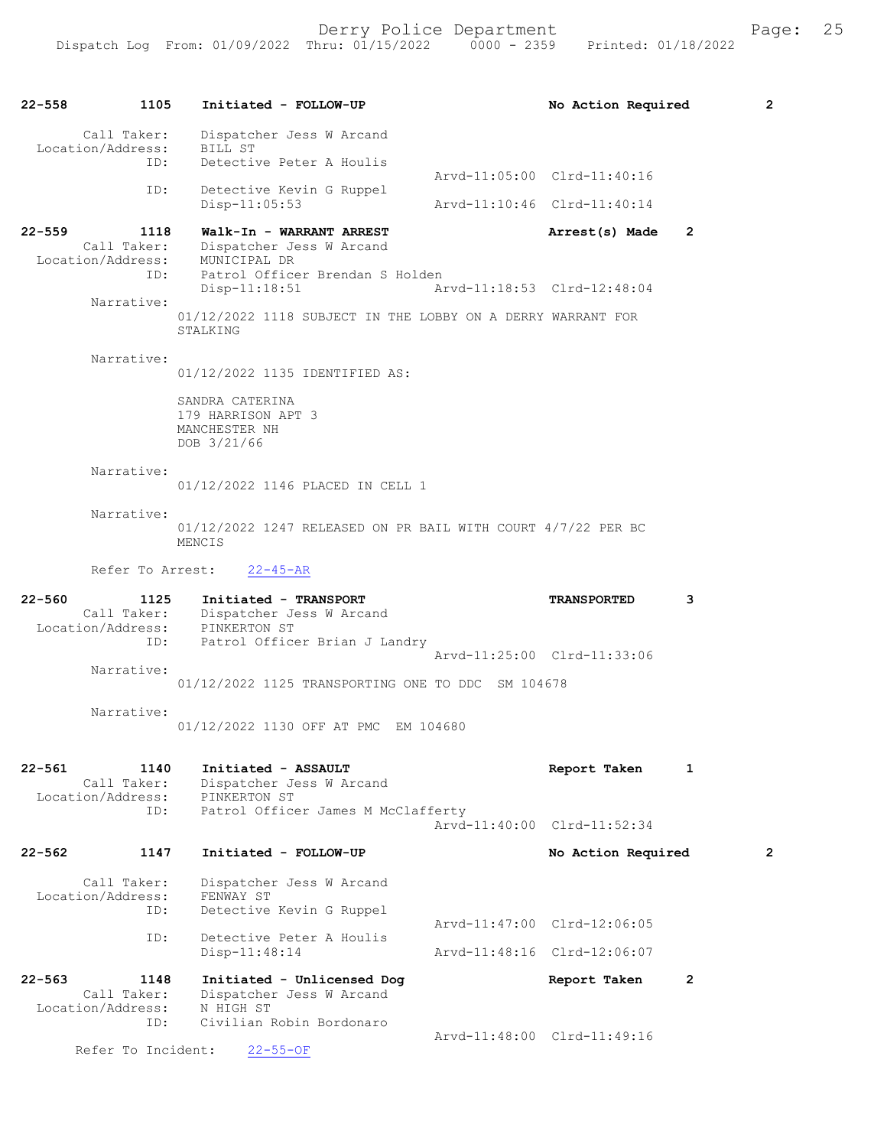22-558 1105 Initiated - FOLLOW-UP No Action Required 2 Call Taker: Dispatcher Jess W Arcand<br>.on/Address: BILL ST Location/Address:<br>ID: Detective Peter A Houlis Arvd-11:05:00 Clrd-11:40:16<br>ID: Detective Kevin G Ruppel Detective Kevin G Ruppel Disp-11:05:53 Arvd-11:10:46 Clrd-11:40:14 22-559 1118 Walk-In - WARRANT ARREST Arrest(s) Made 2 Call Taker: Dispatcher Jess W Arcand<br>ion/Address: MUNICIPAL DR Location/Address: ID: Patrol Officer Brendan S Holden Disp-11:18:51 Arvd-11:18:53 Clrd-12:48:04 Narrative: 01/12/2022 1118 SUBJECT IN THE LOBBY ON A DERRY WARRANT FOR STALKING Narrative: 01/12/2022 1135 IDENTIFIED AS: SANDRA CATERINA 179 HARRISON APT 3 MANCHESTER NH DOB 3/21/66 Narrative: 01/12/2022 1146 PLACED IN CELL 1 Narrative: 01/12/2022 1247 RELEASED ON PR BAIL WITH COURT 4/7/22 PER BC MENCIS Refer To Arrest: 22-45-AR 22-560 1125 Initiated - TRANSPORT TRANSPORTED 3 Call Taker: Dispatcher Jess W Arcand<br>ion/Address: PINKERTON ST Location/Address: ID: Patrol Officer Brian J Landry Arvd-11:25:00 Clrd-11:33:06 Narrative: 01/12/2022 1125 TRANSPORTING ONE TO DDC SM 104678 Narrative: 01/12/2022 1130 OFF AT PMC EM 104680 22-561 1140 Initiated - ASSAULT Report Taken 1 Call Taker: Dispatcher Jess W Arcand<br>ion/Address: PINKERTON ST Location/Address:<br>TD: Patrol Officer James M McClafferty Arvd-11:40:00 Clrd-11:52:34 22-562 1147 Initiated - FOLLOW-UP No Action Required 2 Call Taker: Dispatcher Jess W Arcand<br>.on/Address: FENWAY ST Location/Address: ID: Detective Kevin G Ruppel Arvd-11:47:00 Clrd-12:06:05<br>ID: Detective Peter A Houlis Detective Peter A Houlis<br>Disp-11:48:14 Arvd-11:48:16 Clrd-12:06:07 22-563 1148 Initiated - Unlicensed Dog Report Taken 2<br>Call Taker: Dispatcher Jess W Arcand Dispatcher Jess W Arcand<br>N HIGH ST Location/Address: ID: Civilian Robin Bordonaro Arvd-11:48:00 Clrd-11:49:16<br>22-55-OF Refer To Incident: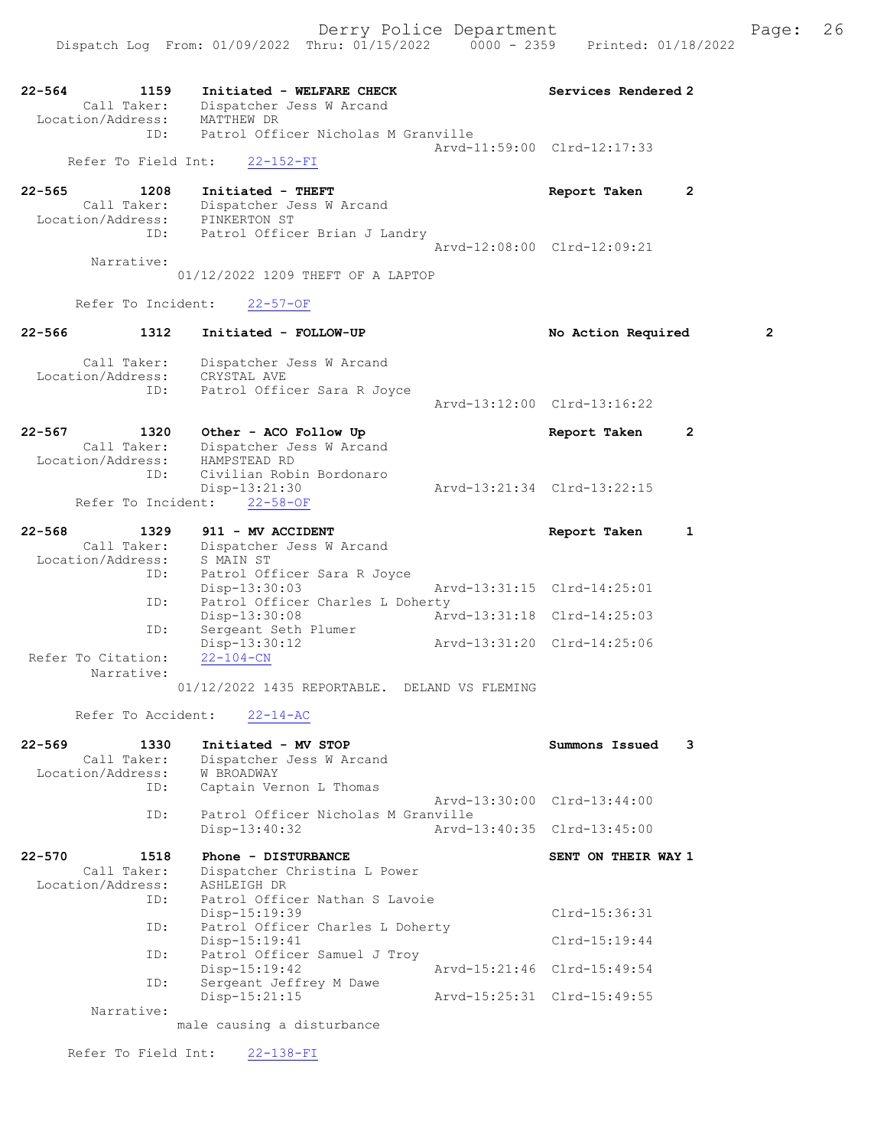Dispatch Log From: 01/09/2022 Thru: 01/15/2022 0000 - 2359 Printed: 01/18/2022

| 22-564     | 1159                             | Initiated - WELFARE CHECK                       | Services Rendered 2         |              |
|------------|----------------------------------|-------------------------------------------------|-----------------------------|--------------|
|            | Call Taker:                      | Dispatcher Jess W Arcand                        |                             |              |
|            | Location/Address:                | MATTHEW DR                                      |                             |              |
|            | ID:                              | Patrol Officer Nicholas M Granville             |                             |              |
|            |                                  |                                                 | Arvd-11:59:00 Clrd-12:17:33 |              |
|            | Refer To Field Int:              | $22 - 152 - FI$                                 |                             |              |
| $22 - 565$ | 1208                             | Initiated - THEFT                               | Report Taken                | 2            |
|            | Call Taker:                      | Dispatcher Jess W Arcand                        |                             |              |
|            | Location/Address:                | PINKERTON ST                                    |                             |              |
|            | ID:                              | Patrol Officer Brian J Landry                   |                             |              |
|            |                                  |                                                 | Arvd-12:08:00 Clrd-12:09:21 |              |
|            | Narrative:                       |                                                 |                             |              |
|            |                                  | 01/12/2022 1209 THEFT OF A LAPTOP               |                             |              |
|            | Refer To Incident:               | $22 - 57 - OF$                                  |                             |              |
| $22 - 566$ | 1312                             | Initiated - FOLLOW-UP                           | No Action Required          | 2            |
|            |                                  |                                                 |                             |              |
|            | Call Taker:                      | Dispatcher Jess W Arcand                        |                             |              |
|            | Location/Address:                | CRYSTAL AVE                                     |                             |              |
|            | ID:                              | Patrol Officer Sara R Joyce                     |                             |              |
|            |                                  |                                                 | Arvd-13:12:00 Clrd-13:16:22 |              |
| 22-567     | 1320                             | Other - ACO Follow Up                           | Report Taken                | $\mathbf{2}$ |
|            | Call Taker:                      | Dispatcher Jess W Arcand                        |                             |              |
|            | Location/Address:                | HAMPSTEAD RD                                    |                             |              |
|            | ID:                              | Civilian Robin Bordonaro                        |                             |              |
|            |                                  | Disp-13:21:30                                   | Arvd-13:21:34 Clrd-13:22:15 |              |
|            | Refer To Incident:               | $22 - 58 - OF$                                  |                             |              |
|            |                                  |                                                 |                             |              |
| $22 - 568$ | 1329                             | 911 - MV ACCIDENT                               | Report Taken                | 1            |
|            | Call Taker:<br>Location/Address: | Dispatcher Jess W Arcand                        |                             |              |
|            | ID:                              | S MAIN ST<br>Patrol Officer Sara R Joyce        |                             |              |
|            |                                  | $Disp-13:30:03$                                 | Arvd-13:31:15 Clrd-14:25:01 |              |
|            | ID:                              | Patrol Officer Charles L Doherty                |                             |              |
|            |                                  | Disp-13:30:08                                   | Arvd-13:31:18 Clrd-14:25:03 |              |
|            | ID:                              | Sergeant Seth Plumer                            |                             |              |
|            |                                  | $Disp-13:30:12$                                 | Arvd-13:31:20 Clrd-14:25:06 |              |
|            | Refer To Citation:               | $22 - 104 - CN$                                 |                             |              |
|            | Narrative:                       |                                                 |                             |              |
|            |                                  | 01/12/2022 1435 REPORTABLE. DELAND VS FLEMING   |                             |              |
|            | Refer To Accident:               | $22 - 14 - AC$                                  |                             |              |
|            |                                  |                                                 |                             |              |
| 22-569     | 1330                             | Initiated - MV STOP                             | Summons Issued              | 3            |
|            | Call Taker:                      | Dispatcher Jess W Arcand                        |                             |              |
|            | Location/Address:<br>ID:         | W BROADWAY<br>Captain Vernon L Thomas           |                             |              |
|            |                                  |                                                 | Arvd-13:30:00 Clrd-13:44:00 |              |
|            | ID:                              | Patrol Officer Nicholas M Granville             |                             |              |
|            |                                  | Disp-13:40:32                                   | Arvd-13:40:35 Clrd-13:45:00 |              |
|            |                                  |                                                 |                             |              |
| $22 - 570$ | 1518                             | Phone - DISTURBANCE                             | SENT ON THEIR WAY 1         |              |
|            | Call Taker:                      | Dispatcher Christina L Power                    |                             |              |
|            | Location/Address:                | ASHLEIGH DR                                     |                             |              |
|            | ID:                              | Patrol Officer Nathan S Lavoie<br>Disp-15:19:39 | Clrd-15:36:31               |              |
|            | ID:                              | Patrol Officer Charles L Doherty                |                             |              |
|            |                                  | $Disp-15:19:41$                                 | $Clrd-15:19:44$             |              |
|            | ID:                              | Patrol Officer Samuel J Troy                    |                             |              |
|            |                                  | $Disp-15:19:42$                                 | Arvd-15:21:46 Clrd-15:49:54 |              |
|            | ID:                              | Sergeant Jeffrey M Dawe                         |                             |              |
|            |                                  | Disp-15:21:15                                   | Arvd-15:25:31 Clrd-15:49:55 |              |
|            | Narrative:                       |                                                 |                             |              |
|            |                                  | male causing a disturbance                      |                             |              |

Refer To Field Int: 22-138-FI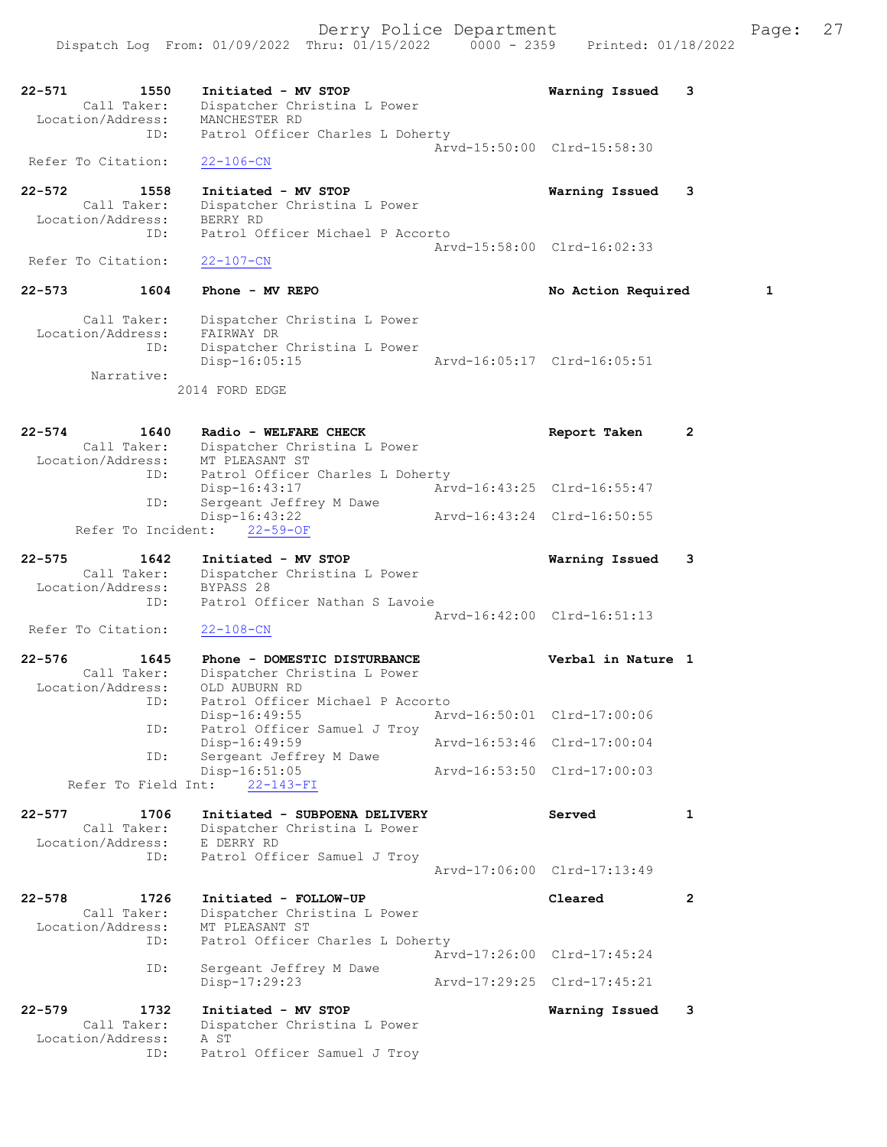22-571 1550 Initiated - MV STOP Warning Issued 3 Call Taker: Dispatcher Christina L Power Location/Address: MANCHESTER RD ID: Patrol Officer Charles L Doherty Arvd-15:50:00 Clrd-15:58:30 Refer To Citation: 22-106-CN 22-572 1558 Initiated - MV STOP Warning Issued 3 Call Taker: Dispatcher Christina L Power Location/Address: BERRY RD ID: Patrol Officer Michael P Accorto Arvd-15:58:00 Clrd-16:02:33<br>22-107-CN Refer To Citation: 22-573 1604 Phone - MV REPO 10 No Action Required 1 Call Taker: Dispatcher Christina L Power Location/Address: FAIRWAY DR ID: Dispatcher Christina L Power Disp-16:05:15 Arvd-16:05:17 Clrd-16:05:51 Narrative: 2014 FORD EDGE 22-574 1640 Radio - WELFARE CHECK 10 Report Taken 2 Call Taker: Dispatcher Christina L Power Location/Address: MT PLEASANT ST ID: Patrol Officer Charles L Doherty Disp-16:43:17 Arvd-16:43:25 Clrd-16:55:47 ID: Sergeant Jeffrey M Dawe Disp-16:43:22 Arvd-16:43:24 Clrd-16:50:55 Refer To Incident: 22-59-OF 22-575 1642 Initiated - MV STOP Warning Issued 3 Call Taker: Dispatcher Christina L Power Location/Address: BYPASS 28 ID: Patrol Officer Nathan S Lavoie Arvd-16:42:00 Clrd-16:51:13 Refer To Citation: 22-108-CN 22-576 1645 Phone - DOMESTIC DISTURBANCE Verbal in Nature 1 Call Taker: Dispatcher Christina L Power Location/Address: OLD AUBURN RD ID: Patrol Officer Michael P Accorto<br>Disp-16:49:55 Arv Arvd-16:50:01 Clrd-17:00:06 ID: Patrol Officer Samuel J Troy Disp-16:49:59 Arvd-16:53:46 Clrd-17:00:04 ID: Sergeant Jeffrey M Dawe Disp-16:51:05 Arvd-16:53:50 Clrd-17:00:03 Refer To Field Int: 22-143-FI 22-577 1706 Initiated - SUBPOENA DELIVERY Served 1 Call Taker: Dispatcher Christina L Power Location/Address: E DERRY RD ID: Patrol Officer Samuel J Troy Arvd-17:06:00 Clrd-17:13:49 22-578 1726 Initiated - FOLLOW-UP Cleared 2 Call Taker: Dispatcher Christina L Power Location/Address: MT PLEASANT ST ID: Patrol Officer Charles L Doherty Arvd-17:26:00 Clrd-17:45:24 ID: Sergeant Jeffrey M Dawe<br>Disp-17:29:23 Disp-17:29:23 Arvd-17:29:25 Clrd-17:45:21 22-579 1732 Initiated - MV STOP Warning Issued 3 Call Taker: Dispatcher Christina L Power Location/Address: A ST ID: Patrol Officer Samuel J Troy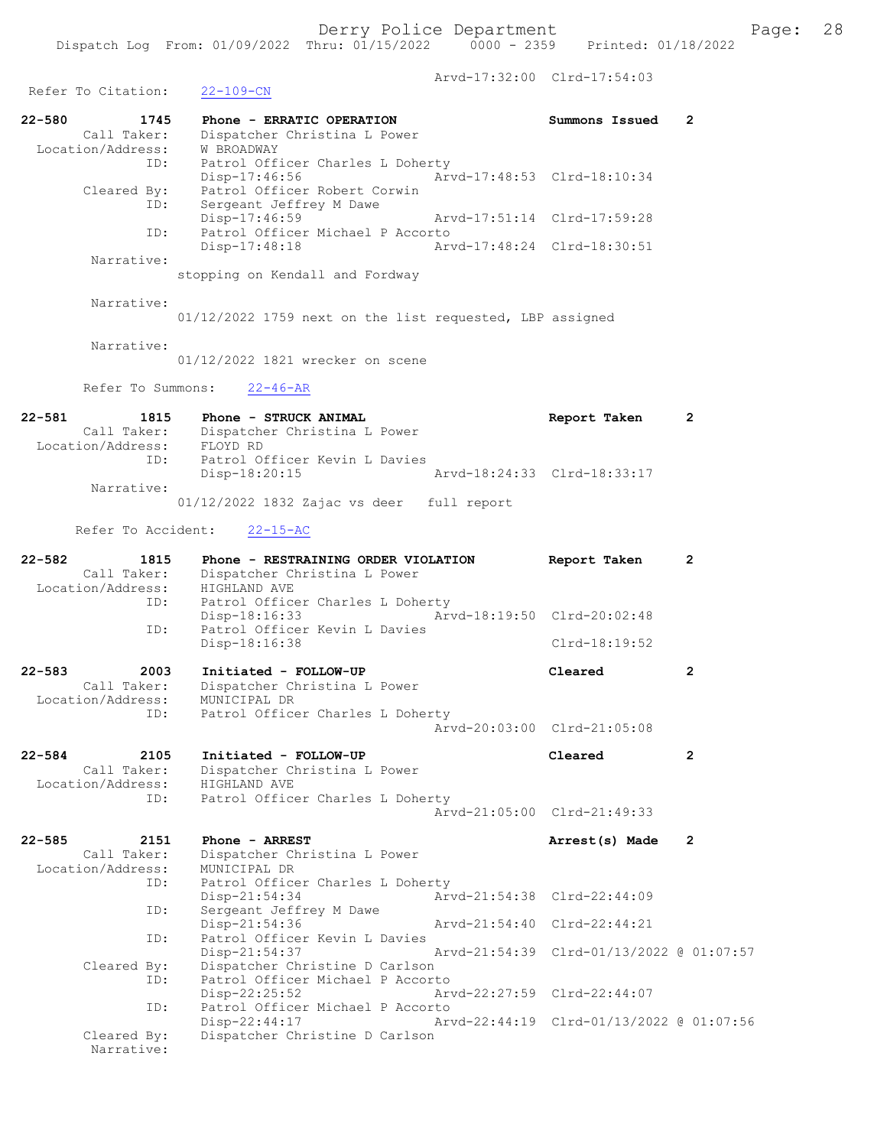Refer To Citation: 22-109-CN

Arvd-17:32:00 Clrd-17:54:03

22-580 1745 Phone - ERRATIC OPERATION Summons Issued 2 Call Taker: Dispatcher Christina L Power Location/Address: W BROADWAY ID: Patrol Officer Charles L Doherty Disp-17:46:56 Arvd-17:48:53 Clrd-18:10:34 Cleared By: Patrol Officer Robert Corwin ID: Sergeant Jeffrey M Dawe Disp-17:46:59 Arvd-17:51:14 Clrd-17:59:28 ID: Patrol Officer Michael P Accorto Disp-17:48:18 Narrative: stopping on Kendall and Fordway Narrative: 01/12/2022 1759 next on the list requested, LBP assigned Narrative: 01/12/2022 1821 wrecker on scene Refer To Summons: 22-46-AR 22-581 1815 Phone - STRUCK ANIMAL 1815 Report Taken 2 Call Taker: Dispatcher Christina L Power Location/Address: FLOYD RD ID: Patrol Officer Kevin L Davies Disp-18:20:15 Arvd-18:24:33 Clrd-18:33:17 Narrative: 01/12/2022 1832 Zajac vs deer full report Refer To Accident: 22-15-AC 22-582 1815 Phone - RESTRAINING ORDER VIOLATION Report Taken 2 Call Taker: Dispatcher Christina L Power Location/Address: HIGHLAND AVE ID: Patrol Officer Charles L Doherty Disp-18:16:33 Arvd-18:19:50 Clrd-20:02:48 ID: Patrol Officer Kevin L Davies Disp-18:16:38 Clrd-18:19:52 22-583 2003 Initiated - FOLLOW-UP Cleared 2 Call Taker: Dispatcher Christina L Power Location/Address: MUNICIPAL DR ID: Patrol Officer Charles L Doherty Arvd-20:03:00 Clrd-21:05:08 22-584 2105 Initiated - FOLLOW-UP Cleared 2 Call Taker: Dispatcher Christina L Power Location/Address: HIGHLAND AVE ID: Patrol Officer Charles L Doherty Arvd-21:05:00 Clrd-21:49:33 22-585 2151 Phone - ARREST 2008 Arrest(s) Made 2 Call Taker: Dispatcher Christina L Power Location/Address: MUNICIPAL DR ID: Patrol Officer Charles L Doherty<br>Disp-21:54:34 Arv Disp-21:54:34 <br>
D: Sergeant Jeffrey M Dawe <br>  $\bar{Arvd}$ -21:54:38 Clrd-22:44:09 Sergeant Jeffrey M Dawe Disp-21:54:36 Arvd-21:54:40 Clrd-22:44:21 ID: Patrol Officer Kevin L Davies<br>Disp-21:54:37 Disp-21:54:37 Arvd-21:54:39 Clrd-01/13/2022 @ 01:07:57 Cleared By: Dispatcher Christine D Carlson ID: Patrol Officer Michael P Accorto<br>Disp-22:25:52 Art Disp-22:25:52 Arvd-22:27:59 Clrd-22:44:07<br>TD: Patrol Officer Michael P Accorto ID: Patrol Officer Michael P Accorto Disp-22:44:17 Arvd-22:44:19 Clrd-01/13/2022 @ 01:07:56<br>Cleared By: Dispatcher Christine D Carlson Dispatcher Christine D Carlson Narrative: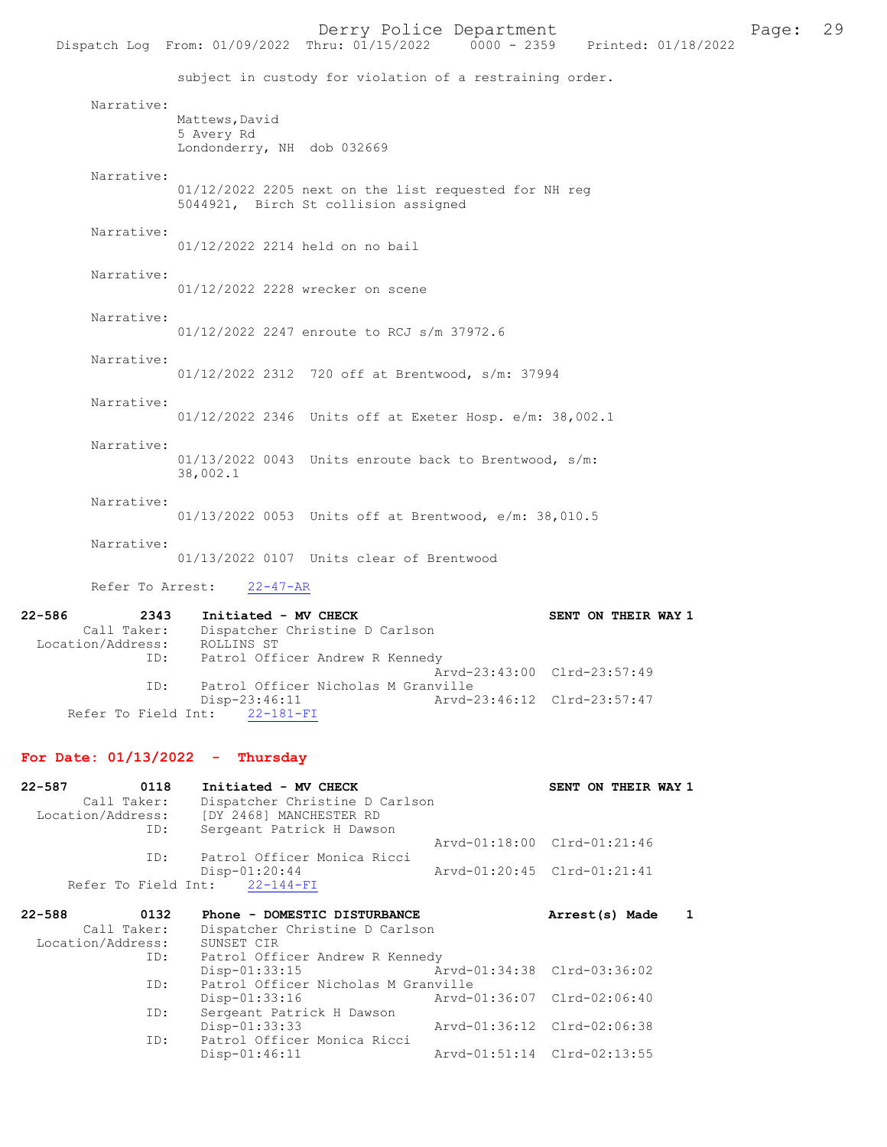Dispatch Log From: 01/09/2022 Thru: 01/15/2022

subject in custody for violation of a restraining order. Narrative: Mattews, David 5 Avery Rd Londonderry, NH dob 032669 Narrative: 01/12/2022 2205 next on the list requested for NH reg 5044921, Birch St collision assigned Narrative: 01/12/2022 2214 held on no bail Narrative: 01/12/2022 2228 wrecker on scene Narrative: 01/12/2022 2247 enroute to RCJ s/m 37972.6 Narrative: 01/12/2022 2312 720 off at Brentwood, s/m: 37994 Narrative: 01/12/2022 2346 Units off at Exeter Hosp. e/m: 38,002.1 Narrative: 01/13/2022 0043 Units enroute back to Brentwood, s/m: 38,002.1 Narrative: 01/13/2022 0053 Units off at Brentwood, e/m: 38,010.5 Narrative: 01/13/2022 0107 Units clear of Brentwood Refer To Arrest: 22-47-AR 22-586 2343 Initiated - MV CHECK SENT ON THEIR WAY 1 Call Taker: Dispatcher Christine D Carlson Location/Address: ROLLINS ST

 ID: Patrol Officer Andrew R Kennedy Arvd-23:43:00 Clrd-23:57:49 ID: Patrol Officer Nicholas M Granville<br>Disp-23:46:11 Arvd-2 -23:46:11 Arvd-23:46:12 Clrd-23:57:47<br>22-181-FI Refer To Field Int:

#### For Date: 01/13/2022 - Thursday

| 0118<br>$22 - 587$           | Initiated - MV CHECK                      |                             | SENT ON THEIR WAY 1            |
|------------------------------|-------------------------------------------|-----------------------------|--------------------------------|
| Call Taker:                  | Dispatcher Christine D Carlson            |                             |                                |
|                              | Location/Address: [DY 2468] MANCHESTER RD |                             |                                |
| ID:                          | Sergeant Patrick H Dawson                 |                             |                                |
|                              |                                           |                             | Arvd-01:18:00 Clrd-01:21:46    |
| ID:                          | Patrol Officer Monica Ricci               |                             |                                |
|                              | $Disp-01:20:44$                           |                             | Arvd-01:20:45 Clrd-01:21:41    |
|                              | Refer To Field Int: 22-144-FI             |                             |                                |
|                              |                                           |                             |                                |
| $22 - 588$<br>0132           | Phone - DOMESTIC DISTURBANCE              |                             | Arrest(s) Made<br>$\mathbf{1}$ |
| Call Taker:                  | Dispatcher Christine D Carlson            |                             |                                |
| Location/Address: SUNSET CIR |                                           |                             |                                |
|                              | ID: Patrol Officer Andrew R Kennedy       |                             |                                |
|                              | $Disp-01:33:15$                           | Arvd-01:34:38 Clrd-03:36:02 |                                |
| ID:                          | Patrol Officer Nicholas M Granville       |                             |                                |
|                              | Disp-01:33:16                             |                             |                                |
| ID:                          | Sergeant Patrick H Dawson                 |                             |                                |
|                              | Disp-01:33:33                             | Arvd-01:36:12 Clrd-02:06:38 |                                |
| ID:                          | Patrol Officer Monica Ricci               |                             |                                |
|                              | $Disp-01:46:11$                           |                             | Arvd-01:51:14 Clrd-02:13:55    |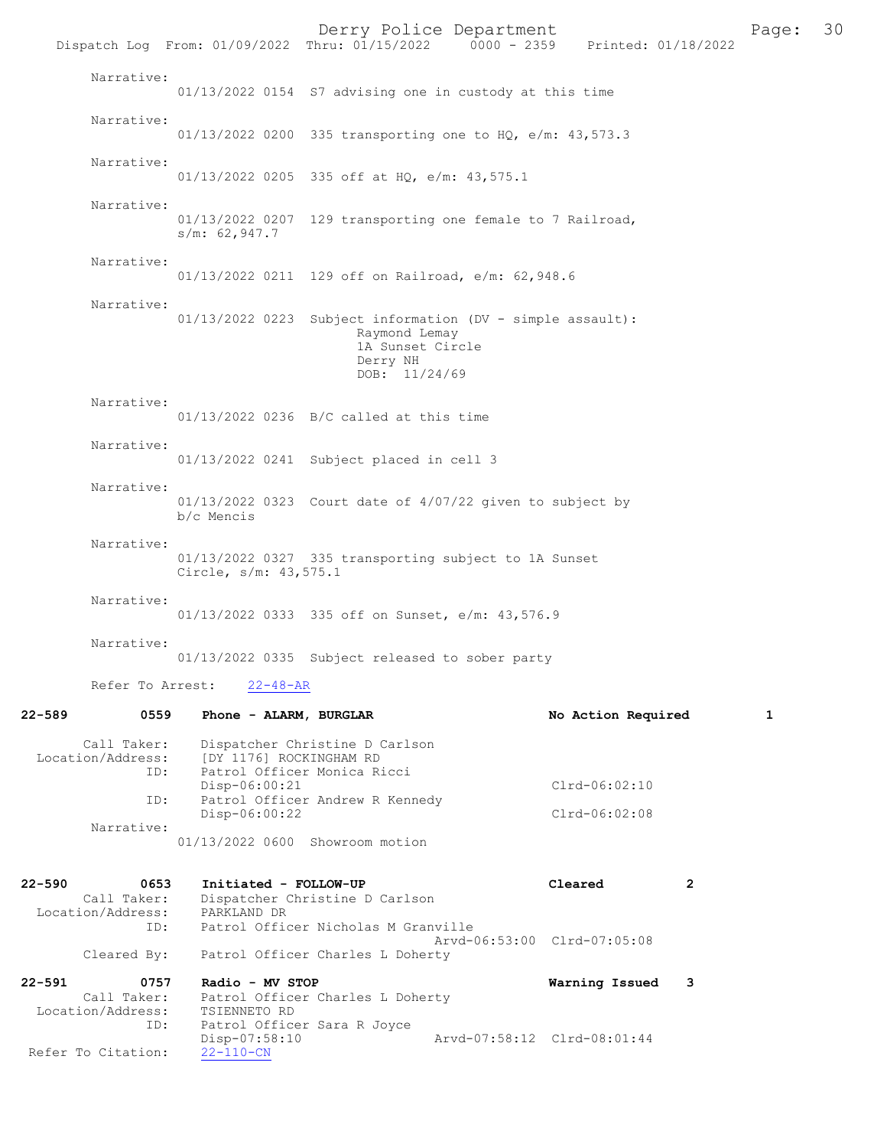|                                                           |                                      | Derry Police Department                                               | Dispatch Log From: 01/09/2022 Thru: 01/15/2022 0000 - 2359 Printed: 01/18/2022 |   | Page: | 30 |
|-----------------------------------------------------------|--------------------------------------|-----------------------------------------------------------------------|--------------------------------------------------------------------------------|---|-------|----|
| Narrative:                                                |                                      | 01/13/2022 0154 S7 advising one in custody at this time               |                                                                                |   |       |    |
| Narrative:                                                |                                      | 01/13/2022 0200 335 transporting one to HQ, e/m: 43,573.3             |                                                                                |   |       |    |
| Narrative:                                                |                                      | 01/13/2022 0205 335 off at HQ, e/m: 43,575.1                          |                                                                                |   |       |    |
| Narrative:                                                | s/m: 62,947.7                        |                                                                       | 01/13/2022 0207 129 transporting one female to 7 Railroad,                     |   |       |    |
| Narrative:                                                |                                      | 01/13/2022 0211 129 off on Railroad, e/m: 62,948.6                    |                                                                                |   |       |    |
| Narrative:                                                |                                      | Raymond Lemay<br>1A Sunset Circle<br>Derry NH<br>DOB: 11/24/69        | 01/13/2022 0223 Subject information (DV - simple assault):                     |   |       |    |
| Narrative:                                                |                                      | 01/13/2022 0236 B/C called at this time                               |                                                                                |   |       |    |
| Narrative:                                                |                                      | 01/13/2022 0241 Subject placed in cell 3                              |                                                                                |   |       |    |
| Narrative:                                                | b/c Mencis                           | 01/13/2022 0323 Court date of 4/07/22 given to subject by             |                                                                                |   |       |    |
| Narrative:                                                | Circle, s/m: 43,575.1                | 01/13/2022 0327 335 transporting subject to 1A Sunset                 |                                                                                |   |       |    |
| Narrative:                                                |                                      | 01/13/2022 0333 335 off on Sunset, e/m: 43,576.9                      |                                                                                |   |       |    |
| Narrative:                                                |                                      | 01/13/2022 0335 Subject released to sober party                       |                                                                                |   |       |    |
| Refer To Arrest:                                          | $22 - 48 - AR$                       |                                                                       |                                                                                |   |       |    |
| 22-589<br>0559                                            | Phone - ALARM, BURGLAR               |                                                                       | No Action Required                                                             |   | 1     |    |
| Call Taker:<br>Location/Address:<br>ID:                   | [DY 1176] ROCKINGHAM RD              | Dispatcher Christine D Carlson<br>Patrol Officer Monica Ricci         |                                                                                |   |       |    |
| ID:                                                       | Disp-06:00:21                        | Patrol Officer Andrew R Kennedy                                       | $Clrd-06:02:10$                                                                |   |       |    |
| Narrative:                                                | Disp-06:00:22                        | 01/13/2022 0600 Showroom motion                                       | $Clrd-06:02:08$                                                                |   |       |    |
| 22-590<br>0653<br>Call Taker:<br>Location/Address:<br>ID: | Initiated - FOLLOW-UP<br>PARKLAND DR | Dispatcher Christine D Carlson<br>Patrol Officer Nicholas M Granville | Cleared                                                                        | 2 |       |    |
| Cleared By:                                               |                                      | Patrol Officer Charles L Doherty                                      | Arvd-06:53:00 Clrd-07:05:08                                                    |   |       |    |
| 22-591<br>0757<br>Call Taker:                             | Radio - MV STOP                      | Patrol Officer Charles L Doherty                                      | Warning Issued                                                                 | 3 |       |    |

 Call Taker: Patrol Officer Charles L Doherty Location/Address: TSIENNETO RD ID: Patrol Officer Sara R Joyce Disp-07:58:10 Arvd-07:58:12 Clrd-08:01:44 Refer To Citation: 22-110-CN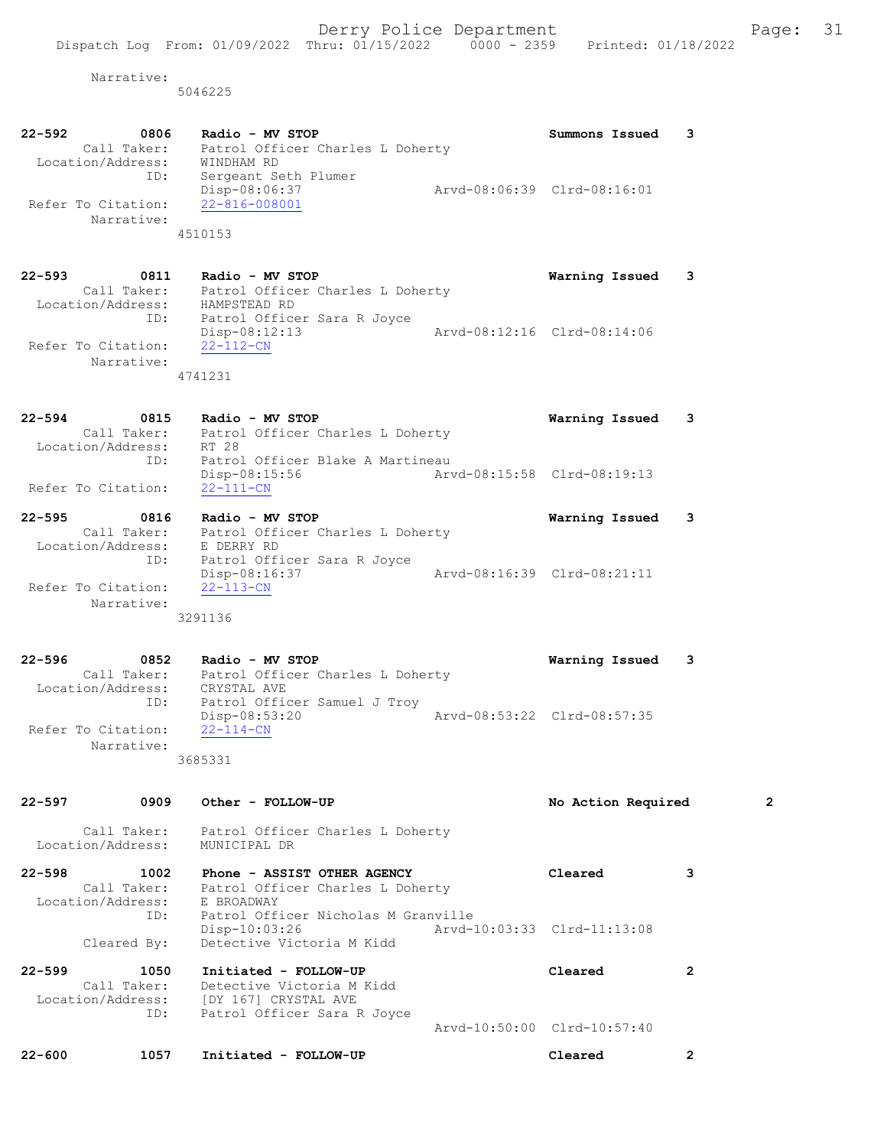5046225

| $22 - 592$<br>$\sim$ 0806<br>Call Taker:<br>Location/Address:<br>ID:<br>Refer To Citation:<br>Narrative: | Radio - MV STOP<br>Patrol Officer Charles L Doherty<br>WINDHAM RD<br>Sergeant Seth Plumer<br>Arvd-08:06:39 Clrd-08:16:01<br>Disp-08:06:37<br>22-816-008001<br>4510153                                                                             | Summons Issued                                | 3 |
|----------------------------------------------------------------------------------------------------------|---------------------------------------------------------------------------------------------------------------------------------------------------------------------------------------------------------------------------------------------------|-----------------------------------------------|---|
| $22 - 593$<br>0811<br>Refer To Citation:<br>Narrative:                                                   | Radio - MV STOP<br>Call Taker: Patrol Officer Charles L Doherty<br>Location/Address: HAMPSTEAD RD<br>ID: Patrol Officer Sara R Joyce<br>Patrol Officer Sara R Joyce<br>Aryd-08:12:16 Clrd-08:14:06<br>Disp-08:12:13<br>$22 - 112 - CN$<br>4741231 | Warning Issued                                | 3 |
| $22 - 594$<br>Location/Address:<br>ID:<br>Refer To Citation:                                             | 0815<br>Radio - MV STOP<br>Call Taker: Patrol Officer Charles L Doherty<br>RT 28<br>Patrol Officer Blake A Martineau<br>Arvd-08:15:58 Clrd-08:19:13<br>Disp-08:15:56<br>$22 - 111 - CN$                                                           | Warning Issued                                | 3 |
| $22 - 595$<br>0816<br>Call Taker:<br>Location/Address:<br>ID:<br>Refer To Citation:<br>Narrative:        | Radio - MV STOP<br>Patrol Officer Charles L Doherty<br>E DERRY RD<br>Patrol Officer Sara R Joyce<br>Disp-08:16:37<br>$22 - 113 - CN$<br>3291136                                                                                                   | Warning Issued<br>Arvd-08:16:39 Clrd-08:21:11 | 3 |

22-596 0852 Radio - MV STOP Warning Issued 3 Call Taker: Patrol Officer Charles L Doherty Location/Address: CRYSTAL AVE ID: Patrol Officer Samuel J Troy Disp-08:53:20 Arvd-08:53:22 Clrd-08:57:35 Refer To Citation: 22-114-CN Narrative: 3685331

| $22 - 597$                      | 0909                       | Other - FOLLOW-UP                                                                                                           | No Action Required          | $\overline{2}$ |
|---------------------------------|----------------------------|-----------------------------------------------------------------------------------------------------------------------------|-----------------------------|----------------|
| Location/Address:               | Call Taker:                | Patrol Officer Charles L Doherty<br>MUNICIPAL DR                                                                            |                             |                |
| $22 - 598$<br>Location/Address: | 1002<br>Call Taker:<br>ID: | Phone - ASSIST OTHER AGENCY<br>Patrol Officer Charles L Doherty<br>E BROADWAY<br>Patrol Officer Nicholas M Granville        | Cleared                     | 3              |
|                                 | Cleared By:                | $Disp-10:03:26$<br>Detective Victoria M Kidd                                                                                |                             |                |
| $22 - 599$                      | 1050<br>Call Taker:<br>ID: | Initiated - FOLLOW-UP<br>Detective Victoria M Kidd<br>Location/Address: [DY 167] CRYSTAL AVE<br>Patrol Officer Sara R Joyce | Cleared                     | 2              |
|                                 |                            |                                                                                                                             | Arvd-10:50:00 Clrd-10:57:40 |                |
| $22 - 600$                      | 1057                       | Initiated - FOLLOW-UP                                                                                                       | Cleared                     | 2              |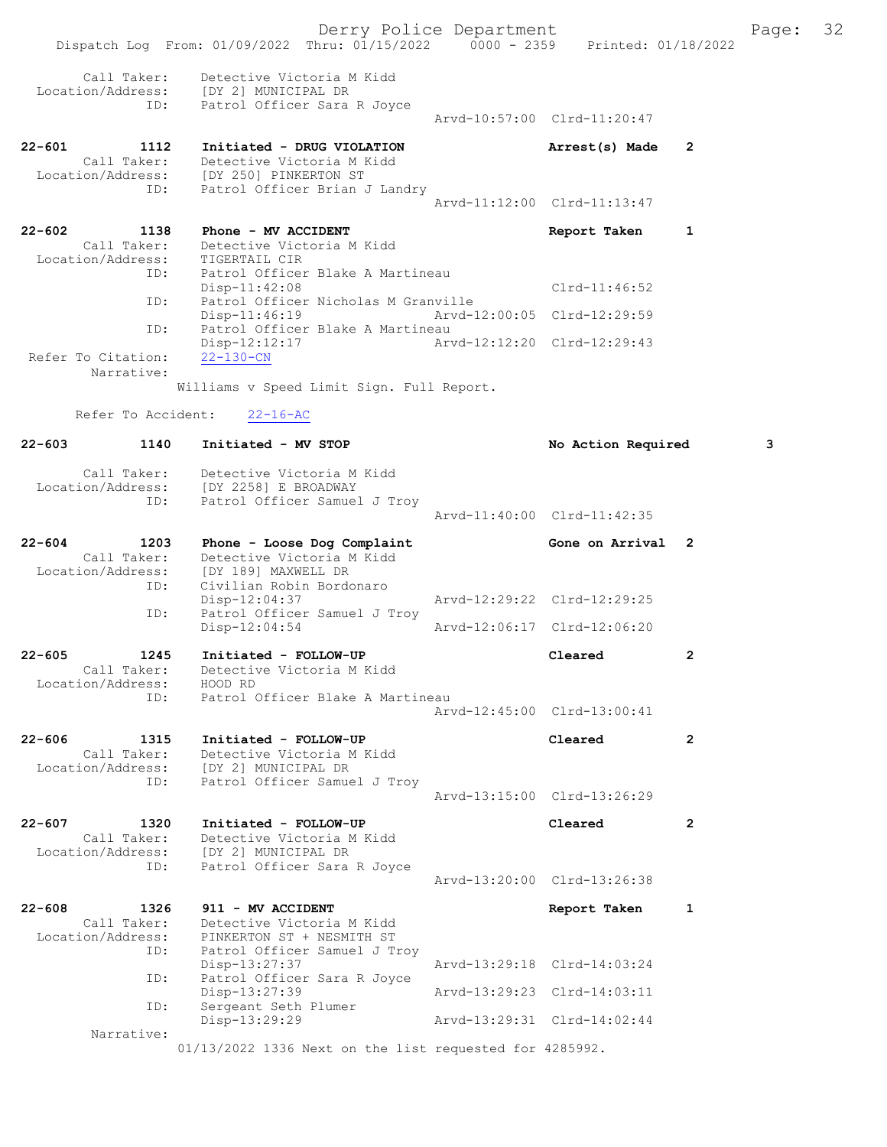|                                                        | Dispatch Log From: 01/09/2022 Thru: 01/15/2022 0000 - 2359 Printed: 01/18/2022                    | Derry Police Department |                             |                      | Page: | 32 |
|--------------------------------------------------------|---------------------------------------------------------------------------------------------------|-------------------------|-----------------------------|----------------------|-------|----|
| Call Taker:<br>ID:                                     | Detective Victoria M Kidd<br>Location/Address: [DY 2] MUNICIPAL DR<br>Patrol Officer Sara R Joyce |                         |                             |                      |       |    |
|                                                        |                                                                                                   |                         | Arvd-10:57:00 Clrd-11:20:47 |                      |       |    |
| $22 - 601$<br>1112<br>Call Taker:                      | Initiated - DRUG VIOLATION<br>Detective Victoria M Kidd                                           |                         | Arrest(s) Made              | 2                    |       |    |
| ID:                                                    | Location/Address: [DY 250] PINKERTON ST<br>Patrol Officer Brian J Landry                          |                         | Arvd-11:12:00 Clrd-11:13:47 |                      |       |    |
| $22 - 602$<br>1138                                     | Phone - MV ACCIDENT                                                                               |                         | Report Taken                | 1                    |       |    |
| Call Taker:<br>Location/Address:                       | Detective Victoria M Kidd<br>TIGERTAIL CIR                                                        |                         |                             |                      |       |    |
| ID:                                                    | Patrol Officer Blake A Martineau<br>$Disp-11:42:08$                                               |                         | $Clrd-11:46:52$             |                      |       |    |
| ID:                                                    | Patrol Officer Nicholas M Granville<br>Disp-11:46:19                                              |                         | Arvd-12:00:05 Clrd-12:29:59 |                      |       |    |
| ID:<br>Refer To Citation:                              | Patrol Officer Blake A Martineau<br>$Disp-12:12:17$<br>$22 - 130 - CN$                            |                         | Arvd-12:12:20 Clrd-12:29:43 |                      |       |    |
| Narrative:                                             |                                                                                                   |                         |                             |                      |       |    |
|                                                        | Williams v Speed Limit Sign. Full Report.                                                         |                         |                             |                      |       |    |
| Refer To Accident:                                     | $22 - 16 - AC$                                                                                    |                         |                             |                      |       |    |
| $22 - 603$<br>1140                                     | Initiated - MV STOP                                                                               |                         | No Action Required          |                      | 3     |    |
| Call Taker:<br>Location/Address:                       | Detective Victoria M Kidd<br>[DY 2258] E BROADWAY                                                 |                         |                             |                      |       |    |
| ID:                                                    | Patrol Officer Samuel J Troy                                                                      |                         | Arvd-11:40:00 Clrd-11:42:35 |                      |       |    |
| $22 - 604$<br>1203<br>Call Taker:<br>Location/Address: | Phone - Loose Dog Complaint<br>Detective Victoria M Kidd<br>[DY 189] MAXWELL DR                   |                         | Gone on Arrival 2           |                      |       |    |
| ID:<br>ID:                                             | Civilian Robin Bordonaro<br>Disp-12:04:37<br>Patrol Officer Samuel J Troy                         |                         | Arvd-12:29:22 Clrd-12:29:25 |                      |       |    |
|                                                        | $Disp-12:04:54$                                                                                   |                         | Arvd-12:06:17 Clrd-12:06:20 |                      |       |    |
| $22 - 605$<br>1245<br>Call Taker:                      | Initiated - FOLLOW-UP<br>Detective Victoria M Kidd                                                |                         | Cleared                     | $\overline{2}$       |       |    |
| Location/Address:<br>ID:                               | HOOD RD<br>Patrol Officer Blake A Martineau                                                       |                         | Arvd-12:45:00 Clrd-13:00:41 |                      |       |    |
| $22 - 606$<br>1315                                     | Initiated - FOLLOW-UP                                                                             |                         | Cleared                     | $\mathbf{2}$         |       |    |
| Call Taker:<br>Location/Address:                       | Detective Victoria M Kidd<br>[DY 2] MUNICIPAL DR                                                  |                         |                             |                      |       |    |
| ID:                                                    | Patrol Officer Samuel J Troy                                                                      |                         | Arvd-13:15:00 Clrd-13:26:29 |                      |       |    |
| 22-607<br>1320<br>Call Taker:                          | Initiated - FOLLOW-UP<br>Detective Victoria M Kidd                                                |                         | Cleared                     | $\mathbf{2}^{\circ}$ |       |    |
| ID:                                                    | Location/Address: [DY 2] MUNICIPAL DR<br>Patrol Officer Sara R Joyce                              |                         | Arvd-13:20:00 Clrd-13:26:38 |                      |       |    |
| $22 - 608$<br>1326                                     | 911 - MV ACCIDENT                                                                                 |                         | Report Taken                | 1                    |       |    |
| Call Taker:<br>Location/Address:                       | Detective Victoria M Kidd<br>PINKERTON ST + NESMITH ST                                            |                         |                             |                      |       |    |
| ID:<br>ID:                                             | Patrol Officer Samuel J Troy<br>Disp-13:27:37<br>Patrol Officer Sara R Joyce                      |                         | Arvd-13:29:18 Clrd-14:03:24 |                      |       |    |
| ID:                                                    | Disp-13:27:39<br>Sergeant Seth Plumer                                                             |                         | Arvd-13:29:23 Clrd-14:03:11 |                      |       |    |
| Narrative:                                             | Disp-13:29:29                                                                                     |                         | Arvd-13:29:31 Clrd-14:02:44 |                      |       |    |
|                                                        | 01/13/2022 1336 Next on the list requested for 4285992.                                           |                         |                             |                      |       |    |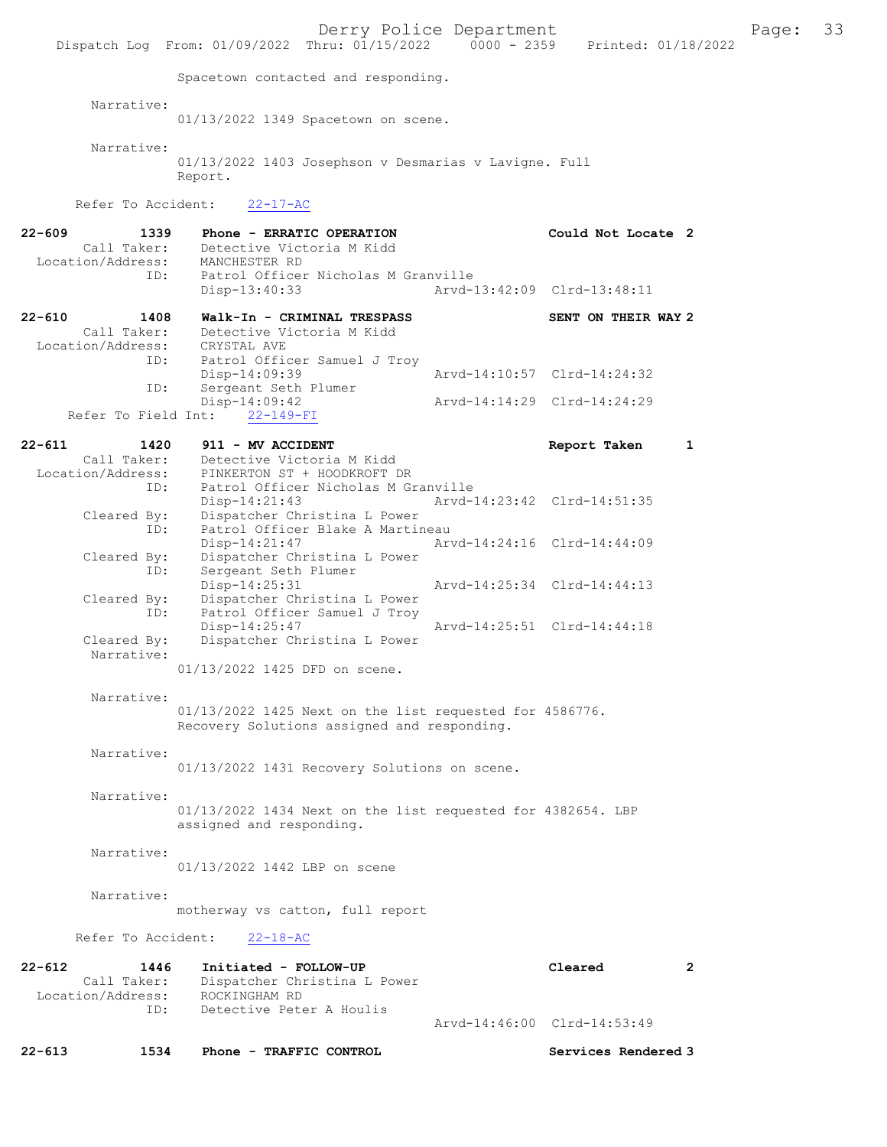Derry Police Department<br>hru:  $01/15/2022$  0000 - 2359 Printed:  $01/18/2022$ Dispatch Log From: 01/09/2022 Thru: 01/15/2022 Spacetown contacted and responding. Narrative: 01/13/2022 1349 Spacetown on scene. Narrative: 01/13/2022 1403 Josephson v Desmarias v Lavigne. Full Report. Refer To Accident: 22-17-AC 22-609 1339 Phone - ERRATIC OPERATION Could Not Locate 2 Call Taker: Detective Victoria M Kidd<br>ion/Address: MANCHESTER RD Location/Address:<br>ID: Patrol Officer Nicholas M Granville Disp-13:40:33 Arvd-13:42:09 Clrd-13:48:11 22-610 1408 Walk-In - CRIMINAL TRESPASS SENT ON THEIR WAY 2 Call Taker: Detective Victoria M Kidd<br>ion/Address: CRYSTAL AVE Location/Address:<br>ID: Patrol Officer Samuel J Troy<br>Disp-14:09:39 Disp-14:09:39 Arvd-14:10:57 Clrd-14:24:32<br>TD: Sergeant Seth Plumer Sergeant Seth Plumer Disp-14:09:42 Arvd-14:14:29 Clrd-14:24:29 Refer To Field Int: 22-149-FI 22-611 1420 911 - MV ACCIDENT Report Taken 1 Call Taker: Detective Victoria M Kidd<br>Location/Address: PINKERTON ST + HOODKROFT D ess: PINKERTON ST + HOODKROFT DR<br>ID: Patrol Officer Nicholas M G ID: Patrol Officer Nicholas M Granville Disp-14:21:43 Arvd-14:23:42 Clrd-14:51:35<br>Cleared By: Dispatcher Christina L Power Dispatcher Christina L Power ID: Patrol Officer Blake A Martineau<br>Disp-14:21:47 Arw Disp-14:21:47 Arvd-14:24:16 Clrd-14:44:09 Cleared By: Dispatcher Christina L Power<br>
ID: Sergeant Seth Plumer Sergeant Seth Plumer<br>Disp-14:25:31 Disp-14:25:31 Arvd-14:25:34 Clrd-14:44:13<br>Cleared By: Dispatcher Christina L Power By: Dispatcher Christina L Power<br>ID: Patrol Officer Samuel J Troy Patrol Officer Samuel J Troy Disp-14:25:47 Arvd-14:25:51 Clrd-14:44:18<br>Cleared By: Dispatcher Christina L Power Dispatcher Christina L Power Narrative: 01/13/2022 1425 DFD on scene. Narrative: 01/13/2022 1425 Next on the list requested for 4586776. Recovery Solutions assigned and responding. Narrative: 01/13/2022 1431 Recovery Solutions on scene. Narrative: 01/13/2022 1434 Next on the list requested for 4382654. LBP assigned and responding. Narrative: 01/13/2022 1442 LBP on scene Narrative: motherway vs catton, full report Refer To Accident: 22-18-AC 22-612 1446 Initiated - FOLLOW-UP Cleared 2 Call Taker: Dispatcher Christina L Power<br>ion/Address: ROCKINGHAM RD Location/Address:<br>TD: Detective Peter A Houlis Arvd-14:46:00 Clrd-14:53:49 22-613 1534 Phone - TRAFFIC CONTROL Services Rendered 3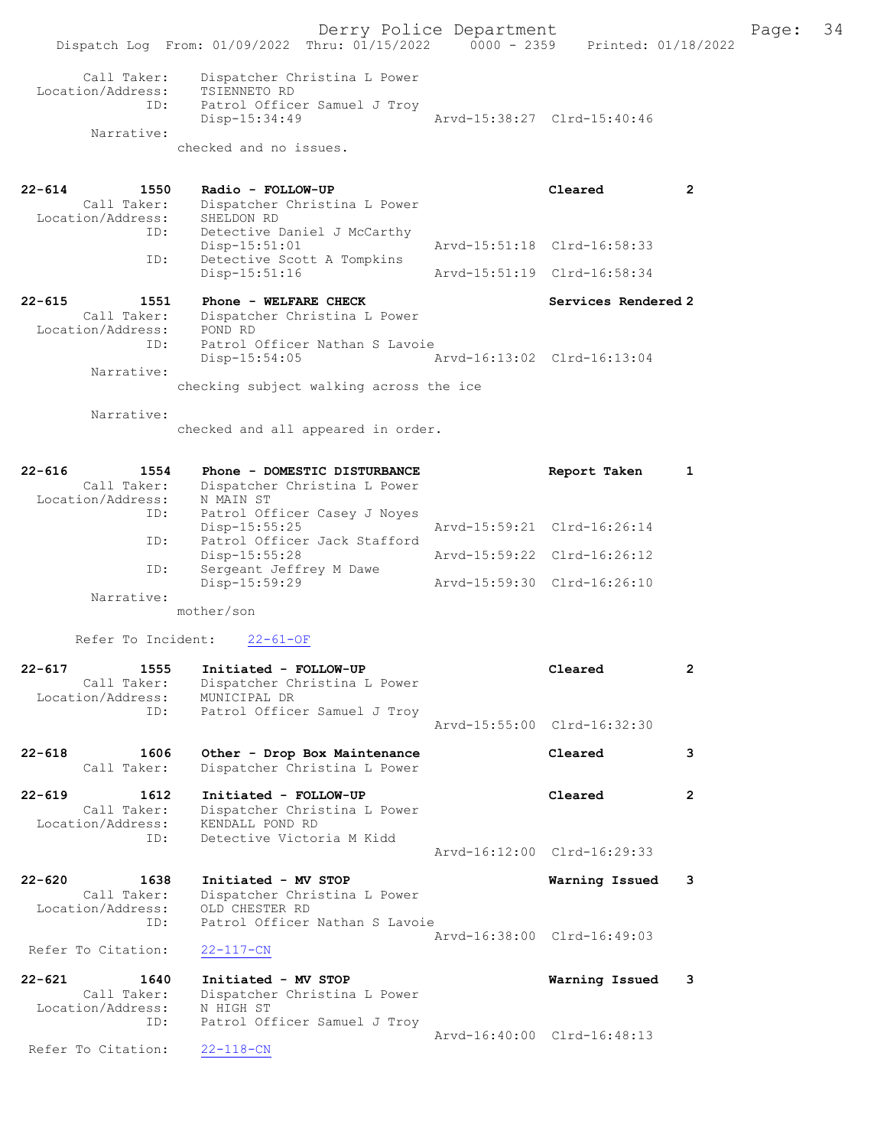Derry Police Department Fage: 34 Dispatch Log From: 01/09/2022 Thru: 01/15/2022 0000 - 2359 Printed: 01/18/2022 Call Taker: Dispatcher Christina L Power Location/Address: TSIENNETO RD ID: Patrol Officer Samuel J Troy Disp-15:34:49 Arvd-15:38:27 Clrd-15:40:46 Narrative: checked and no issues. 22-614 1550 Radio - FOLLOW-UP Cleared 2 Call Taker: Dispatcher Christina L Power Location/Address: SHELDON RD ID: Detective Daniel J McCarthy<br>Disp-15:51:01 Disp-15:51:01 Arvd-15:51:18 Clrd-16:58:33 ID: Detective Scott A Tompkins Disp-15:51:16 Arvd-15:51:19 Clrd-16:58:34 ID: Detective Scott A Tompkins<br>Disp-15:51:16 1551 Phone - WELFARE CHECK 22-615 Services Rendered 2 Call Taker: Dispatcher Christina L Power Location/Address: POND RD ID: Patrol Officer Nathan S Lavoie Disp-15:54:05 Arvd-16:13:02 Clrd-16:13:04 Narrative: checking subject walking across the ice Narrative: checked and all appeared in order. 22-616 1554 Phone - DOMESTIC DISTURBANCE Report Taken 1 Call Taker: Dispatcher Christina L Power Location/Address: N MAIN ST ID: Patrol Officer Casey J Noyes Disp-15:55:25 Arvd-15:59:21 Clrd-16:26:14 ID: Patrol Officer Jack Stafford<br>Disp-15:55:28 Disp-15:55:28 Arvd-15:59:22 Clrd-16:26:12 ID: Sergeant Jeffrey M Dawe Disp-15:59:29 Arvd-15:59:30 Clrd-16:26:10 Narrative: mother/son Refer To Incident: 22-61-OF 22-617 1555 Initiated - FOLLOW-UP Cleared 2 Call Taker: Dispatcher Christina L Power Location/Address: MUNICIPAL DR ID: Patrol Officer Samuel J Troy Arvd-15:55:00 Clrd-16:32:30 22-618 1606 Other - Drop Box Maintenance Cleared 3 Call Taker: Dispatcher Christina L Power 22-619 1612 Initiated - FOLLOW-UP Cleared 2 Call Taker: Dispatcher Christina L Power Location/Address: KENDALL POND RD ID: Detective Victoria M Kidd Arvd-16:12:00 Clrd-16:29:33 22-620 1638 Initiated - MV STOP Warning Issued 3 Call Taker: Dispatcher Christina L Power Location/Address: OLD CHESTER RD ID: Patrol Officer Nathan S Lavoie Arvd-16:38:00 Clrd-16:49:03<br>22-117-CN Refer To Citation: 22-621 1640 Initiated - MV STOP **Warning Issued 3**<br>Call Taker: Dispatcher Christina L Power Call Taker: Dispatcher Christina L Power Location/Address: N HIGH ST ID: Patrol Officer Samuel J Troy Arvd-16:40:00 Clrd-16:48:13 Refer To Citation: 22-118-CN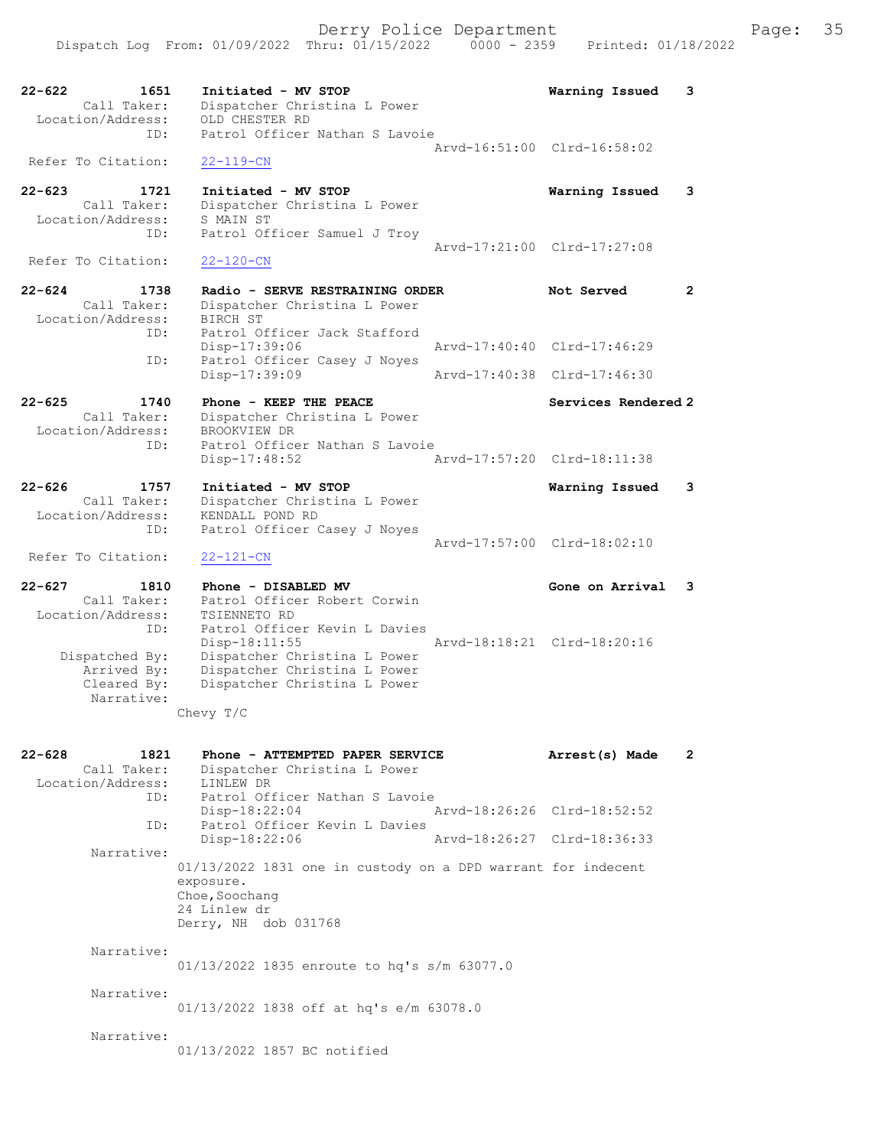22-622 1651 Initiated - MV STOP Warning Issued 3 Call Taker: Dispatcher Christina L Power Location/Address: OLD CHESTER RD ID: Patrol Officer Nathan S Lavoie Arvd-16:51:00 Clrd-16:58:02 Refer To Citation: 22-119-CN 22-623 1721 Initiated - MV STOP Warning Issued 3 Call Taker: Dispatcher Christina L Power Location/Address: S MAIN ST ID: Patrol Officer Samuel J Troy Arvd-17:21:00 Clrd-17:27:08<br>22-120-CN Refer To Citation: 22-624 1738 Radio - SERVE RESTRAINING ORDER Not Served 2 Call Taker: Dispatcher Christina L Power Location/Address: BIRCH ST ID: Patrol Officer Jack Stafford<br>Disp-17:39:06 Disp-17:39:06 Arvd-17:40:40 Clrd-17:46:29 ID: Patrol Officer Casey J Noyes<br>Disp-17:39:09 Disp-17:39:09 Arvd-17:40:38 Clrd-17:46:30 22-625 1740 Phone - KEEP THE PEACE Services Rendered 2 Call Taker: Dispatcher Christina L Power Location/Address: BROOKVIEW DR ID: Patrol Officer Nathan S Lavoie Disp-17:48:52 Arvd-17:57:20 Clrd-18:11:38 22-626 1757 Initiated - MV STOP Warning Issued 3 Call Taker: Dispatcher Christina L Power Location/Address: KENDALL POND RD ID: Patrol Officer Casey J Noyes Arvd-17:57:00 Clrd-18:02:10 Refer To Citation: 22-121-CN 22-627 1810 Phone - DISABLED MV Gone on Arrival 3 Call Taker: Patrol Officer Robert Corwin Location/Address: TSIENNETO RD ID: Patrol Officer Kevin L Davies Disp-18:11:55 Arvd-18:18:21 Clrd-18:20:16 Dispatched By: Dispatcher Christina L Power Arrived By: Dispatcher Christina L Power Cleared By: Dispatcher Christina L Power Narrative: Chevy T/C 22-628 1821 Phone - ATTEMPTED PAPER SERVICE Arrest(s) Made 2 Call Taker: Dispatcher Christina L Power Location/Address: LINLEW DR ID: Patrol Officer Nathan S Lavoie<br>Disp-18:22:04 Mrvd-18:26:26 Clrd-18:52:52 Disp-18:22:04 Arvd-18:26:26 Clrd-18:52:52 ID: Patrol Officer Kevin L Davies Disp-18:22:06 Arvd-18:26:27 Clrd-18:36:33 Narrative: 01/13/2022 1831 one in custody on a DPD warrant for indecent exposure. Choe, Soochang 24 Linlew dr Derry, NH dob 031768 Narrative: 01/13/2022 1835 enroute to hq's s/m 63077.0 Narrative: 01/13/2022 1838 off at hq's e/m 63078.0 Narrative: 01/13/2022 1857 BC notified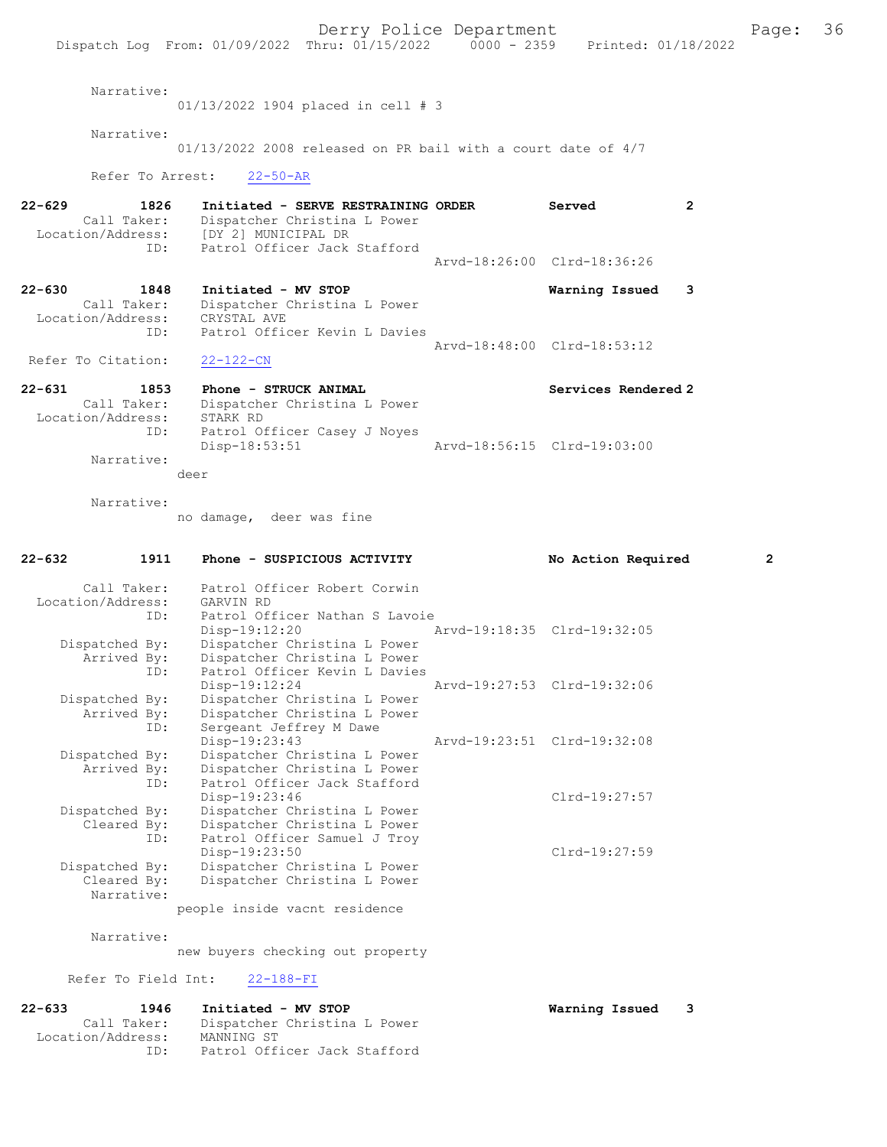Derry Police Department Fage: 36 Dispatch Log From: 01/09/2022 Thru: 01/15/2022 0000 - 2359 Printed: 01/18/2022 Narrative: 01/13/2022 1904 placed in cell # 3 Narrative: 01/13/2022 2008 released on PR bail with a court date of 4/7 Refer To Arrest: 22-50-AR 22-629 1826 Initiated - SERVE RESTRAINING ORDER Served Call Taker: Dispatcher Christina L Power Call Taker: Dispatcher Christina L Power Location/Address: [DY 2] MUNICIPAL DR ID: Patrol Officer Jack Stafford Arvd-18:26:00 Clrd-18:36:26 22-630 1848 Initiated - MV STOP **Warning Issued 3**<br>Call Taker: Dispatcher Christina L Power Dispatcher Christina L Power<br>CRYSTAL AVE Location/Address: ID: Patrol Officer Kevin L Davies Arvd-18:48:00 Clrd-18:53:12 Refer To Citation: 22-122-CN 22-631 1853 Phone - STRUCK ANIMAL 22-631 Services Rendered 2<br>Call Taker: Dispatcher Christina L Power Dispatcher Christina L Power<br>STARK RD Location/Address: ID: Patrol Officer Casey J Noyes<br>Disp-18:53:51 Disp-18:53:51 Arvd-18:56:15 Clrd-19:03:00 Narrative: deer Narrative: no damage, deer was fine 22-632 1911 Phone - SUSPICIOUS ACTIVITY No Action Required 2 Call Taker: Patrol Officer Robert Corwin<br>.on/Address: GARVIN RD Location/Address:<br>ID: Patrol Officer Nathan S Lavoie<br>Disp-19:12:20 Disp-19:12:20 Arvd-19:18:35 Clrd-19:32:05<br>Dispatched By: Dispatcher Christina L Power patched By: Dispatcher Christina L Power<br>Arrived By: Dispatcher Christina L Power Dispatcher Christina L Power By: Disparence Contraction<br>
ID: Patrol Officer Kevin L Davies<br>
Disp-19:12:24 Disp-19:12:24 Arvd-19:27:53 Clrd-19:32:06<br>Dispatched By: Dispatcher Christina L Power Dispatcher Christina L Power Arrived By: Dispatcher Christina L Power<br>ID: Sergeant Jeffrey M Dawe Sergeant Jeffrey M Dawe<br>Disp-19:23:43 Disp-19:23:43 Arvd-19:23:51 Clrd-19:32:08<br>Dispatched By: Dispatcher Christina L Power Dispatcher Christina L Power Arrived By: Dispatcher Christina L Power ID: Patrol Officer Jack Stafford Disp-19:23:46 Clrd-19:27:57<br>Dispatcher Christina L Power<br>Present Clrd-19:27:57 Dispatcher Christina L Power Cleared By: Dispatcher Christina L Power ID: Patrol Officer Samuel J Troy Disp-19:23:50 Clrd-19:27:59<br>Dispatched By: Dispatcher Christina L Power patched By: Dispatcher Christina L Power<br>Cleared By: Dispatcher Christina L Power Dispatcher Christina L Power Narrative: people inside vacnt residence Narrative: new buyers checking out property Refer To Field Int: 22-188-FI 22-633 1946 Initiated - MV STOP Warning Issued 3 Call Taker: Dispatcher Christina L Power Location/Address: MANNING ST<br>ID: Patrol Off: Patrol Officer Jack Stafford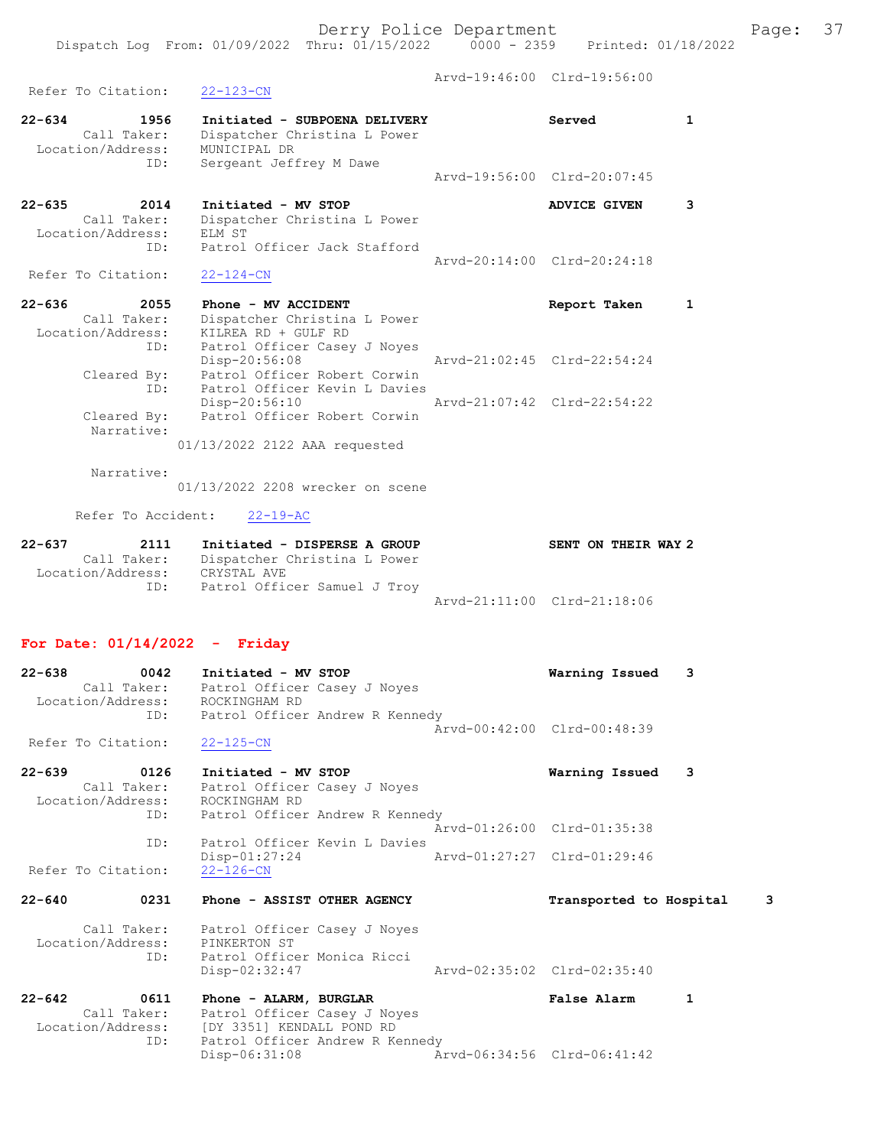Dispatch Log From: 01/09/2022 Thru: 01/15/2022 0000 - 2359 Printed: 01/18/2022

| Refer To Citation:                                            | $22 - 123 - CN$                                                                                                                                      |                             | Arvd-19:46:00 Clrd-19:56:00 |              |
|---------------------------------------------------------------|------------------------------------------------------------------------------------------------------------------------------------------------------|-----------------------------|-----------------------------|--------------|
| $22 - 634$<br>1956<br>Call Taker:<br>Location/Address:        | Initiated - SUBPOENA DELIVERY<br>Dispatcher Christina L Power<br>MUNICIPAL DR                                                                        |                             | Served                      | $\mathbf{1}$ |
| ID:                                                           | Sergeant Jeffrey M Dawe                                                                                                                              |                             | Arvd-19:56:00 Clrd-20:07:45 |              |
| $22 - 635$<br>2014<br>Call Taker:<br>Location/Address:<br>ID: | Initiated - MV STOP<br>Dispatcher Christina L Power<br>ELM ST<br>Patrol Officer Jack Stafford                                                        |                             | ADVICE GIVEN                | 3            |
| Refer To Citation:                                            | $22 - 124 - CN$                                                                                                                                      |                             | Arvd-20:14:00 Clrd-20:24:18 |              |
| $22 - 636$<br>2055                                            | Phone - MV ACCIDENT                                                                                                                                  |                             | Report Taken                | $\mathbf{1}$ |
| Call Taker:<br>Location/Address:<br>ID:                       | Dispatcher Christina L Power<br>KILREA RD + GULF RD<br>Patrol Officer Casey J Noyes                                                                  |                             | Arvd-21:02:45 Clrd-22:54:24 |              |
| Cleared By:<br>ID:                                            | Disp-20:56:08<br>Patrol Officer Robert Corwin<br>Patrol Officer Kevin L Davies                                                                       |                             |                             |              |
| Cleared By:<br>Narrative:                                     | Disp-20:56:10<br>Patrol Officer Robert Corwin                                                                                                        |                             | Aryd-21:07:42 Clrd-22:54:22 |              |
|                                                               | 01/13/2022 2122 AAA requested                                                                                                                        |                             |                             |              |
| Narrative:                                                    | 01/13/2022 2208 wrecker on scene                                                                                                                     |                             |                             |              |
| Refer To Accident:                                            | $22 - 19 - AC$                                                                                                                                       |                             |                             |              |
| $22 - 637$<br>Location/Address: CRYSTAL AVE                   | 2111 Initiated - DISPERSE A GROUP<br>Call Taker: Dispatcher Christina L Power                                                                        |                             | SENT ON THEIR WAY 2         |              |
| ID:                                                           | Patrol Officer Samuel J Troy                                                                                                                         |                             | Arvd-21:11:00 Clrd-21:18:06 |              |
| For Date: $01/14/2022 -$ Friday                               |                                                                                                                                                      |                             |                             |              |
| $22 - 638$<br>0042<br>Location/Address:                       | Initiated - MV STOP<br>Call Taker: Patrol Officer Casey J Noyes<br>ROCKINGHAM RD                                                                     |                             | Warning Issued              | 3            |
| Refer To Citation: 22-125-CN                                  | ID: Patrol Officer Andrew R Kennedy                                                                                                                  |                             | Arvd-00:42:00 Clrd-00:48:39 |              |
| 22-639<br>0126<br>Call Taker:<br>Location/Address:            | Initiated - MV STOP<br>Patrol Officer Casey J Noyes<br>ROCKINGHAM RD                                                                                 |                             | Warning Issued              | 3            |
| ID:                                                           | Patrol Officer Andrew R Kennedy                                                                                                                      |                             | Arvd-01:26:00 Clrd-01:35:38 |              |
| ID:<br>Refer To Citation:                                     | Patrol Officer Kevin L Davies<br>$Disp-01:27:24$<br>$22 - 126 - CN$                                                                                  | Arvd-01:27:27 Clrd-01:29:46 |                             |              |
| $22 - 640$<br>0231                                            | Phone - ASSIST OTHER AGENCY                                                                                                                          |                             | Transported to Hospital     | 3            |
| Location/Address:<br>ID:                                      | Call Taker: Patrol Officer Casey J Noyes<br>PINKERTON ST<br>Patrol Officer Monica Ricci                                                              |                             |                             |              |
|                                                               | $Disp-02:32:47$                                                                                                                                      |                             | Arvd-02:35:02 Clrd-02:35:40 |              |
| $22 - 642$<br>0611<br>ID:                                     | Phone - ALARM, BURGLAR<br>Call Taker: Patrol Officer Casey J Noyes<br>Location/Address: [DY 3351] KENDALL POND RD<br>Patrol Officer Andrew R Kennedy |                             | <b>False Alarm</b>          | 1            |
|                                                               | $Disp-06:31:08$                                                                                                                                      |                             | Arvd-06:34:56 Clrd-06:41:42 |              |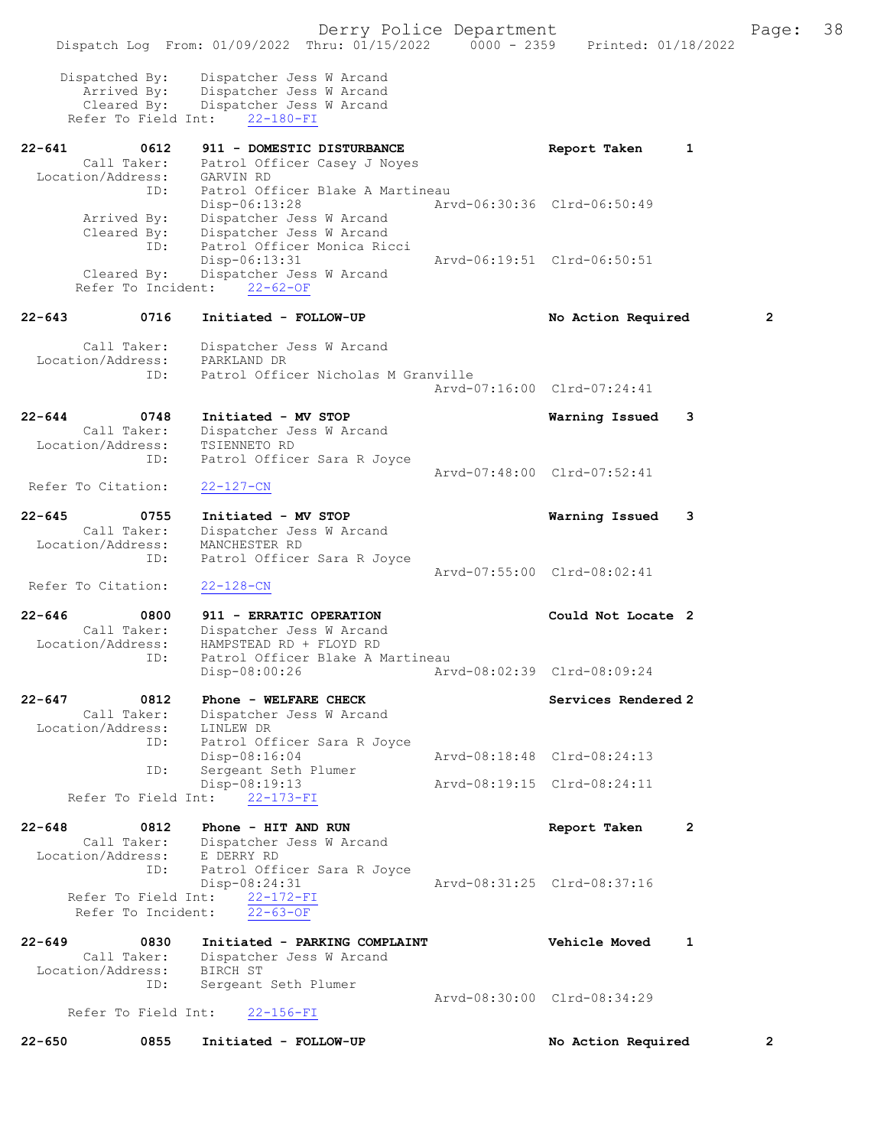|        |                                                                     | Dispatch Log From: 01/09/2022 Thru: 01/15/2022 0000 - 2359 Printed: 01/18/2022                                          | Derry Police Department     |                             |              | Page:          | 38 |
|--------|---------------------------------------------------------------------|-------------------------------------------------------------------------------------------------------------------------|-----------------------------|-----------------------------|--------------|----------------|----|
|        | Dispatched By:<br>Arrived By:<br>Cleared By:<br>Refer To Field Int: | Dispatcher Jess W Arcand<br>Dispatcher Jess W Arcand<br>Dispatcher Jess W Arcand<br>$22 - 180 - FI$                     |                             |                             |              |                |    |
| 22-641 | 0612<br>Location/Address:<br>ID:                                    | 911 - DOMESTIC DISTURBANCE<br>Call Taker: Patrol Officer Casey J Noyes<br>GARVIN RD<br>Patrol Officer Blake A Martineau |                             | Report Taken                | $\mathbf{1}$ |                |    |
|        | Arrived By:<br>Cleared By:<br>ID:                                   | Disp-06:13:28<br>Dispatcher Jess W Arcand<br>Dispatcher Jess W Arcand<br>Patrol Officer Monica Ricci                    | Arvd-06:30:36 Clrd-06:50:49 |                             |              |                |    |
|        | Cleared By:                                                         | $Disp-06:13:31$<br>Dispatcher Jess W Arcand<br>Refer To Incident: 22-62-OF                                              |                             | Arvd-06:19:51 Clrd-06:50:51 |              |                |    |
| 22-643 | 0716                                                                | Initiated - FOLLOW-UP                                                                                                   |                             | No Action Required          |              | $\overline{2}$ |    |
|        | Call Taker:<br>Location/Address:<br>ID:                             | Dispatcher Jess W Arcand<br>PARKLAND DR<br>Patrol Officer Nicholas M Granville                                          |                             |                             |              |                |    |
|        |                                                                     |                                                                                                                         |                             | Arvd-07:16:00 Clrd-07:24:41 |              |                |    |
| 22-644 | 0748<br>Call Taker:<br>Location/Address:                            | Initiated - MV STOP<br>Dispatcher Jess W Arcand<br>TSIENNETO RD                                                         |                             | Warning Issued              | 3            |                |    |
|        | ID:<br>Refer To Citation:                                           | Patrol Officer Sara R Joyce<br>$22 - 127 - CN$                                                                          |                             | Arvd-07:48:00 Clrd-07:52:41 |              |                |    |
| 22-645 | 0755<br>Call Taker:<br>Location/Address:                            | Initiated - MV STOP<br>Dispatcher Jess W Arcand<br>MANCHESTER RD                                                        |                             | Warning Issued              | 3            |                |    |
|        | ID:<br>Refer To Citation:                                           | Patrol Officer Sara R Joyce<br>$22 - 128 - CN$                                                                          |                             | Arvd-07:55:00 Clrd-08:02:41 |              |                |    |
| 22-646 | 0800<br>Call Taker:<br>Location/Address:<br>ID:                     | 911 - ERRATIC OPERATION<br>Dispatcher Jess W Arcand<br>HAMPSTEAD RD + FLOYD RD<br>Patrol Officer Blake A Martineau      |                             | Could Not Locate 2          |              |                |    |
|        |                                                                     | $Disp-08:00:26$                                                                                                         | Arvd-08:02:39 Clrd-08:09:24 |                             |              |                |    |
| 22-647 | 0812<br>Call Taker:<br>Location/Address:                            | Phone - WELFARE CHECK<br>Dispatcher Jess W Arcand<br>LINLEW DR                                                          |                             | Services Rendered 2         |              |                |    |
|        | ID:<br>ID:                                                          | Patrol Officer Sara R Joyce<br>Disp-08:16:04<br>Sergeant Seth Plumer                                                    |                             | Arvd-08:18:48 Clrd-08:24:13 |              |                |    |
|        | Refer To Field Int:                                                 | Disp-08:19:13<br>$22 - 173 - FI$                                                                                        |                             | Arvd-08:19:15 Clrd-08:24:11 |              |                |    |
| 22-648 | 0812<br>Call Taker:<br>Location/Address:                            | Phone - HIT AND RUN<br>Dispatcher Jess W Arcand<br>E DERRY RD                                                           |                             | Report Taken                | $\mathbf{2}$ |                |    |
|        | ID:<br>Refer To Field Int:<br>Refer To Incident:                    | Patrol Officer Sara R Joyce<br>Disp-08:24:31<br>$22 - 172 - FI$<br>$22 - 63 - OF$                                       |                             | Arvd-08:31:25 Clrd-08:37:16 |              |                |    |
| 22-649 | 0830<br>Call Taker:<br>Location/Address:                            | Initiated - PARKING COMPLAINT<br>Dispatcher Jess W Arcand<br>BIRCH ST                                                   |                             | Vehicle Moved               | 1            |                |    |
|        | ID:<br>Refer To Field Int:                                          | Sergeant Seth Plumer<br>$22 - 156 - FI$                                                                                 |                             | Arvd-08:30:00 Clrd-08:34:29 |              |                |    |

22-650 0855 Initiated - FOLLOW-UP No Action Required 2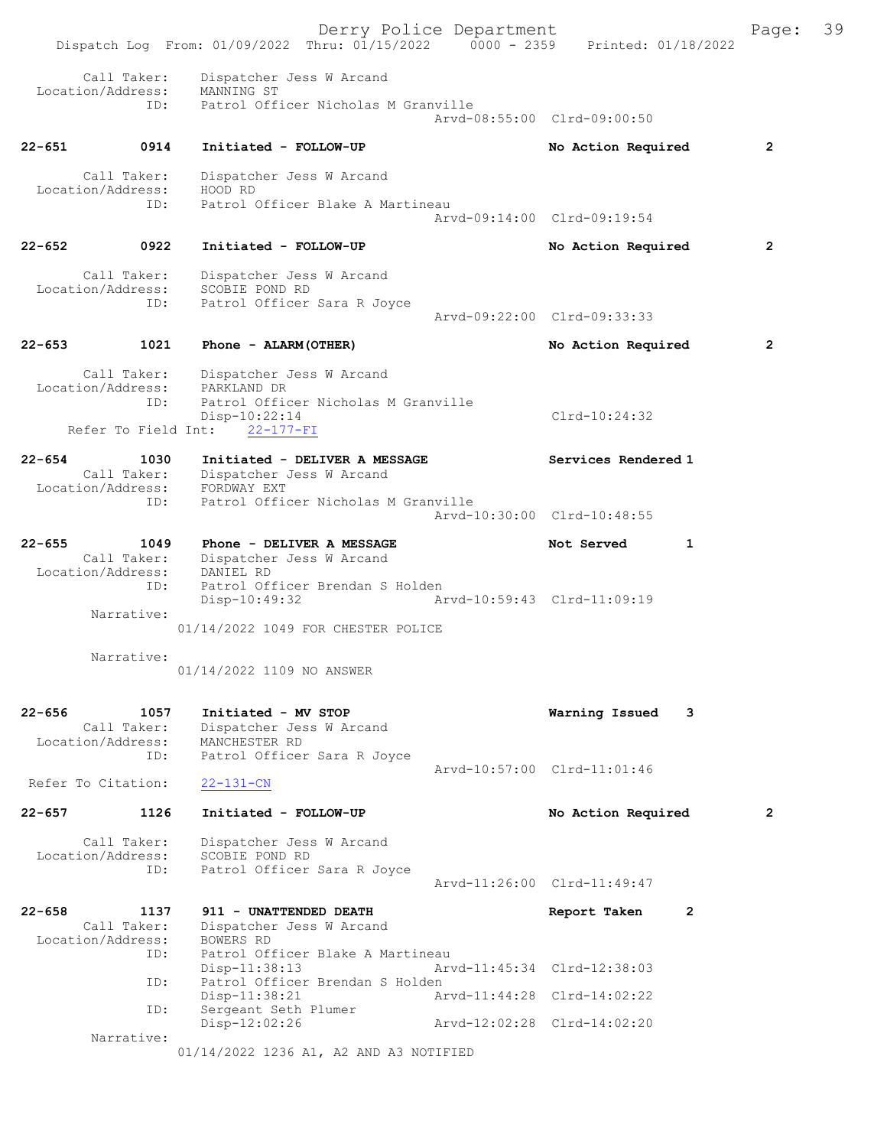|            |                          | Derry Police Department<br>Dispatch Log From: 01/09/2022 Thru: 01/15/2022 0000 - 2359 Printed: 01/18/2022 |                                | Page:          | 39 |
|------------|--------------------------|-----------------------------------------------------------------------------------------------------------|--------------------------------|----------------|----|
|            | Call Taker:              | Dispatcher Jess W Arcand                                                                                  |                                |                |    |
|            | ID:                      | Location/Address: MANNING ST<br>Patrol Officer Nicholas M Granville                                       | Arvd-08:55:00 Clrd-09:00:50    |                |    |
| $22 - 651$ | 0914                     | Initiated - FOLLOW-UP                                                                                     | No Action Required             | $\overline{2}$ |    |
|            | Call Taker:              | Dispatcher Jess W Arcand                                                                                  |                                |                |    |
|            | Location/Address:<br>ID: | HOOD RD<br>Patrol Officer Blake A Martineau                                                               |                                |                |    |
|            |                          |                                                                                                           | Arvd-09:14:00 Clrd-09:19:54    |                |    |
| $22 - 652$ | 0922                     | Initiated - FOLLOW-UP                                                                                     | No Action Required             | $\overline{2}$ |    |
|            | Call Taker:              | Dispatcher Jess W Arcand                                                                                  |                                |                |    |
|            | Location/Address:        | SCOBIE POND RD                                                                                            |                                |                |    |
|            | ID:                      | Patrol Officer Sara R Joyce                                                                               | Arvd-09:22:00 Clrd-09:33:33    |                |    |
|            |                          |                                                                                                           |                                |                |    |
| $22 - 653$ | 1021                     | Phone - ALARM (OTHER)                                                                                     | No Action Required             | $\mathbf{2}$   |    |
|            | Call Taker:              | Dispatcher Jess W Arcand                                                                                  |                                |                |    |
|            |                          | Location/Address: PARKLAND DR                                                                             |                                |                |    |
|            | ID:                      | Patrol Officer Nicholas M Granville<br>$Disp-10:22:14$                                                    | Clrd-10:24:32                  |                |    |
|            | Refer To Field Int:      | $22 - 177 - FI$                                                                                           |                                |                |    |
|            |                          |                                                                                                           |                                |                |    |
| $22 - 654$ | 1030                     | Initiated - DELIVER A MESSAGE<br>Call Taker: Dispatcher Jess W Arcand                                     | Services Rendered 1            |                |    |
|            | Location/Address:        | FORDWAY EXT                                                                                               |                                |                |    |
|            | ID:                      | Patrol Officer Nicholas M Granville                                                                       | Arvd-10:30:00 Clrd-10:48:55    |                |    |
| $22 - 655$ | 1049                     | Phone - DELIVER A MESSAGE                                                                                 | Not Served<br>1                |                |    |
|            |                          | Call Taker: Dispatcher Jess W Arcand                                                                      |                                |                |    |
|            | Location/Address:        | DANIEL RD<br>Patrol Officer Brendan S Holden                                                              |                                |                |    |
|            | ID:                      | Disp-10:49:32                                                                                             | Arvd-10:59:43 Clrd-11:09:19    |                |    |
|            | Narrative:               |                                                                                                           |                                |                |    |
|            |                          | 01/14/2022 1049 FOR CHESTER POLICE                                                                        |                                |                |    |
|            | Narrative:               |                                                                                                           |                                |                |    |
|            |                          | 01/14/2022 1109 NO ANSWER                                                                                 |                                |                |    |
| $22 - 656$ | 1057                     | Initiated - MV STOP                                                                                       | Warning Issued<br>3            |                |    |
|            | Call Taker:              | Dispatcher Jess W Arcand                                                                                  |                                |                |    |
|            | Location/Address:        | MANCHESTER RD                                                                                             |                                |                |    |
|            | ID:                      | Patrol Officer Sara R Joyce                                                                               | Arvd-10:57:00 Clrd-11:01:46    |                |    |
|            | Refer To Citation:       | $22 - 131 - CN$                                                                                           |                                |                |    |
| $22 - 657$ | 1126                     | Initiated - FOLLOW-UP                                                                                     | No Action Required             | $\overline{2}$ |    |
|            | Call Taker:              | Dispatcher Jess W Arcand                                                                                  |                                |                |    |
|            | Location/Address:        | SCOBIE POND RD                                                                                            |                                |                |    |
|            | ID:                      | Patrol Officer Sara R Joyce                                                                               |                                |                |    |
|            |                          |                                                                                                           | Arvd-11:26:00 Clrd-11:49:47    |                |    |
| $22 - 658$ | 1137                     | 911 - UNATTENDED DEATH                                                                                    | Report Taken<br>$\overline{2}$ |                |    |
|            | Call Taker:              | Dispatcher Jess W Arcand                                                                                  |                                |                |    |
|            | Location/Address:        | <b>BOWERS RD</b>                                                                                          |                                |                |    |
|            | ID:                      | Patrol Officer Blake A Martineau<br>Disp-11:38:13                                                         | Arvd-11:45:34 Clrd-12:38:03    |                |    |
|            | ID:                      | Patrol Officer Brendan S Holden                                                                           |                                |                |    |
|            |                          | $Disp-11:38:21$                                                                                           | Arvd-11:44:28 Clrd-14:02:22    |                |    |
|            | ID:                      | Sergeant Seth Plumer<br>Disp-12:02:26                                                                     | Arvd-12:02:28 Clrd-14:02:20    |                |    |
|            | Narrative:               |                                                                                                           |                                |                |    |
|            |                          | 01/14/2022 1236 A1, A2 AND A3 NOTIFIED                                                                    |                                |                |    |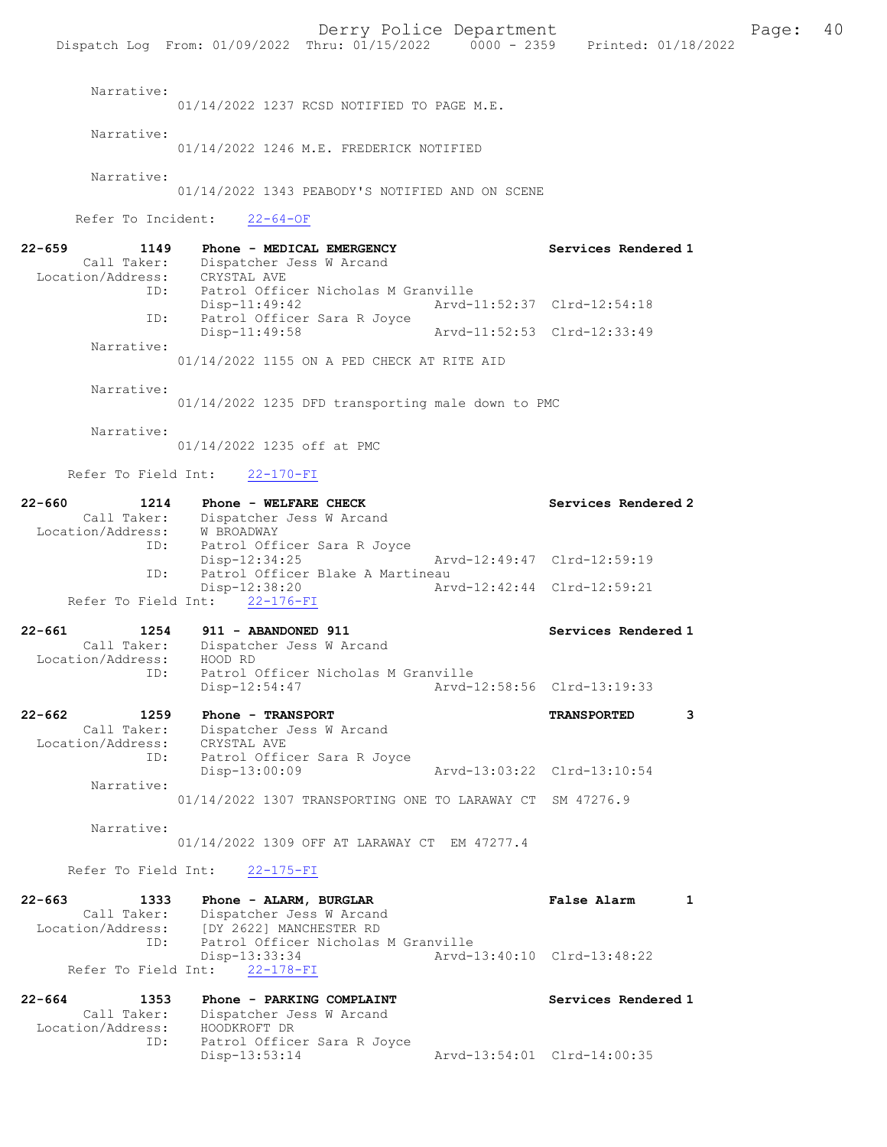Narrative: 01/14/2022 1237 RCSD NOTIFIED TO PAGE M.E. Narrative: 01/14/2022 1246 M.E. FREDERICK NOTIFIED Narrative: 01/14/2022 1343 PEABODY'S NOTIFIED AND ON SCENE Refer To Incident: 22-64-OF 22-659 1149 Phone - MEDICAL EMERGENCY Services Rendered 1 Call Taker: Dispatcher Jess W Arcand<br>Location/Address: CRYSTAL AVE Location/Address: CRYSTAL AVE ID: Patrol Officer Nicholas M Granville Disp-11:49:42 Arvd-11:52:37 Clrd-12:54:18<br>TD: Patrol Officer Sara R Joyce Patrol Officer Sara R Joyce<br>Disp-11:49:58 Arvd-11:52:53 Clrd-12:33:49 Narrative: 01/14/2022 1155 ON A PED CHECK AT RITE AID Narrative: 01/14/2022 1235 DFD transporting male down to PMC Narrative: 01/14/2022 1235 off at PMC Refer To Field Int: 22-170-FI 22-660 1214 Phone - WELFARE CHECK Services Rendered 2<br>Call Taker: Dispatcher Jess W Arcand Dispatcher Jess W Arcand Location/Address: W BROADWAY ID: Patrol Officer Sara R Joyce Disp-12:34:25 Arvd-12:49:47 Clrd-12:59:19<br>ID: Patrol Officer Blake A Martineau Patrol Officer Blake A Martineau<br>Disp-12:38:20 Arv Disp-12:38:20 Arvd-12:42:44 Clrd-12:59:21 Refer To Field Int: 22-176-FI 22-661 1254 911 - ABANDONED 911 Services Rendered 1 Call Taker: Dispatcher Jess W Arcand Location/Address: HOOD RD<br>ID: Patrol ( Patrol Officer Nicholas M Granville<br>Disp-12:54:47 Arvd-1 Disp-12:54:47 Arvd-12:58:56 Clrd-13:19:33 22-662 1259 Phone - TRANSPORT TRANSPORTED 3 Call Taker: Dispatcher Jess W Arcand Location/Address: CRYSTAL AVE ID: Patrol Officer Sara R Joyce Disp-13:00:09 Arvd-13:03:22 Clrd-13:10:54 Narrative: 01/14/2022 1307 TRANSPORTING ONE TO LARAWAY CT SM 47276.9 Narrative: 01/14/2022 1309 OFF AT LARAWAY CT EM 47277.4 Refer To Field Int: 22-175-FI 22-663 1333 Phone - ALARM, BURGLAR False Alarm 1 Call Taker: Dispatcher Jess W Arcand Location/Address: [DY 2622] MANCHESTER RD<br>ID: Patrol Officer Nicholas Patrol Officer Nicholas M Granville<br>Disp-13:33:34 Arvd-1 Disp-13:33:34 Arvd-13:40:10 Clrd-13:48:22 Refer To Field Int: 22-178-FI

| 22-664<br>1353    | Phone - PARKING COMPLAINT   | Services Rendered 1         |
|-------------------|-----------------------------|-----------------------------|
| Call Taker:       | Dispatcher Jess W Arcand    |                             |
| Location/Address: | HOODKROFT DR                |                             |
| ID:               | Patrol Officer Sara R Joyce |                             |
|                   | Disp-13:53:14               | Arvd-13:54:01 Clrd-14:00:35 |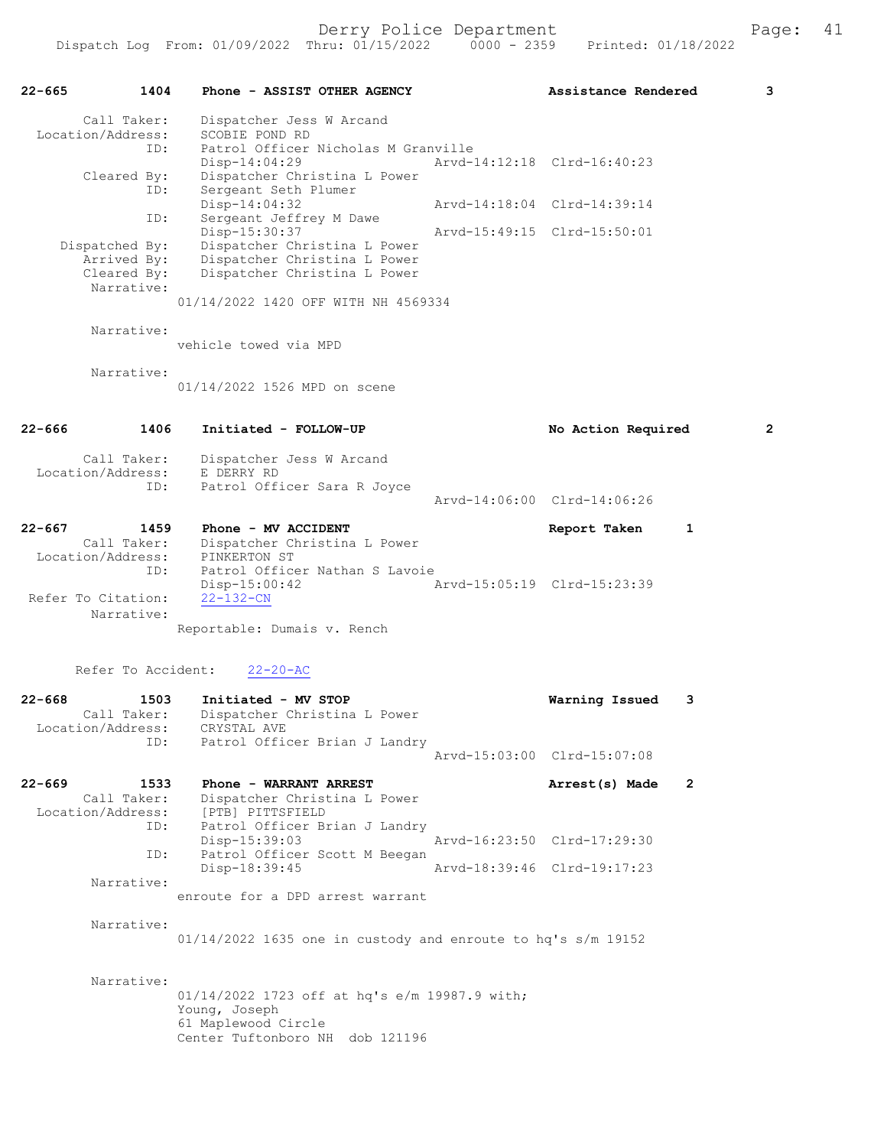22-665 1404 Phone - ASSIST OTHER AGENCY Assistance Rendered 3 Call Taker: Dispatcher Jess W Arcand Location/Address: SCOBIE POND RD ID: Patrol Officer Nicholas M Granville<br>Disp-14:04:29 Mrvd-14:12:18 Clrd-16:40:23 Disp-14:04:29 Arvd-14:12:18 Clrd-16:40:23 Cleared By: Dispatcher Christina L Power ID: Sergeant Seth Plumer Disp-14:04:32 Arvd-14:18:04 Clrd-14:39:14 ID: Sergeant Jeffrey M Dawe Disp-15:30:37 Arvd-15:49:15 Clrd-15:50:01 Dispatched By: Dispatcher Christina L Power Arrived By: Dispatcher Christina L Power Cleared By: Dispatcher Christina L Power Narrative: 01/14/2022 1420 OFF WITH NH 4569334 Narrative: vehicle towed via MPD Narrative: 01/14/2022 1526 MPD on scene 22-666 1406 Initiated - FOLLOW-UP No Action Required 2 Call Taker: Dispatcher Jess W Arcand Location/Address: E DERRY RD ID: Patrol Officer Sara R Joyce Arvd-14:06:00 Clrd-14:06:26 22-667 1459 Phone - MV ACCIDENT Report Taken 1 Call Taker: Dispatcher Christina L Power Location/Address: PINKERTON ST ID: Patrol Officer Nathan S Lavoie<br>Disp-15:00:42 Arvd-15:05:19 Clrd-15:23:39 Disp-15:00:42<br>22-132-CN Refer To Citation: Narrative: Reportable: Dumais v. Rench Refer To Accident: 22-20-AC 22-668 1503 Initiated - MV STOP Warning Issued 3 Call Taker: Dispatcher Christina L Power Location/Address: CRYSTAL AVE ID: Patrol Officer Brian J Landry Arvd-15:03:00 Clrd-15:07:08 22-669 1533 Phone - WARRANT ARREST 2008 Arrest(s) Made 2 Call Taker: Dispatcher Christina L Power<br>Location/Address: [PTB] PITTSFIELD Location CHILSE<br>SS: [PTB] PITTSFIELD<br>ID: Patrol Officer Br Patrol Officer Brian J Landry<br>Disp-15:39:03 Arvd-16:23:50 Clrd-17:29:30 ID: Patrol Officer Scott M Beegan<br>Disp-18:39:45 Disp-18:39:45 Arvd-18:39:46 Clrd-19:17:23 Narrative: enroute for a DPD arrest warrant Narrative: 01/14/2022 1635 one in custody and enroute to hq's s/m 19152 Narrative: 01/14/2022 1723 off at hq's e/m 19987.9 with; Young, Joseph 61 Maplewood Circle Center Tuftonboro NH dob 121196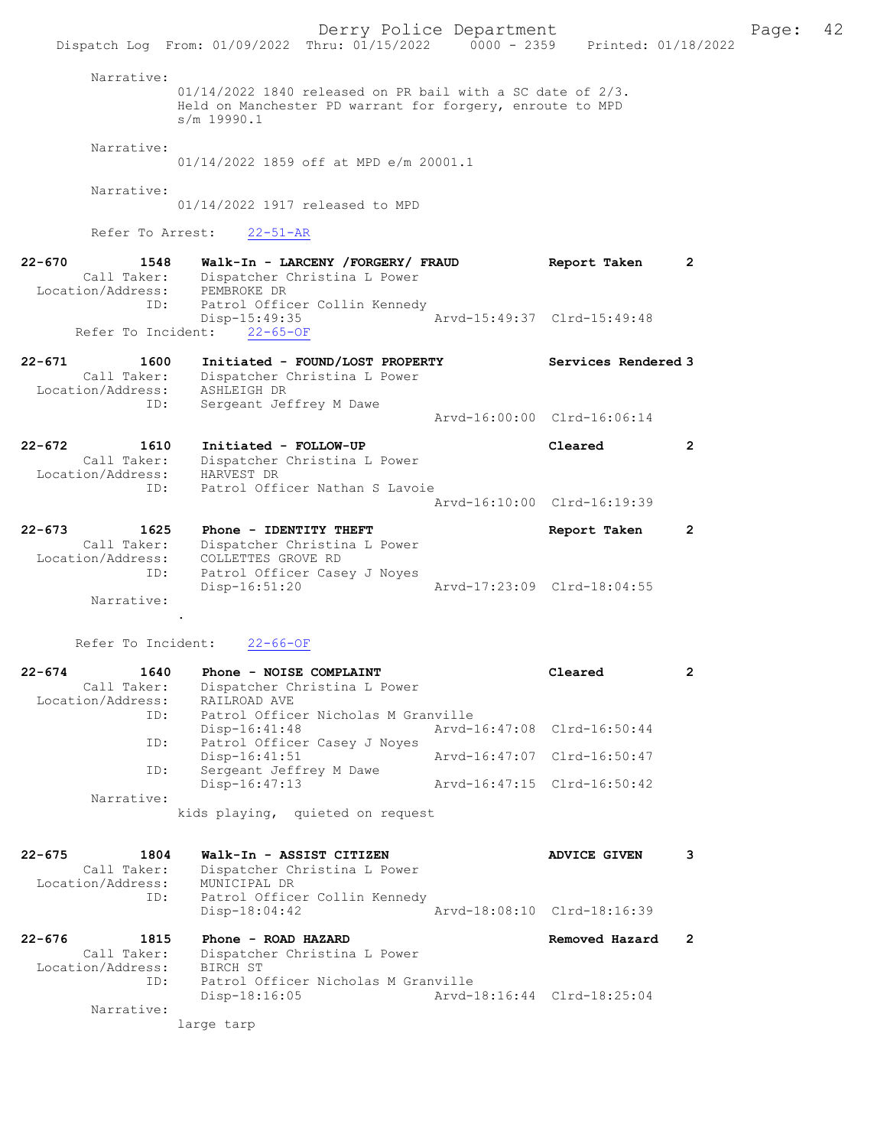Derry Police Department Fage: 42 Dispatch Log From: 01/09/2022 Thru: 01/15/2022 0000 - 2359 Printed: 01/18/2022 Narrative: 01/14/2022 1840 released on PR bail with a SC date of 2/3. Held on Manchester PD warrant for forgery, enroute to MPD s/m 19990.1 Narrative: 01/14/2022 1859 off at MPD e/m 20001.1 Narrative: 01/14/2022 1917 released to MPD Refer To Arrest: 22-51-AR 22-670 1548 Walk-In - LARCENY /FORGERY/ FRAUD Report Taken 2 Call Taker: Dispatcher Christina L Power Location/Address: PEMBROKE DR ID: Patrol Officer Collin Kennedy Disp-15:49:35 Arvd-15:49:37 Clrd-15:49:48 Refer To Incident: 22-65-OF 22-671 1600 Initiated - FOUND/LOST PROPERTY Services Rendered 3 Call Taker: Dispatcher Christina L Power Location/Address: ASHLEIGH DR ID: Sergeant Jeffrey M Dawe Arvd-16:00:00 Clrd-16:06:14 22-672 1610 Initiated - FOLLOW-UP Cleared 2 Call Taker: Dispatcher Christina L Power Location/Address: HARVEST DR ID: Patrol Officer Nathan S Lavoie Arvd-16:10:00 Clrd-16:19:39 22-673 1625 Phone - IDENTITY THEFT Report Taken 2 Call Taker: Dispatcher Christina L Power Location/Address: COLLETTES GROVE RD ID: Patrol Officer Casey J Noyes Disp-16:51:20 Arvd-17:23:09 Clrd-18:04:55 Narrative: . Refer To Incident: 22-66-OF 22-674 1640 Phone - NOISE COMPLAINT Cleared 2 Call Taker: Dispatcher Christina L Power Location/Address: RAILROAD AVE ID: Patrol Officer Nicholas M Granville Disp-16:41:48 Arvd-16:47:08 Clrd-16:50:44 ID: Patrol Officer Casey J Noyes Disp-16:41:51 Arvd-16:47:07 Clrd-16:50:47 ID: Disp-16:41:51<br>
ID: Sergeant Jeffrey M Dawe<br>
Disp-16:47:13 Disp-16:47:13 Arvd-16:47:15 Clrd-16:50:42 Narrative: kids playing, quieted on request 22-675 1804 Walk-In - ASSIST CITIZEN ADVICE GIVEN 3 Call Taker: Dispatcher Christina L Power Location/Address: MUNICIPAL DR ID: Patrol Officer Collin Kennedy Disp-18:04:42 Arvd-18:08:10 Clrd-18:16:39 22-676 1815 Phone - ROAD HAZARD Removed Hazard 2 Call Taker: Dispatcher Christina L Power Location/Address: BIRCH ST ID: Patrol Officer Nicholas M Granville Disp-18:16:05 Arvd-18:16:44 Clrd-18:25:04 Narrative: large tarp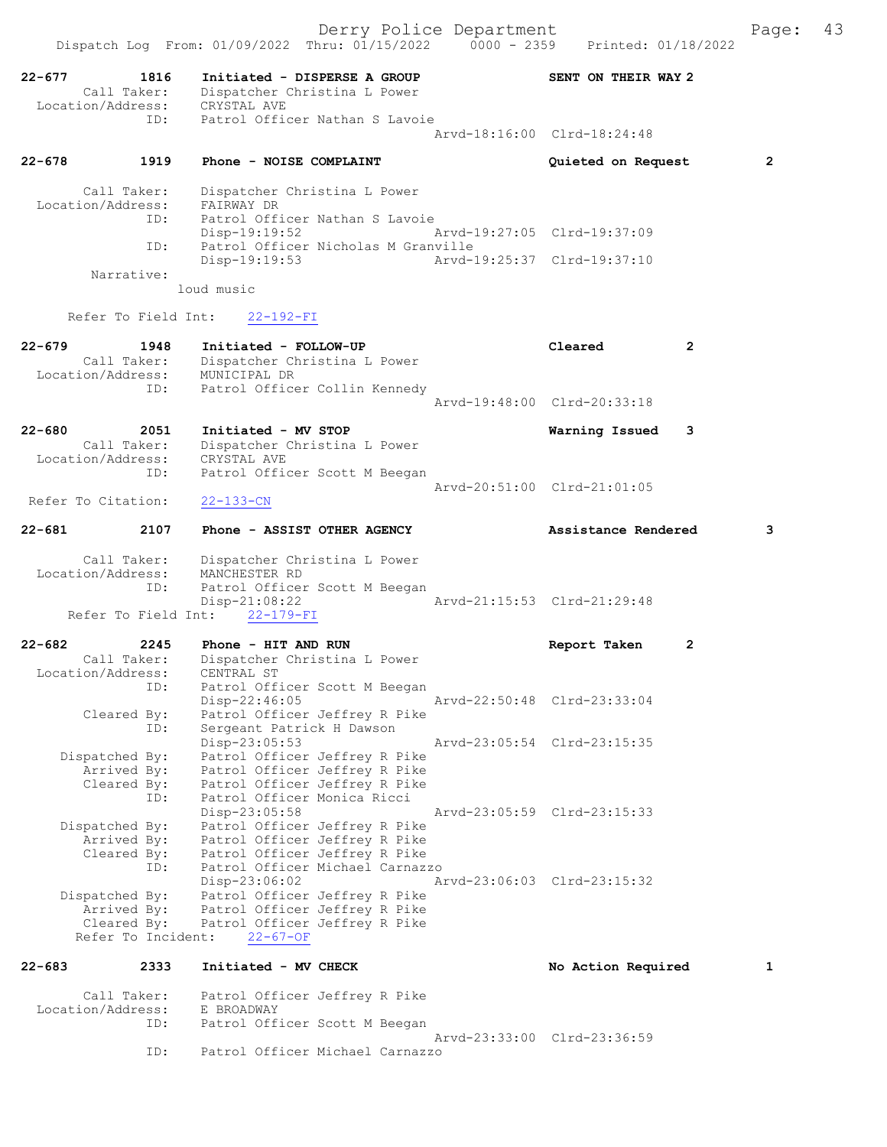Derry Police Department Fage: 43 Dispatch Log From: 01/09/2022 Thru: 01/15/2022 0000 - 2359 Printed: 01/18/2022 22-677 1816 Initiated - DISPERSE A GROUP SENT ON THEIR WAY 2 Call Taker: Dispatcher Christina L Power Location/Address: CRYSTAL AVE ID: Patrol Officer Nathan S Lavoie Arvd-18:16:00 Clrd-18:24:48 22-678 1919 Phone - NOISE COMPLAINT Quieted on Request 2 Call Taker: Dispatcher Christina L Power Location/Address: FAIRWAY DR UD: Patrol Officer Nathan S Lavoie<br>Disp-19:19:52 Disp-19:19:52 Arvd-19:27:05 Clrd-19:37:09 ID: Patrol Officer Nicholas M Granville Disp-19:19:53 Arvd-19:25:37 Clrd-19:37:10 Narrative: loud music Refer To Field Int: 22-192-FI 22-679 1948 Initiated - FOLLOW-UP Cleared 2 Call Taker: Dispatcher Christina L Power Location/Address: MUNICIPAL DR ID: Patrol Officer Collin Kennedy Arvd-19:48:00 Clrd-20:33:18 22-680 2051 Initiated - MV STOP Warning Issued 3 Call Taker: Dispatcher Christina L Power Location/Address: CRYSTAL AVE ID: Patrol Officer Scott M Beegan Arvd-20:51:00 Clrd-21:01:05<br>22-133-CN Refer To Citation: 22-681 2107 Phone - ASSIST OTHER AGENCY Assistance Rendered 3 Call Taker: Dispatcher Christina L Power Location/Address: MANCHESTER RD ID: Patrol Officer Scott M Beegan Disp-21:08:22 Arvd-21:15:53 Clrd-21:29:48 Refer To Field Int: 22-179-FI 22-682 2245 Phone - HIT AND RUN Report Taken 2 Call Taker: Dispatcher Christina L Power Location/Address: CENTRAL ST ID: Patrol Officer Scott M Beegan Disp-22:46:05 Arvd-22:50:48 Clrd-23:33:04 Cleared By: Patrol Officer Jeffrey R Pike ID: Sergeant Patrick H Dawson Disp-23:05:53 Arvd-23:05:54 Clrd-23:15:35 Dispatched By: Patrol Officer Jeffrey R Pike Arrived By: Patrol Officer Jeffrey R Pike Cleared By: Patrol Officer Jeffrey R Pike ID: Patrol Officer Monica Ricci Disp-23:05:58 Arvd-23:05:59 Clrd-23:15:33 Dispatched By: Patrol Officer Jeffrey R Pike Arrived By: Patrol Officer Jeffrey R Pike Cleared By: Patrol Officer Jeffrey R Pike ID: Patrol Officer Michael Carnazzo Disp-23:06:02 Arvd-23:06:03 Clrd-23:15:32 Dispatched By: Patrol Officer Jeffrey R Pike Arrived By: Patrol Officer Jeffrey R Pike Cleared By: Patrol Officer Jeffrey R Pike Refer To Incident: 22-67-OF 22-683 2333 Initiated - MV CHECK No Action Required 1 Call Taker: Patrol Officer Jeffrey R Pike Location/Address: E BROADWAY ID: Patrol Officer Scott M Beegan

Arvd-23:33:00 Clrd-23:36:59<br>TD: Patrol Officer Michael Carnazzo

Patrol Officer Michael Carnazzo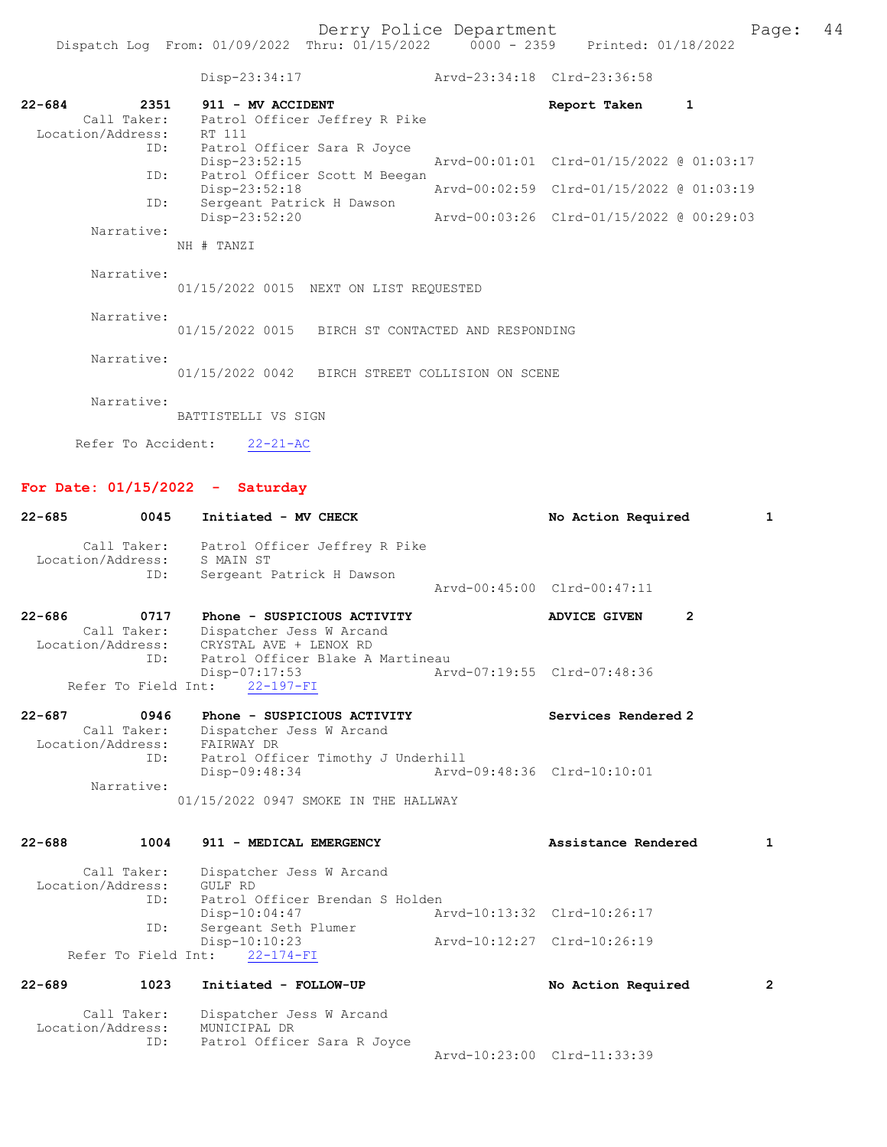|                   | Dispatch Log From: 01/09/2022 Thru: 01/15/2022 0000 - 2359 Printed: 01/18/2022 |                             |                                          |   |
|-------------------|--------------------------------------------------------------------------------|-----------------------------|------------------------------------------|---|
|                   | Disp-23:34:17                                                                  | Arvd-23:34:18 Clrd-23:36:58 |                                          |   |
| $22 - 684$        | 2351<br>911 - MV ACCIDENT                                                      |                             | Report Taken                             | 1 |
| Call Taker:       | Patrol Officer Jeffrey R Pike                                                  |                             |                                          |   |
| Location/Address: | RT 111                                                                         |                             |                                          |   |
| ID:               | Patrol Officer Sara R Joyce                                                    |                             |                                          |   |
| ID:               | Disp-23:52:15<br>Patrol Officer Scott M Beegan                                 |                             | Arvd-00:01:01 Clrd-01/15/2022 @ 01:03:17 |   |
|                   | Disp-23:52:18                                                                  |                             | Arvd-00:02:59 Clrd-01/15/2022 @ 01:03:19 |   |
| ID:               | Sergeant Patrick H Dawson                                                      |                             |                                          |   |
|                   | Disp-23:52:20                                                                  |                             | Arvd-00:03:26 Clrd-01/15/2022 @ 00:29:03 |   |
| Narrative:        | NH # TANZI                                                                     |                             |                                          |   |
| Narrative:        | 01/15/2022 0015 NEXT ON LIST REQUESTED                                         |                             |                                          |   |
| Narrative:        |                                                                                |                             |                                          |   |
|                   | 01/15/2022 0015 BIRCH ST CONTACTED AND RESPONDING                              |                             |                                          |   |
|                   |                                                                                |                             |                                          |   |
| Narrative:        | 01/15/2022 0042 BIRCH STREET COLLISION ON SCENE                                |                             |                                          |   |
| Narrative:        | BATTISTELLI VS SIGN                                                            |                             |                                          |   |
|                   | Refer To Accident: 22-21-AC                                                    |                             |                                          |   |

# For Date: 01/15/2022 - Saturday

| $22 - 685$ | 0045                                     | Initiated - MV CHECK                                                                                                                    | No Action Required                    | $\mathbf{1}$   |
|------------|------------------------------------------|-----------------------------------------------------------------------------------------------------------------------------------------|---------------------------------------|----------------|
|            | Call Taker:<br>Location/Address:<br>ID:  | Patrol Officer Jeffrey R Pike<br>S MAIN ST<br>Sergeant Patrick H Dawson                                                                 | Arvd-00:45:00 Clrd-00:47:11           |                |
|            |                                          |                                                                                                                                         |                                       |                |
| $22 - 686$ | 0717<br>Call Taker:<br>ID:               | Phone - SUSPICIOUS ACTIVITY<br>Dispatcher Jess W Arcand<br>Location/Address: CRYSTAL AVE + LENOX RD<br>Patrol Officer Blake A Martineau | $\overline{2}$<br><b>ADVICE GIVEN</b> |                |
|            |                                          | Disp-07:17:53                                                                                                                           | Arvd-07:19:55 Clrd-07:48:36           |                |
|            |                                          | Refer To Field Int: 22-197-FI                                                                                                           |                                       |                |
| $22 - 687$ | 0946<br>Call Taker:                      | Phone - SUSPICIOUS ACTIVITY<br>Dispatcher Jess W Arcand                                                                                 | Services Rendered 2                   |                |
|            | Location/Address:                        | FAIRWAY DR                                                                                                                              |                                       |                |
|            | ID:                                      | Patrol Officer Timothy J Underhill<br>Disp-09:48:34                                                                                     | Arvd-09:48:36 Clrd-10:10:01           |                |
|            | Narrative:                               |                                                                                                                                         |                                       |                |
|            |                                          | 01/15/2022 0947 SMOKE IN THE HALLWAY                                                                                                    |                                       |                |
|            |                                          |                                                                                                                                         |                                       |                |
| $22 - 688$ | 1004                                     | 911 - MEDICAL EMERGENCY                                                                                                                 | Assistance Rendered                   | $\mathbf{1}$   |
|            | Call Taker:<br>Location/Address: GULF RD | Dispatcher Jess W Arcand                                                                                                                |                                       |                |
|            | ID:                                      | Patrol Officer Brendan S Holden                                                                                                         |                                       |                |
|            |                                          | Disp-10:04:47                                                                                                                           | Arvd-10:13:32 Clrd-10:26:17           |                |
|            | ID:                                      | Sergeant Seth Plumer<br>Disp-10:10:23                                                                                                   | Arvd-10:12:27 Clrd-10:26:19           |                |
|            | Refer To Field Int:                      | $22 - 174 - FI$                                                                                                                         |                                       |                |
| $22 - 689$ | 1023                                     | Initiated - FOLLOW-UP                                                                                                                   | No Action Required                    | $\overline{2}$ |
|            | Call Taker:                              | Dispatcher Jess W Arcand                                                                                                                |                                       |                |
|            | Location/Address:                        | MUNICIPAL DR                                                                                                                            |                                       |                |
|            | ID:                                      | Patrol Officer Sara R Joyce                                                                                                             | Arvd-10:23:00 Clrd-11:33:39           |                |
|            |                                          |                                                                                                                                         |                                       |                |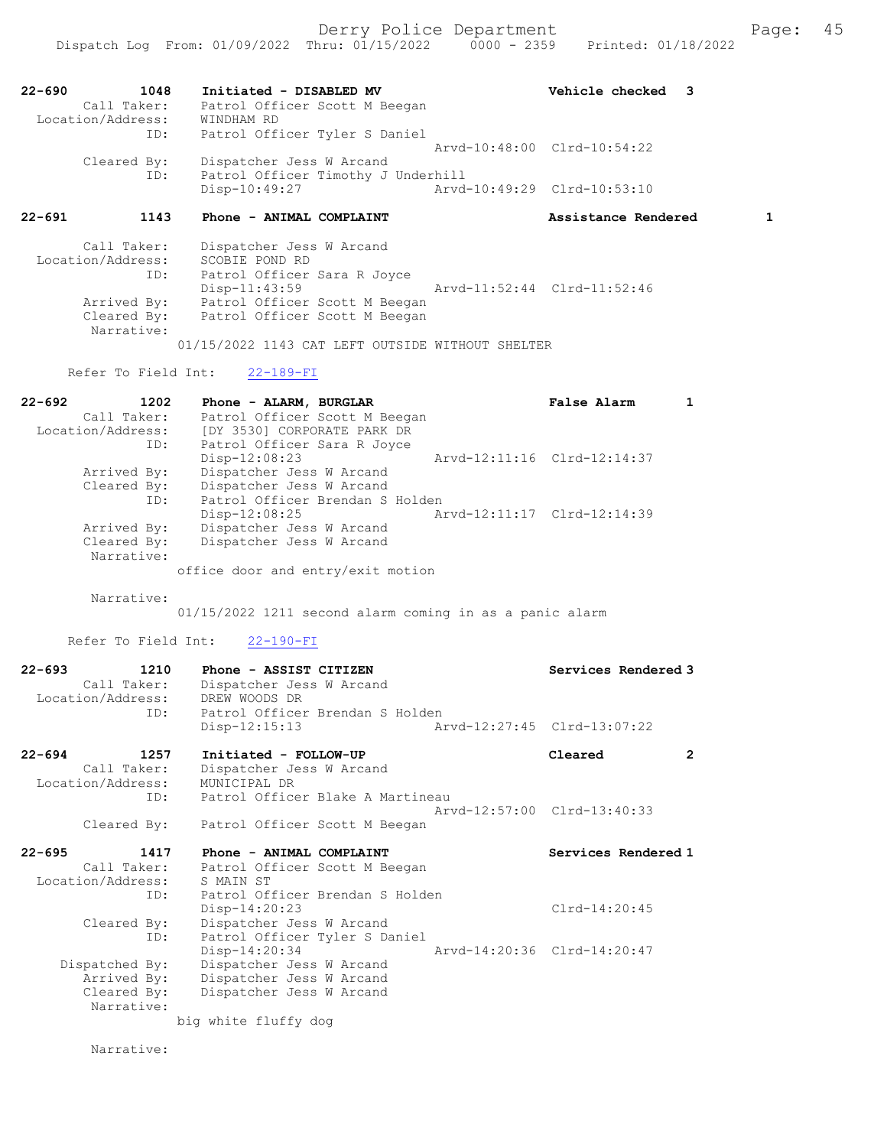| $22 - 690$        | 1048        | Initiated - DISABLED MV            | Vehicle checked 3           |  |
|-------------------|-------------|------------------------------------|-----------------------------|--|
|                   | Call Taker: | Patrol Officer Scott M Beegan      |                             |  |
| Location/Address: |             | WINDHAM RD                         |                             |  |
|                   | ID:         | Patrol Officer Tyler S Daniel      |                             |  |
|                   |             |                                    | Arvd-10:48:00 Clrd-10:54:22 |  |
|                   | Cleared By: | Dispatcher Jess W Arcand           |                             |  |
|                   | ID:         | Patrol Officer Timothy J Underhill |                             |  |
|                   |             | Disp-10:49:27                      | Arvd-10:49:29 Clrd-10:53:10 |  |

# 22-691 1143 Phone - ANIMAL COMPLAINT 15 Assistance Rendered 1

| Call Taker:       | Dispatcher Jess W Arcand                         |                             |
|-------------------|--------------------------------------------------|-----------------------------|
| Location/Address: | SCOBIE POND RD                                   |                             |
| ID:               | Patrol Officer Sara R Joyce                      |                             |
|                   | $Disp-11:43:59$                                  | Arvd-11:52:44 Clrd-11:52:46 |
| Arrived By:       | Patrol Officer Scott M Beegan                    |                             |
| Cleared By:       | Patrol Officer Scott M Beegan                    |                             |
| Narrative:        |                                                  |                             |
|                   | 01/15/2022 1143 CAT LEFT OUTSIDE WITHOUT SHELTER |                             |

Refer To Field Int: 22-189-FI

| $22 - 692$<br>1202 | Phone - ALARM, BURGLAR            | False Alarm                 |  |
|--------------------|-----------------------------------|-----------------------------|--|
| Call Taker:        | Patrol Officer Scott M Beegan     |                             |  |
| Location/Address:  | [DY 3530] CORPORATE PARK DR       |                             |  |
| ID:                | Patrol Officer Sara R Joyce       |                             |  |
|                    | $Disp-12:08:23$                   | Arvd-12:11:16 Clrd-12:14:37 |  |
| Arrived By:        | Dispatcher Jess W Arcand          |                             |  |
| Cleared By:        | Dispatcher Jess W Arcand          |                             |  |
| ID:                | Patrol Officer Brendan S Holden   |                             |  |
|                    | $Disp-12:08:25$                   | Arvd-12:11:17 Clrd-12:14:39 |  |
| Arrived By:        | Dispatcher Jess W Arcand          |                             |  |
| Cleared By:        | Dispatcher Jess W Arcand          |                             |  |
| Narrative:         |                                   |                             |  |
|                    | office door and entry/exit motion |                             |  |

Narrative:

01/15/2022 1211 second alarm coming in as a panic alarm

Refer To Field Int: 22-190-FI

| $22 - 693$<br>1210<br>Call Taker:<br>Location/Address: | Phone - ASSIST CITIZEN<br>Dispatcher Jess W Arcand<br>DREW WOODS DR | Services Rendered 3         |  |
|--------------------------------------------------------|---------------------------------------------------------------------|-----------------------------|--|
| ID:                                                    | Patrol Officer Brendan S Holden<br>$Disp-12:15:13$                  | Arvd-12:27:45 Clrd-13:07:22 |  |
| $22 - 694$<br>1257<br>Call Taker:<br>Location/Address: | Initiated - FOLLOW-UP<br>Dispatcher Jess W Arcand<br>MUNICIPAL DR   | Cleared                     |  |
| ID:                                                    | Patrol Officer Blake A Martineau                                    | Arvd-12:57:00 Clrd-13:40:33 |  |
| Cleared By:                                            | Patrol Officer Scott M Beegan                                       |                             |  |

| 22-695<br>1417    | Phone - ANIMAL COMPLAINT        | Services Rendered 1         |
|-------------------|---------------------------------|-----------------------------|
| Call Taker:       | Patrol Officer Scott M Beegan   |                             |
| Location/Address: | S MAIN ST                       |                             |
| ID:               | Patrol Officer Brendan S Holden |                             |
|                   | $Disp-14:20:23$                 | $Clrd-14:20:45$             |
| Cleared By:       | Dispatcher Jess W Arcand        |                             |
| ID:               | Patrol Officer Tyler S Daniel   |                             |
|                   | Disp-14:20:34                   | Arvd-14:20:36 Clrd-14:20:47 |
| Dispatched By:    | Dispatcher Jess W Arcand        |                             |
| Arrived By:       | Dispatcher Jess W Arcand        |                             |
| Cleared By:       | Dispatcher Jess W Arcand        |                             |
| Narrative:        |                                 |                             |
|                   |                                 |                             |

big white fluffy dog

Narrative: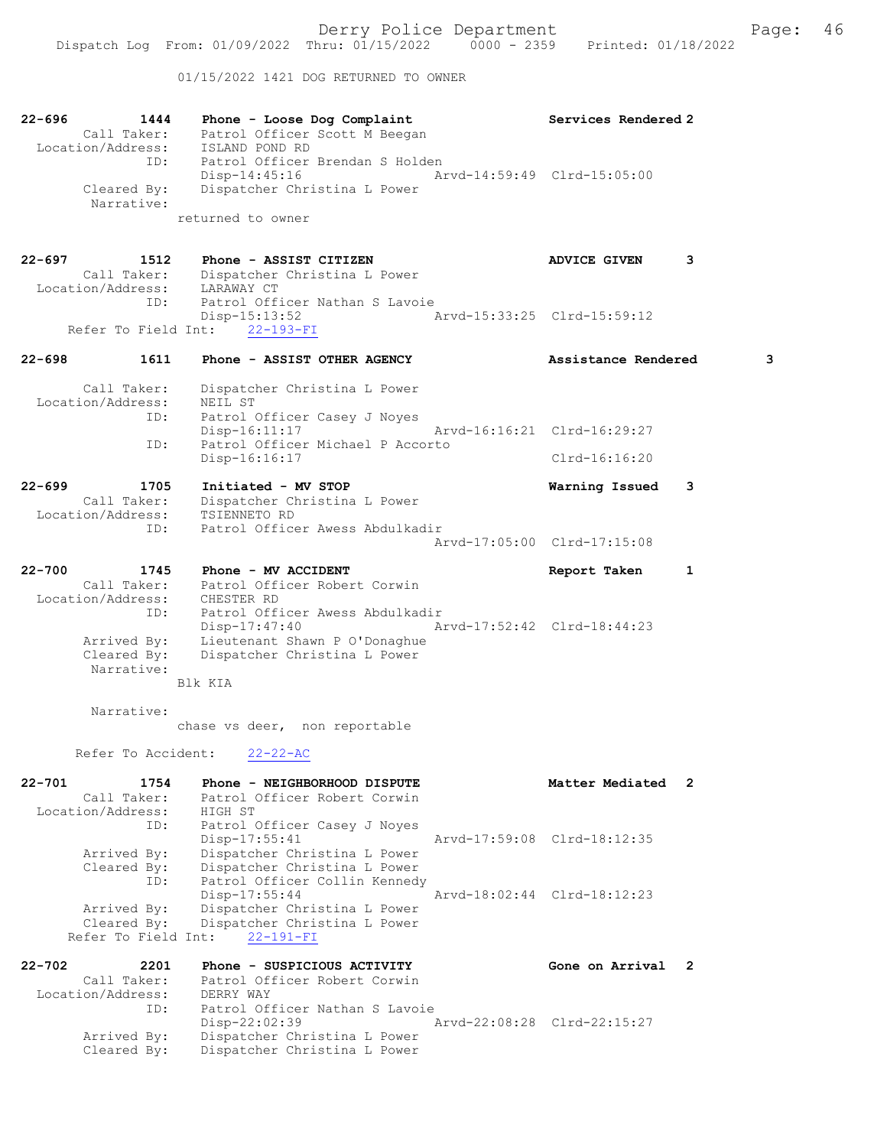01/15/2022 1421 DOG RETURNED TO OWNER

| 22-696<br>1444<br>Call Taker:<br>Location/Address:<br>ID: | Phone - Loose Dog Complaint<br>Patrol Officer Scott M Beegan<br>ISLAND POND RD<br>Patrol Officer Brendan S Holden | Services Rendered 2         |
|-----------------------------------------------------------|-------------------------------------------------------------------------------------------------------------------|-----------------------------|
| Cleared By:<br>Narrative:                                 | Disp-14:45:16<br>Dispatcher Christina L Power<br>returned to owner                                                | Arvd-14:59:49 Clrd-15:05:00 |
| 22-697<br>1512                                            | Phone - ASSIST CITIZEN                                                                                            | <b>ADVICE GIVEN</b><br>3    |
| Call Taker:<br>Location/Address: LARAWAY CT               | Dispatcher Christina L Power                                                                                      |                             |
| ID:                                                       | Patrol Officer Nathan S Lavoie<br>$Disp-15:13:52$<br>Refer To Field Int: 22-193-FI                                | Arvd-15:33:25 Clrd-15:59:12 |
| $22 - 698$<br>1611                                        | Phone - ASSIST OTHER AGENCY                                                                                       | Assistance Rendered<br>3    |
| Call Taker:<br>Location/Address:                          | Dispatcher Christina L Power<br>NEIL ST                                                                           |                             |
| ID:                                                       | Patrol Officer Casey J Noyes<br>Disp-16:11:17                                                                     | Arvd-16:16:21 Clrd-16:29:27 |
| ID:                                                       | Patrol Officer Michael P Accorto<br>Disp-16:16:17                                                                 | $Clrd-16:16:20$             |
| $22 - 699$<br>1705                                        | Initiated - MV STOP                                                                                               | Warning Issued<br>3         |
| Call Taker:<br>Location/Address:                          | Dispatcher Christina L Power<br>TSIENNETO RD                                                                      |                             |
| ID:                                                       | Patrol Officer Awess Abdulkadir                                                                                   | Arvd-17:05:00 Clrd-17:15:08 |
| $22 - 700$<br>1745                                        | Phone - MV ACCIDENT                                                                                               | Report Taken<br>1           |
| Call Taker:<br>Location/Address: CHESTER RD               | Patrol Officer Robert Corwin                                                                                      |                             |
| ID:                                                       | Patrol Officer Awess Abdulkadir<br>Disp-17:47:40<br>Arvd-17:52:42 Clrd-18:44:23                                   |                             |
| Arrived By:<br>Cleared By:<br>Narrative:                  | Lieutenant Shawn P O'Donaghue<br>Dispatcher Christina L Power                                                     |                             |
|                                                           | Blk KTA                                                                                                           |                             |
| Narrative:                                                | chase vs deer, non reportable                                                                                     |                             |
| Refer To Accident:                                        | $22 - 22 - AC$                                                                                                    |                             |
| 1754<br>$22 - 701$                                        | Phone - NEIGHBORHOOD DISPUTE                                                                                      | Matter Mediated<br>2        |
| Call Taker:<br>Location/Address:                          | Patrol Officer Robert Corwin<br>HIGH ST                                                                           |                             |
| ID:                                                       | Patrol Officer Casey J Noyes<br>Disp-17:55:41                                                                     | Arvd-17:59:08 Clrd-18:12:35 |
| Arrived By:<br>Cleared By:<br>ID:                         | Dispatcher Christina L Power<br>Dispatcher Christina L Power<br>Patrol Officer Collin Kennedy                     |                             |
| Arrived By:                                               | $Disp-17:55:44$<br>Dispatcher Christina L Power                                                                   | Arvd-18:02:44 Clrd-18:12:23 |
| Cleared By:<br>Refer To Field Int:                        | Dispatcher Christina L Power<br>$22 - 191 - FI$                                                                   |                             |
| $22 - 702$<br>2201                                        | Phone - SUSPICIOUS ACTIVITY                                                                                       | Gone on Arrival 2           |
| Call Taker:<br>Location/Address:                          | Patrol Officer Robert Corwin<br>DERRY WAY                                                                         |                             |
| ID:                                                       | Patrol Officer Nathan S Lavoie<br>$Disp-22:02:39$                                                                 | Arvd-22:08:28 Clrd-22:15:27 |
| Arrived By:<br>Cleared By:                                | Dispatcher Christina L Power<br>Dispatcher Christina L Power                                                      |                             |